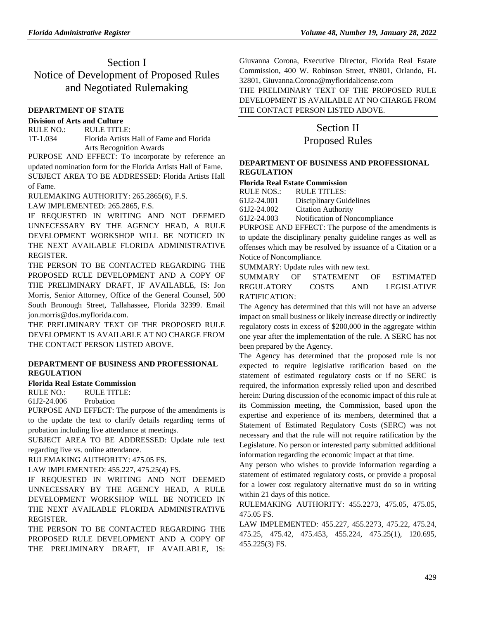# Section I Notice of Development of Proposed Rules and Negotiated Rulemaking

# **[DEPARTMENT OF STATE](https://www.flrules.org/gateway/department.asp?id=1)**

# **[Division of Arts and Culture](https://www.flrules.org/gateway/organization.asp?id=17)**

RULE NO.: RULE TITLE: [1T-1.034](https://www.flrules.org/gateway/ruleNo.asp?id=1T-1.034) Florida Artists Hall of Fame and Florida Arts Recognition Awards

PURPOSE AND EFFECT: To incorporate by reference an updated nomination form for the Florida Artists Hall of Fame. SUBJECT AREA TO BE ADDRESSED: Florida Artists Hall of Fame.

RULEMAKING AUTHORITY: [265.2865\(6\),](https://www.flrules.org/gateway/statute.asp?id=265.2865(6)) F.S.

LAW IMPLEMENTED: [265.2865,](https://www.flrules.org/gateway/statute.asp?id=265.2865) F.S.

IF REQUESTED IN WRITING AND NOT DEEMED UNNECESSARY BY THE AGENCY HEAD, A RULE DEVELOPMENT WORKSHOP WILL BE NOTICED IN THE NEXT AVAILABLE FLORIDA ADMINISTRATIVE REGISTER.

THE PERSON TO BE CONTACTED REGARDING THE PROPOSED RULE DEVELOPMENT AND A COPY OF THE PRELIMINARY DRAFT, IF AVAILABLE, IS: Jon Morris, Senior Attorney, Office of the General Counsel, 500 South Bronough Street, Tallahassee, Florida 32399. Email jon.morris@dos.myflorida.com.

THE PRELIMINARY TEXT OF THE PROPOSED RULE DEVELOPMENT IS AVAILABLE AT NO CHARGE FROM THE CONTACT PERSON LISTED ABOVE.

# **[DEPARTMENT OF BUSINESS AND PROFESSIONAL](https://www.flrules.org/gateway/department.asp?id=61)  [REGULATION](https://www.flrules.org/gateway/department.asp?id=61)**

# **[Florida Real Estate Commission](https://www.flrules.org/gateway/organization.asp?id=283)**

RULE NO.: RULE TITLE:

[61J2-24.006](https://www.flrules.org/gateway/ruleNo.asp?id=61J2-24.006) Probation

PURPOSE AND EFFECT: The purpose of the amendments is to the update the text to clarify details regarding terms of probation including live attendance at meetings.

SUBJECT AREA TO BE ADDRESSED: Update rule text regarding live vs. online attendance.

RULEMAKING AUTHORITY: [475.05 FS.](https://www.flrules.org/gateway/statute.asp?id=475.05%20FS.)

LAW IMPLEMENTED: [455.227,](https://www.flrules.org/gateway/statute.asp?id=455.227) [475.25\(4\) FS.](https://www.flrules.org/gateway/statute.asp?id=%20475.25(4)%20FS.)

IF REQUESTED IN WRITING AND NOT DEEMED UNNECESSARY BY THE AGENCY HEAD, A RULE DEVELOPMENT WORKSHOP WILL BE NOTICED IN THE NEXT AVAILABLE FLORIDA ADMINISTRATIVE REGISTER.

THE PERSON TO BE CONTACTED REGARDING THE PROPOSED RULE DEVELOPMENT AND A COPY OF THE PRELIMINARY DRAFT, IF AVAILABLE, IS: Giuvanna Corona, Executive Director, Florida Real Estate Commission, 400 W. Robinson Street, #N801, Orlando, FL 32801, Giuvanna.Corona@myfloridalicense.com

THE PRELIMINARY TEXT OF THE PROPOSED RULE DEVELOPMENT IS AVAILABLE AT NO CHARGE FROM THE CONTACT PERSON LISTED ABOVE.

# Section II Proposed Rules

# **[DEPARTMENT OF BUSINESS AND PROFESSIONAL](https://www.flrules.org/gateway/department.asp?id=61)  [REGULATION](https://www.flrules.org/gateway/department.asp?id=61)**

# **[Florida Real Estate Commission](https://www.flrules.org/gateway/organization.asp?id=283)**

| <b>RULE NOS.:</b> | RULE TITLES:                  |
|-------------------|-------------------------------|
| 61J2-24.001       | Disciplinary Guidelines       |
| 61J2-24.002       | <b>Citation Authority</b>     |
| 61J2-24.003       | Notification of Noncompliance |

PURPOSE AND EFFECT: The purpose of the amendments is to update the disciplinary penalty guideline ranges as well as offenses which may be resolved by issuance of a Citation or a Notice of Noncompliance.

SUMMARY: Update rules with new text.

SUMMARY OF STATEMENT OF ESTIMATED REGULATORY COSTS AND LEGISLATIVE RATIFICATION:

The Agency has determined that this will not have an adverse impact on small business or likely increase directly or indirectly regulatory costs in excess of \$200,000 in the aggregate within one year after the implementation of the rule. A SERC has not been prepared by the Agency.

The Agency has determined that the proposed rule is not expected to require legislative ratification based on the statement of estimated regulatory costs or if no SERC is required, the information expressly relied upon and described herein: During discussion of the economic impact of this rule at its Commission meeting, the Commission, based upon the expertise and experience of its members, determined that a Statement of Estimated Regulatory Costs (SERC) was not necessary and that the rule will not require ratification by the Legislature. No person or interested party submitted additional information regarding the economic impact at that time.

Any person who wishes to provide information regarding a statement of estimated regulatory costs, or provide a proposal for a lower cost regulatory alternative must do so in writing within 21 days of this notice.

RULEMAKING AUTHORITY: [455.2273,](https://www.flrules.org/gateway/statute.asp?id=455.2273) [475.05,](https://www.flrules.org/gateway/statute.asp?id=%20475.05) [475.05,](https://www.flrules.org/gateway/statute.asp?id=%20475.05) [475.05 FS.](https://www.flrules.org/gateway/statute.asp?id=%20475.05%20FS.)

LAW IMPLEMENTED: [455.227,](https://www.flrules.org/gateway/statute.asp?id=455.227) [455.2273,](https://www.flrules.org/gateway/statute.asp?id=%20455.2273) [475.22,](https://www.flrules.org/gateway/statute.asp?id=%20475.22) [475.24,](https://www.flrules.org/gateway/statute.asp?id=%20475.24) [475.25,](https://www.flrules.org/gateway/statute.asp?id=%20475.25) [475.42,](https://www.flrules.org/gateway/statute.asp?id=%20475.42) [475.453,](https://www.flrules.org/gateway/statute.asp?id=%20475.453) [455.224,](https://www.flrules.org/gateway/statute.asp?id=%20455.224) [475.25\(1\),](https://www.flrules.org/gateway/statute.asp?id=%20475.25(1)) [120.695,](https://www.flrules.org/gateway/statute.asp?id=%20120.695) [455.225\(3\) FS.](https://www.flrules.org/gateway/statute.asp?id=%20455.225(3)%20FS.)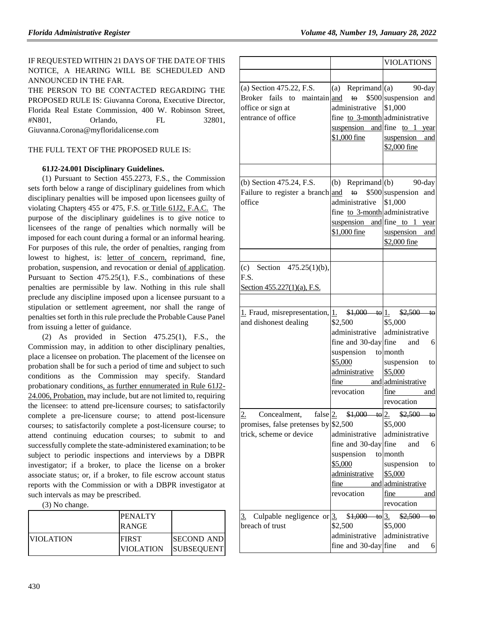# IF REQUESTED WITHIN 21 DAYS OF THE DATE OF THIS NOTICE, A HEARING WILL BE SCHEDULED AND ANNOUNCED IN THE FAR.

THE PERSON TO BE CONTACTED REGARDING THE PROPOSED RULE IS: Giuvanna Corona, Executive Director, Florida Real Estate Commission, 400 W. Robinson Street, #N801, Orlando, FL 32801, Giuvanna.Corona@myfloridalicense.com

# THE FULL TEXT OF THE PROPOSED RULE IS:

# **61J2-24.001 Disciplinary Guidelines.**

(1) Pursuant to Section 455.2273, F.S., the Commission sets forth below a range of disciplinary guidelines from which disciplinary penalties will be imposed upon licensees guilty of violating Chapters 455 or 475, F.S. or Title 61J2, F.A.C. The purpose of the disciplinary guidelines is to give notice to licensees of the range of penalties which normally will be imposed for each count during a formal or an informal hearing. For purposes of this rule, the order of penalties, ranging from lowest to highest, is: letter of concern, reprimand, fine, probation, suspension, and revocation or denial of application. Pursuant to Section 475.25(1), F.S., combinations of these penalties are permissible by law. Nothing in this rule shall preclude any discipline imposed upon a licensee pursuant to a stipulation or settlement agreement, nor shall the range of penalties set forth in this rule preclude the Probable Cause Panel from issuing a letter of guidance.

(2) As provided in Section 475.25(1), F.S., the Commission may, in addition to other disciplinary penalties, place a licensee on probation. The placement of the licensee on probation shall be for such a period of time and subject to such conditions as the Commission may specify. Standard probationary conditions, as further ennumerated in Rule 61J2- 24.006, Probation, may include, but are not limited to, requiring the licensee: to attend pre-licensure courses; to satisfactorily complete a pre-licensure course; to attend post-licensure courses; to satisfactorily complete a post-licensure course; to attend continuing education courses; to submit to and successfully complete the state-administered examination; to be subject to periodic inspections and interviews by a DBPR investigator; if a broker, to place the license on a broker associate status; or, if a broker, to file escrow account status reports with the Commission or with a DBPR investigator at such intervals as may be prescribed.

(3) No change.

|                  | <b>PENALTY</b><br>RANGE          |                                         |
|------------------|----------------------------------|-----------------------------------------|
| <b>VIOLATION</b> | <b>FIRST</b><br><b>VIOLATION</b> | <b>ISECOND AND</b><br><b>SUBSEQUENT</b> |

|                                                                                                                                       |                                                                                                                                                      | <b>VIOLATIONS</b>                                                                                                                                    |
|---------------------------------------------------------------------------------------------------------------------------------------|------------------------------------------------------------------------------------------------------------------------------------------------------|------------------------------------------------------------------------------------------------------------------------------------------------------|
| (a) Section 475.22, F.S.<br>Broker fails to maintain and<br>office or sign at<br>entrance of office                                   | to<br>administrative<br>fine to 3-month administrative<br>$$1,000$ fine                                                                              | (a) Reprimand $(a)$ 90-day<br>\$500 suspension and<br>\$1,000<br>suspension and fine to 1 year<br>suspension and<br>\$2,000 fine                     |
| (b) Section 475.24, F.S.<br>Failure to register a branch and<br>office                                                                | $\mathfrak{t}\Theta$<br>administrative<br>fine to 3-month administrative<br>\$1,000 fine                                                             | (b) Reprimand (b) 90-day<br>\$500 suspension and<br>\$1,000<br>suspension and fine to 1 year<br>suspension and<br>\$2,000 fine                       |
| (c) Section $475.25(1)(b)$ ,<br>F.S.<br>Section 455.227(1)(a), F.S.                                                                   |                                                                                                                                                      |                                                                                                                                                      |
| 1. Fraud, misrepresentation, $\left  \frac{1}{1} \right $ \$1,000 to $\left  \frac{1}{1} \right $ \$2,500 to<br>and dishonest dealing | \$2,500<br>administrative  <br>fine and $30$ -day fine and<br>suspension to month<br>\$5,000<br>administrative<br>$frac$ $\frac{1}{2}$<br>revocation | \$5,000<br>administrative<br>6<br>suspension<br>to<br>\$5,000<br>and administrative<br>fine<br>and<br>revocation                                     |
| false $2$ .<br>Concealment,<br>2.<br>promises, false pretenses by $$2,500$<br>trick, scheme or device                                 | $$1,000$ to 2.<br>administrative<br>fine and 30-day fine<br>suspension<br>\$5,000<br>administrative<br>fine<br>revocation                            | \$2,500<br>tΘ<br>\$5,000<br>administrative<br>and<br>6<br>to month<br>suspension<br>to<br>\$5,000<br>and administrative<br>fine<br>and<br>revocation |
| Culpable negligence or $3$ .<br>3.<br>breach of trust                                                                                 | \$1,000<br>\$2,500<br>administrative<br>fine and $30$ -day fine                                                                                      | \$2,500<br><del>to</del> 3.<br>tΘ<br>\$5,000<br>administrative<br>6<br>and                                                                           |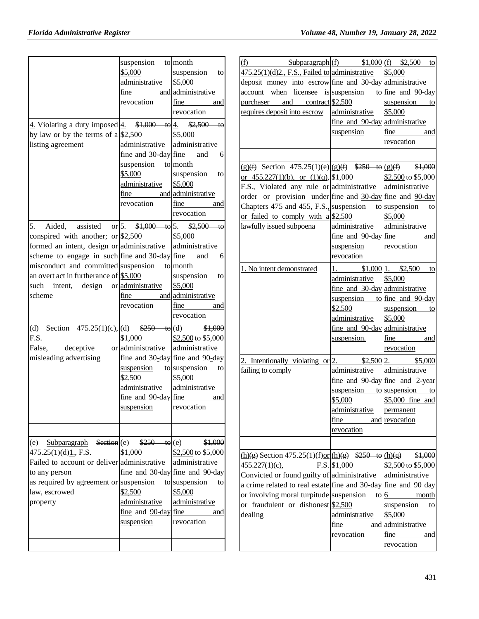|                                                          | suspension to month                                   |                                       |
|----------------------------------------------------------|-------------------------------------------------------|---------------------------------------|
|                                                          | \$5,000                                               | suspension<br>to                      |
|                                                          | administrative                                        | \$5,000                               |
|                                                          | fine                                                  | and administrative                    |
|                                                          | revocation                                            | <u>fine</u><br>and                    |
|                                                          |                                                       | revocation                            |
| $\frac{4}{2}$ . Violating a duty imposed $\frac{4}{2}$ . | $$1,000$ to $4.$                                      | $$2,500$ to                           |
| by law or by the terms of $a\$ \$2,500                   |                                                       | \$5,000                               |
| listing agreement                                        | administrative                                        | administrative                        |
|                                                          | fine and $30$ -day fine                               | 6<br>and                              |
|                                                          | suspension                                            | to month                              |
|                                                          | \$5,000                                               | suspension<br>to                      |
|                                                          | administrative                                        | \$5,000                               |
|                                                          | $frac$ $\frac{1}{2}$                                  | and administrative                    |
|                                                          | revocation                                            | fine and                              |
|                                                          |                                                       | revocation                            |
|                                                          |                                                       |                                       |
| <u>5.</u><br>Aided, assisted or $5$ .                    |                                                       | $$1,000$ to $5.$ $$2,500$ to          |
| conspired with another; or $$2,500$                      |                                                       | \$5,000                               |
| formed an intent, design or administrative               |                                                       | administrative                        |
| scheme to engage in such fine and 30-day fine            |                                                       | and<br>6                              |
| misconduct and committed suspension                      |                                                       | to month                              |
| an overt act in furtherance of $$5,000$                  |                                                       | suspension<br>to                      |
| such intent, design                                      | or administrative                                     | \$5,000                               |
| scheme                                                   | fine                                                  | and administrative                    |
|                                                          | revocation                                            | fine<br>and                           |
|                                                          |                                                       | revocation                            |
| (d) Section $475.25(1)(c)$ , (d)                         | $\frac{$250}{4}$ to (d)                               | \$1,000                               |
| F.S.                                                     | \$1,000                                               | \$2,500 to \$5,000                    |
| False,<br>deceptive                                      | or administrative                                     | administrative                        |
| misleading advertising                                   |                                                       | fine and 30-day fine and 90-day       |
|                                                          | suspension                                            | to suspension to                      |
|                                                          | \$2,500                                               | \$5,000                               |
|                                                          | administrative                                        | administrative                        |
|                                                          | $\frac{\text{fine and } 90 \text{-day}}{\text{fine}}$ | and                                   |
|                                                          | suspension                                            | revocation                            |
|                                                          |                                                       |                                       |
|                                                          |                                                       |                                       |
| $Subparagnh$ Section $(e)$<br>(e)                        | $\frac{$250}{10}$ to (e)                              | \$1,000                               |
| 475.25(1)(d)1, F.S.                                      | \$1,000                                               | \$2,500 to \$5,000                    |
| Failed to account or deliver administrative              |                                                       | administrative                        |
| to any person                                            |                                                       | fine and $30$ -day fine and $90$ -day |
| as required by agreement or suspension                   |                                                       | to suspension<br>to                   |
| law, escrowed                                            | \$2,500                                               | \$5,000                               |
| property                                                 | administrative                                        | administrative                        |
|                                                          | $frac$ and $90$ -day fine                             | and                                   |
|                                                          | suspension                                            | revocation                            |
|                                                          |                                                       |                                       |
|                                                          |                                                       |                                       |
|                                                          |                                                       |                                       |

| Subparagraph $(f)$ \$1,000 $(f)$ \$2,500<br><u>(f)</u>                                         |                                                      | to                                 |
|------------------------------------------------------------------------------------------------|------------------------------------------------------|------------------------------------|
| 475.25(1)(d)2., F.S., Failed to administrative                                                 |                                                      | \$5,000                            |
| deposit money into escrow fine and 30-day administrative                                       |                                                      |                                    |
| account when licensee is suspension                                                            |                                                      | to fine and 90-day                 |
| purchaser and contract \$2,500                                                                 |                                                      | suspension<br>to                   |
| requires deposit into escrow                                                                   | administrative                                       | \$5,000                            |
|                                                                                                | fine and 90-day administrative                       |                                    |
|                                                                                                | suspension                                           | <u>fine</u><br>and                 |
|                                                                                                |                                                      | revocation                         |
|                                                                                                |                                                      |                                    |
|                                                                                                |                                                      |                                    |
| $(g)(f)$ Section 475.25(1)(e)(g)(f) $$250$ to $(g)(f)$ \$1,000                                 |                                                      |                                    |
| or $455.227(1)(b)$ , or $(1)(q)$ , \$1,000                                                     |                                                      | \$2,500 to \$5,000                 |
| F.S., Violated any rule or administrative                                                      |                                                      | administrative                     |
| order or provision under fine and 30-day fine and 90-day                                       |                                                      |                                    |
| Chapters 475 and 455, F.S., suspension                                                         |                                                      | to suspension to                   |
| or failed to comply with $a\frac{\$2,500}{}$                                                   |                                                      | \$5,000                            |
| lawfully issued subpoena                                                                       | administrative                                       | administrative                     |
|                                                                                                | $\frac{\text{fine and } 90\text{-day}}{\text{fine}}$ | and                                |
|                                                                                                | suspension                                           | revocation                         |
|                                                                                                | revocation                                           |                                    |
| 1. No intent demonstrated                                                                      | 1. $$1,000$ 1. $$2,500$                              | to                                 |
|                                                                                                | administrative                                       | \$5,000                            |
|                                                                                                | fine and 30-day administrative                       |                                    |
|                                                                                                | suspension                                           | to fine and 90-day                 |
|                                                                                                | \$2,500                                              | suspension<br>to                   |
|                                                                                                | administrative                                       | \$5,000                            |
|                                                                                                | fine and 90-day administrative                       |                                    |
|                                                                                                | suspension.                                          | fine<br>and                        |
|                                                                                                |                                                      | revocation                         |
|                                                                                                |                                                      |                                    |
| 2. Intentionally violating or $ 2.$ \$2,500 $ 2.$ \$5,000                                      |                                                      |                                    |
| failing to comply                                                                              | administrative                                       | administrative                     |
|                                                                                                |                                                      | fine and $90$ -day fine and 2-year |
|                                                                                                |                                                      | suspension to suspension to        |
|                                                                                                | \$5,000                                              | \$5,000 fine and                   |
|                                                                                                | administrative                                       | permanent                          |
|                                                                                                | fine                                                 | and revocation                     |
|                                                                                                | revocation                                           |                                    |
|                                                                                                |                                                      |                                    |
| $\underline{(h)(g)}$ Section 475.25(1)(f)or $\underline{(h)(g)}$ \$250 to $\underline{(h)(g)}$ |                                                      | \$1,000                            |
| 455.227(1)(c),                                                                                 | $F.S.$ \$1,000                                       | \$2,500 to \$5,000                 |
| Convicted or found guilty of administrative                                                    |                                                      | administrative                     |
| a crime related to real estate fine and 30-day fine and $90$ -day                              |                                                      |                                    |
| or involving moral turpitude suspension                                                        | $\frac{1}{6}$                                        | month                              |
| or fraudulent or dishonest $$2,500$                                                            |                                                      | suspension<br>to                   |
| dealing                                                                                        | administrative                                       | \$5,000                            |
|                                                                                                | fine                                                 | and administrative                 |
|                                                                                                | revocation                                           | fine<br>and                        |
|                                                                                                |                                                      | revocation                         |
|                                                                                                |                                                      |                                    |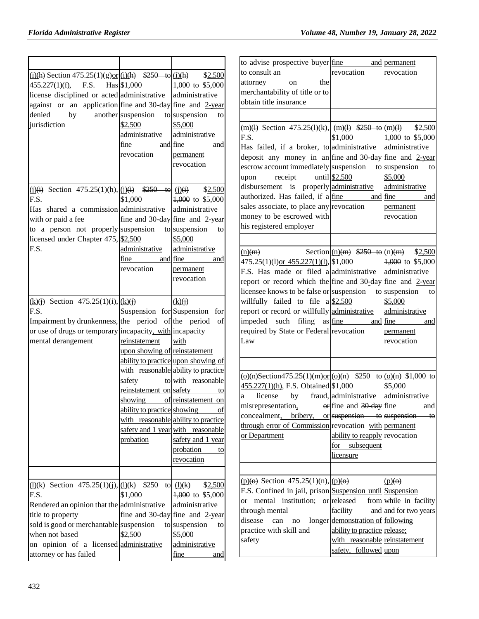|                                                                                               |                               |                                                        | to advise prospective buyer fine                                                                                   |                                    | and permanent          |
|-----------------------------------------------------------------------------------------------|-------------------------------|--------------------------------------------------------|--------------------------------------------------------------------------------------------------------------------|------------------------------------|------------------------|
|                                                                                               |                               |                                                        | to consult an                                                                                                      | revocation                         | revocation             |
| $\frac{(i)(h)}{(2)}$ Section 475.25(1)(g)or (i)(h) $$250$ to (i)(h)<br>F.S.<br>455.227(1)(f), | Has \$1,000                   | \$2,500<br>4,000 to \$5,000                            | the<br>attorney<br>on                                                                                              |                                    |                        |
| license disciplined or acted administrative                                                   |                               | administrative                                         | merchantability of title or to                                                                                     |                                    |                        |
|                                                                                               |                               |                                                        | obtain title insurance                                                                                             |                                    |                        |
| against or an application fine and 30-day fine and $2$ -year                                  |                               |                                                        |                                                                                                                    |                                    |                        |
| denied<br>by<br>jurisdiction                                                                  | another suspension<br>\$2,500 | to suspension<br>to<br>\$5,000                         |                                                                                                                    |                                    |                        |
|                                                                                               |                               |                                                        | $\frac{\text{(m)}(1)}{\text{Section 475.25(l)}(k)}$ , $\frac{\text{(m)}(1)}{1}$ \$250 to $\frac{\text{(m)}(1)}{2}$ |                                    | \$2,500                |
|                                                                                               | administrative                | administrative                                         | F.S.                                                                                                               | \$1,000                            | $4,000$ to \$5,000     |
|                                                                                               | fine<br>and                   | fine<br>and                                            | Has failed, if a broker, to administrative                                                                         |                                    | administrative         |
|                                                                                               | revocation                    | permanent                                              | deposit any money in an fine and 30-day fine and $2$ -year                                                         |                                    |                        |
|                                                                                               |                               | revocation                                             | escrow account immediately suspension                                                                              |                                    | to suspension<br>to    |
|                                                                                               |                               |                                                        | receipt<br>upon                                                                                                    | until \$2,500                      | \$5,000                |
| $(i)$ (i) Section 475.25(1)(h), $(i)$ (i)(i) \$250 to                                         |                               | \$2,500<br>(i)(i)                                      | disbursement is properly administrative                                                                            |                                    | administrative         |
| F.S.                                                                                          | \$1,000                       | 1,000 to \$5,000                                       | authorized. Has failed, if a fine                                                                                  |                                    | and fine<br>and        |
| Has shared a commission administrative                                                        |                               | administrative                                         | sales associate, to place any revocation                                                                           |                                    | permanent              |
| with or paid a fee                                                                            |                               | fine and 30-day fine and $2$ -year                     | money to be escrowed with                                                                                          |                                    | revocation             |
| to a person not properly suspension                                                           |                               | to suspension<br>to                                    | his registered employer                                                                                            |                                    |                        |
| licensed under Chapter 475, \$2,500                                                           |                               | \$5,000                                                |                                                                                                                    |                                    |                        |
| F.S.                                                                                          | administrative                | administrative                                         | (n)(m)                                                                                                             | Section $(n)(m)$ \$250 to $(n)(m)$ | \$2,500                |
|                                                                                               | fine<br>and                   | fine<br>and                                            | $475.25(1)(1) \text{ or } 455.227(1)(1)$ , \$1,000                                                                 |                                    | $4,000$ to \$5,000     |
|                                                                                               | revocation                    | permanent                                              | F.S. Has made or filed a administrative                                                                            |                                    | administrative         |
|                                                                                               |                               | revocation                                             | report or record which the fine and 30-day fine and 2-year                                                         |                                    |                        |
|                                                                                               |                               |                                                        | licensee knows to be false or suspension                                                                           |                                    | to suspension<br>to    |
| $(k)(j)$ Section 475.25(1)(i), $(k)(j)$                                                       |                               | (k)(i)                                                 | willfully failed to file $a \$2,500$                                                                               |                                    | \$5,000                |
| F.S.                                                                                          |                               | Suspension for Suspension for                          | report or record or willfully administrative                                                                       |                                    | administrative         |
| Impairment by drunkenness, the period of the period of                                        |                               |                                                        | impeded such filing as fine                                                                                        |                                    | and fine<br>and        |
| or use of drugs or temporary incapacity, with incapacity                                      |                               |                                                        | required by State or Federal revocation                                                                            |                                    | permanent              |
| mental derangement                                                                            | reinstatement                 | with                                                   | Law                                                                                                                |                                    | revocation             |
|                                                                                               | upon showing of reinstatement |                                                        |                                                                                                                    |                                    |                        |
|                                                                                               |                               | ability to practice upon showing of                    |                                                                                                                    |                                    |                        |
|                                                                                               |                               | with reasonable ability to practice                    |                                                                                                                    |                                    |                        |
|                                                                                               | safety                        | to with reasonable                                     | $\underline{(o)(n)}$ Section475.25(1)(m)or $\underline{(o)(n)}$ \$250 to $\underline{(o)(n)}$ \$1,000 to           |                                    |                        |
|                                                                                               | reinstatement on safety       | to                                                     | 455.227(1)(h), F.S. Obtained \$1,000                                                                               |                                    | \$5,000                |
|                                                                                               | showing                       | of reinstatement on                                    | license<br>by<br>a                                                                                                 | fraud, administrative              | administrative         |
|                                                                                               | ability to practice showing   | $\circ$ f                                              | misrepresentation, $\qquad$ or fine and 30 day fine                                                                |                                    | and                    |
|                                                                                               |                               | with reasonable ability to practice                    | concealment, bribery,                                                                                              | or suspension to suspension        | $+0$                   |
|                                                                                               |                               | safety and 1 year with reasonable                      | through error of Commission revocation with permanent                                                              |                                    |                        |
|                                                                                               | probation                     | safety and 1 year                                      | or Department                                                                                                      | ability to reapply revocation      |                        |
|                                                                                               |                               | probation<br>to                                        |                                                                                                                    | subsequent<br>for                  |                        |
|                                                                                               |                               | revocation                                             |                                                                                                                    | licensure                          |                        |
|                                                                                               |                               |                                                        |                                                                                                                    |                                    |                        |
|                                                                                               |                               |                                                        | $(p)(\Theta)$ Section 475.25(1)(n), $(p)(\Theta)$                                                                  |                                    | $(p)(\Theta)$          |
| (1)(k) Section 475.25(1)(j), (1)(k) \$250 to (1)(k)                                           |                               | \$2,500                                                | F.S. Confined in jail, prison Suspension until Suspension                                                          |                                    |                        |
| F.S.                                                                                          | \$1,000                       | 4,000 to \$5,000                                       | or mental institution; or released                                                                                 |                                    | from while in facility |
| Rendered an opinion that the administrative                                                   |                               | administrative                                         | through mental                                                                                                     | facility                           | and and for two years  |
| title to property<br>sold is good or merchantable suspension                                  |                               | fine and $30$ -day fine and $2$ -year<br>to suspension | disease<br>can no                                                                                                  | longer demonstration of following  |                        |
| when not based                                                                                | \$2,500                       | to                                                     | practice with skill and                                                                                            | ability to practice release;       |                        |
|                                                                                               |                               | \$5,000                                                | safety                                                                                                             | with reasonable reinstatement      |                        |
| on opinion of a licensed administrative                                                       |                               | administrative                                         |                                                                                                                    | safety, followed upon              |                        |
| attorney or has failed                                                                        |                               | fine<br>and                                            |                                                                                                                    |                                    |                        |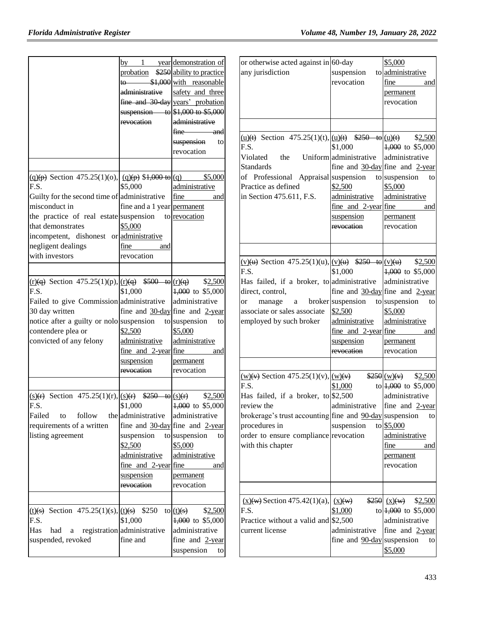|                                                                                         |                             | $by$ 1 year demonstration of                     |
|-----------------------------------------------------------------------------------------|-----------------------------|--------------------------------------------------|
|                                                                                         |                             | probation \$250 ability to practice              |
|                                                                                         |                             | to \$1,000 with reasonable                       |
|                                                                                         | administrative              | safety and three                                 |
|                                                                                         |                             | fine and 30 day years' probation                 |
|                                                                                         |                             | suspension to $$1,000$ to $$5,000$               |
|                                                                                         | revocation                  | administrative                                   |
|                                                                                         |                             | fine and                                         |
|                                                                                         |                             |                                                  |
|                                                                                         |                             | suspension<br>to                                 |
|                                                                                         |                             | revocation                                       |
|                                                                                         |                             |                                                  |
| $(q)(p)$ Section 475.25(1)(0), $(q)(p)$ \$1,000 to $(q)$                                |                             | \$5,000                                          |
| F.S.                                                                                    | \$5,000                     | administrative                                   |
| Guilty for the second time of administrative                                            |                             | fine<br>and                                      |
| misconduct in                                                                           | fine and a 1 year permanent |                                                  |
| the practice of real estate suspension to revocation                                    |                             |                                                  |
| that demonstrates                                                                       | \$5,000                     |                                                  |
|                                                                                         |                             |                                                  |
| incompetent, dishonest or administrative                                                |                             |                                                  |
| negligent dealings                                                                      | fine<br>and                 |                                                  |
| with investors                                                                          | revocation                  |                                                  |
|                                                                                         |                             |                                                  |
| $r(\underline{r})$ Section 475.25(1)(p), $r(\underline{r})$ \$500 to $r(\underline{r})$ |                             | \$2,500                                          |
| F.S.                                                                                    | \$1,000                     | 4,000 to \$5,000                                 |
| Failed to give Commission administrative administrative                                 |                             |                                                  |
| 30 day written                                                                          |                             | fine and $\frac{30 \text{-day}}{2 \text{-year}}$ |
|                                                                                         |                             |                                                  |
|                                                                                         |                             |                                                  |
| notice after a guilty or nolo suspension to suspension                                  |                             | to                                               |
| contendere plea or                                                                      | \$2,500                     | \$5,000                                          |
| convicted of any felony                                                                 | administrative              | administrative                                   |
|                                                                                         | fine and 2-year fine        | and                                              |
|                                                                                         | suspension                  | permanent                                        |
|                                                                                         | revocation                  | revocation                                       |
|                                                                                         |                             |                                                  |
|                                                                                         |                             |                                                  |
| (s)(r) Section 475.25(1)(r), $(s)$ (r) $\frac{\$250 \text{ to } (s)(r)}{s}$             |                             | \$2,500                                          |
| F.S.                                                                                    | \$1,000                     | $4,000$ to \$5,000                               |
| Failed<br>follow<br>to                                                                  | the administrative          | administrative                                   |
| requirements of a written                                                               |                             | fine and $30$ -day fine and 2-year               |
| listing agreement                                                                       | suspension                  | to suspension<br>to                              |
|                                                                                         | \$2,500                     | \$5,000                                          |
|                                                                                         | administrative              | administrative                                   |
|                                                                                         | $fine$ and 2-year fine      | and                                              |
|                                                                                         | suspension                  | permanent                                        |
|                                                                                         | revocation                  | revocation                                       |
|                                                                                         |                             |                                                  |
|                                                                                         |                             |                                                  |
| (t)(s) Section 475.25(1)(s), $(t)(s)$ \$250                                             |                             | to $(t)(s)$<br>\$2,500                           |
| F.S.                                                                                    | \$1,000                     | 4,000 to \$5,000                                 |
| Has<br>had<br>a                                                                         | registration administrative | administrative                                   |
| suspended, revoked                                                                      | fine and                    | fine and 2-year<br>suspension                    |

| or otherwise acted against in $60$ -day<br>any jurisdiction<br>(u)(t) Section 475.25(1)(t), $ (\underline{u})(t)$ \$250 to $ (\underline{u})(t)$ \$2,500<br>F.S.                                                                                                  | suspension<br>revocation                                                                     | \$5,000<br>to administrative<br>fine<br>and<br>permanent<br>revocation                                                                                                                                         |
|-------------------------------------------------------------------------------------------------------------------------------------------------------------------------------------------------------------------------------------------------------------------|----------------------------------------------------------------------------------------------|----------------------------------------------------------------------------------------------------------------------------------------------------------------------------------------------------------------|
| Violated the<br><b>Standards</b><br>of Professional Appraisal suspension<br>Practice as defined<br>in Section 475.611, F.S.                                                                                                                                       | \$1,000<br>Uniform administrative<br>\$2,500<br>administrative<br>suspension<br>revocation   | 4,000 to \$5,000<br>administrative<br>fine and $30$ -day fine and 2-year<br>to suspension<br>to<br>\$5,000<br>administrative<br>$\frac{fine \text{ and } 2-year \text{ } fine}$ and<br>permanent<br>revocation |
| $(v)(u)$ Section 475.25(1)(u), $(v)(u)$ \$250 to $(v)(u)$ \$2.500<br>F.S.<br>Has failed, if a broker, to administrative<br>direct, control,<br>manage a broker suspension<br><sub>or</sub><br>associate or sales associate<br>employed by such broker             | \$1,000<br>\$2,500<br>administrative<br>$fine$ and $2-year fine$<br>suspension<br>revocation | 4,000 to \$5,000<br>administrative<br>fine and $30$ -day fine and 2-year<br>to suspension to<br>\$5,000<br>administrative<br>and<br>permanent<br>revocation                                                    |
| $\frac{w(x)}{w}$ Section 475.25(1)(v), $\frac{w(x)}{w}$<br>F.S.<br>Has failed, if a broker, to \$2,500<br>review the<br>brokerage's trust accounting fine and $90$ -day suspension<br>procedures in<br>order to ensure compliance revocation<br>with this chapter | \$1,000<br>administrative<br>suspension                                                      | $$250$ (w)(v) $$2,500$<br>to $\frac{1,000}{1,000}$ to \$5,000<br>administrative<br>fine and 2-year<br>to<br>to \$5,000<br>administrative<br>fine<br>and<br>permanent<br>revocation                             |
| $(x)$ (w) Section 475.42(1)(a),<br>F.S.<br>Practice without a valid and<br>current license                                                                                                                                                                        | (x)(w)<br>\$1,000<br>\$2,500<br>administrative<br>fine and $90$ -day suspension              | 250 (x)(w)<br>\$2,500<br>to $\frac{1,000}{1,000}$ to \$5,000<br>administrative<br>fine and 2-year<br>to<br>\$5,000                                                                                             |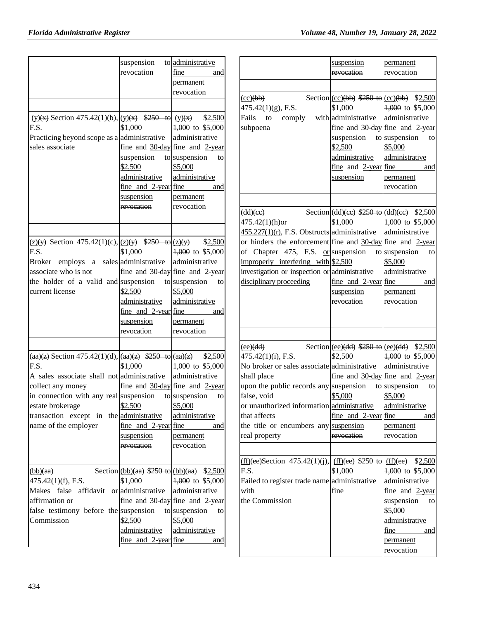|                                                                                                                                                                                                                                                                                                                                                                      | suspension<br>revocation                                                                                  | to administrative<br>fine<br>and<br>permanent<br>revocation                                                                                                                         |
|----------------------------------------------------------------------------------------------------------------------------------------------------------------------------------------------------------------------------------------------------------------------------------------------------------------------------------------------------------------------|-----------------------------------------------------------------------------------------------------------|-------------------------------------------------------------------------------------------------------------------------------------------------------------------------------------|
| $(y)(x)$ Section 475.42(1)(b), $(y)(x)$ \$250 to $(y)(x)$<br>F.S.<br>Practicing beyond scope as a a administrative administrative<br>sales associate                                                                                                                                                                                                                 | \$1,000<br>suspension<br>\$2,500<br>administrative<br>fine and $2$ -year fine<br>suspension<br>revocation | \$2,500<br>$1,000$ to \$5,000<br>fine and $30$ -day fine and 2-year<br>to suspension<br>to<br>\$5,000<br>administrative<br>and<br>permanent<br>revocation                           |
| $\frac{1}{2}(x)(y)$ Section 475.42(1)(c), $\frac{1}{2}(x)(y)$ \$250 to $\frac{1}{2}(x)(y)$<br>F.S.<br>Broker employs a sales administrative administrative<br>associate who is not<br>the holder of a valid and suspension<br>current license                                                                                                                        | \$1,000<br>\$2,500<br>administrative<br>fine and $2$ -year fine<br>suspension<br>revocation               | \$2,500<br>$1,000$ to \$5,000<br>fine and $30$ -day fine and 2-year<br>to suspension<br>to<br>\$5,000<br>administrative<br>and<br>permanent<br>revocation                           |
| $\frac{\text{(aa)}(z)}{\text{Section 475.42(1)(d)}\sqrt{\text{(aa)}(z)}}$ \$250 to $\frac{\text{(aa)}(z)}{\text{(aa)}(z)}$<br>F.S.<br>A sales associate shall not administrative administrative<br>collect any money<br>in connection with any real suspension to suspension<br>estate brokerage<br>transaction except in the administrative<br>name of the employer | \$1,000<br>\$2,500<br>fine and $2$ -year fine<br>suspension<br><del>revocation</del>                      | \$2,500<br>$1,000$ to \$5,000<br>fine and 30-day fine and 2-year<br>to<br>\$5,000<br>administrative<br>and<br>permanent<br>revocation                                               |
| (bb)(aa)<br>$475.42(1)(f)$ , F.S.<br>Makes<br>false<br>affirmation or<br>false testimony before the suspension<br>Commission                                                                                                                                                                                                                                         | \$1,000<br>affidavit or administrative<br>\$2,500<br>administrative<br>$frac$ and 2-year fine             | Section (bb)(aa) $$250$ to (bb)(aa) $$2,500$<br>4,000 to \$5,000<br>administrative<br>fine and $30$ -day fine and 2-year<br>to suspension<br>to<br>\$5,000<br>administrative<br>and |

|                                                                                                                                                                                                                                                                                                                     | suspension<br><del>revocation</del>                                                                                             | permanent<br>revocation                                                                                                                                                                                            |
|---------------------------------------------------------------------------------------------------------------------------------------------------------------------------------------------------------------------------------------------------------------------------------------------------------------------|---------------------------------------------------------------------------------------------------------------------------------|--------------------------------------------------------------------------------------------------------------------------------------------------------------------------------------------------------------------|
|                                                                                                                                                                                                                                                                                                                     |                                                                                                                                 |                                                                                                                                                                                                                    |
| (cc)(bb)<br>$475.42(1)(g)$ , F.S.<br>Fails to comply with administrative<br>subpoena                                                                                                                                                                                                                                | \$1,000<br>suspension to suspension<br>\$2,500<br>administrative<br>$\frac{fine}{fine}$ and $\frac{2-year}{fine}$<br>suspension | Section $(cc)(bb)$ \$250 to $(cc)(bb)$ \$2,500<br>4,000 to \$5,000<br>administrative<br>fine and $30$ -day fine and $2$ -year<br>to<br>\$5,000<br>administrative<br>and<br>permanent<br>revocation                 |
|                                                                                                                                                                                                                                                                                                                     |                                                                                                                                 |                                                                                                                                                                                                                    |
| $(dd)$ (ee)<br>$475.42(1)(h)$ or<br>$455.227(1)(r)$ , F.S. Obstructs administrative<br>or hinders the enforcement fine and $30$ -day fine and 2-year<br>of Chapter 475, F.S. $\alpha$ suspension<br>improperly interfering with \$2,500<br>investigation or inspection or administrative<br>disciplinary proceeding | \$1,000<br>fine and 2-year fine<br>suspension<br><del>revocation</del>                                                          | Section $\left( \frac{dd}{ee} \right)$ \$250 to $\left( \frac{dd}{ee} \right)$ \$2,500<br>4,000 to \$5,000<br>administrative<br>to suspension<br>to<br>\$5,000<br>administrative<br>and<br>permanent<br>revocation |
|                                                                                                                                                                                                                                                                                                                     |                                                                                                                                 |                                                                                                                                                                                                                    |
| (ee)(dd)<br>475.42(1)(i), F.S.<br>No broker or sales associate administrative<br>shall place<br>upon the public records any suspension to suspension<br>false, void<br>or unauthorized information administrative administrative<br>that affects<br>the title or encumbers any suspension<br>real property          | \$2,500<br>\$5,000<br>fine and $2$ -year fine<br>revocation                                                                     | Section $\text{(ee)}$ (dd) \$250 to $\text{(ee)}$ (dd) \$2,500<br>$4,000$ to \$5,000<br>administrative<br>fine and $30$ -day fine and 2-year<br>to<br>\$5,000<br>and<br>permanent<br>revocation                    |
|                                                                                                                                                                                                                                                                                                                     |                                                                                                                                 |                                                                                                                                                                                                                    |
| $(f\text{f})$ (ee)Section 475.42(1)(j), $(f\text{f})$ (ee) \$250 to $(f\text{f})$ (ee)<br>F.S.<br>Failed to register trade name administrative<br>with<br>the Commission                                                                                                                                            | \$1,000<br>fine                                                                                                                 | \$2,500<br>4,000 to \$5,000<br>administrative<br>fine and 2-year<br>suspension<br>to<br>\$5,000<br>administrative<br>fine<br>and<br>permanent<br>revocation                                                        |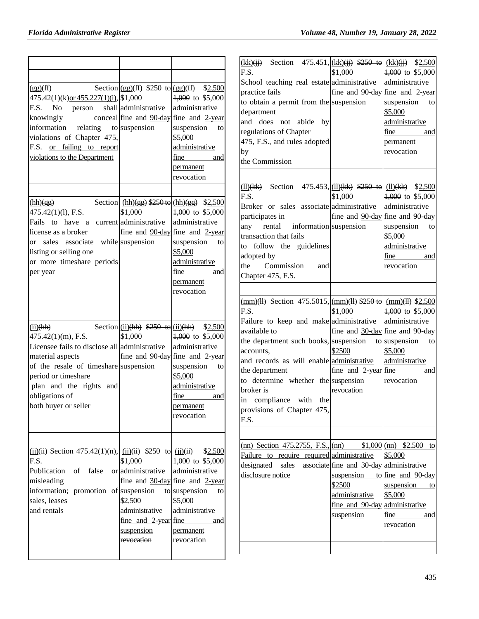| $\frac{f(f)}{f(f)}$<br>475.42(1)(k) <u>or 455.227(1)(i),</u> \$1,000<br>F.S.<br>No<br>person<br>knowingly<br>information relating<br>violations of Chapter 475,<br>F.S. or failing to report<br>violations to the Department                | Section $(gg)(ff)$ \$250 to $(gg)(ff)$<br>shall administrative<br>to suspension          | \$2,500<br>1,000 to \$5,000<br>administrative<br>conceal fine and $90$ -day fine and 2-year<br>suspension<br>to<br>\$5,000<br>administrative<br>fine<br>and<br>permanent                                                            | $\underline{\text{(kk)}(\{j\})}$ Section 475.451, $\underline{\text{(kk)}(\{j\})}$ \$250 to $\underline{\text{(kk)}(\{j\})}$ \$2.500<br>F.S.<br>School teaching real estate administrative<br>practice fails<br>to obtain a permit from the suspension<br>department<br>and does not abide by<br>regulations of Chapter<br>475, F.S., and rules adopted<br>by<br>the Commission                                                                    | \$1,000                                                                                                                            | 1,000 to \$5,000<br>administrative<br>fine and 90-day fine and $2$ -year<br>suspension<br>to<br>\$5,000<br>administrative<br>fine<br>and<br>permanent<br>revocation         |
|---------------------------------------------------------------------------------------------------------------------------------------------------------------------------------------------------------------------------------------------|------------------------------------------------------------------------------------------|-------------------------------------------------------------------------------------------------------------------------------------------------------------------------------------------------------------------------------------|----------------------------------------------------------------------------------------------------------------------------------------------------------------------------------------------------------------------------------------------------------------------------------------------------------------------------------------------------------------------------------------------------------------------------------------------------|------------------------------------------------------------------------------------------------------------------------------------|-----------------------------------------------------------------------------------------------------------------------------------------------------------------------------|
| (hh)(gg)<br>$475.42(1)(1)$ , F.S.<br>Fails to have a current administrative<br>license as a broker<br>or sales associate while suspension<br>listing or selling one<br>or more timeshare periods<br>per year                                | \$1,000                                                                                  | revocation<br>Section $(hh)(gg)$ \$250 to $(hh)(gg)$ \$2,500<br>4,000 to \$5,000<br>administrative<br>fine and $90$ -day fine and 2-year<br>suspension<br>to<br>\$5,000<br>administrative<br>fine<br>and<br>permanent<br>revocation | Section $475.453$ , (11) (kk) $$250$ to<br>$(11)$ $(kk)$<br>F.S.<br>Broker or sales associate administrative<br>participates in<br>rental information suspension<br>any<br>transaction that fails<br>to follow the guidelines<br>adopted by<br>Commission<br>the<br>and<br>Chapter 475, F.S.                                                                                                                                                       | \$1,000                                                                                                                            | $(11)(kk)$ \$2,500<br>$4,000$ to \$5,000<br>administrative<br>fine and 90-day fine and 90-day<br>suspension<br>to<br>\$5,000<br>administrative<br>fine<br>and<br>revocation |
| (ii)(hh)<br>$475.42(1)(m)$ , F.S.<br>Licensee fails to disclose all administrative<br>material aspects<br>of the resale of timeshare suspension<br>period or timeshare<br>plan and the rights and<br>obligations of<br>both buyer or seller | Section $(ii)(hh)$ \$250 to $(i)(hh)$<br>\$1,000                                         | \$2,500<br>$1,000$ to \$5,000<br>administrative<br>fine and $90$ -day fine and 2-year<br>suspension<br>to<br>\$5,000<br>administrative<br>fine<br>and<br>permanent<br>revocation                                                    | $\frac{\text{(mm)}(11)}{\text{S}}$ Section 475.5015, $\frac{\text{(mm)}(11)}{250 \text{ to}}$ $\frac{\text{(mm)}(11)}{250 \text{ to}}$<br>F.S.<br>Failure to keep and make administrative<br>available to<br>the department such books, suspension<br>accounts,<br>and records as will enable administrative<br>the department<br>to determine whether the suspension<br>broker is<br>in compliance with the<br>provisions of Chapter 475,<br>F.S. | \$1,000<br>\$2500<br>fine and 2-year fine<br>revocation                                                                            | $1,000$ to \$5,000<br>administrative<br>fine and 30-day fine and 90-day<br>to suspension to<br>\$5,000<br>administrative<br>and<br>revocation                               |
| $(i)$ $(i)$ $(i)$ Section 475.42(1)(n), $(i)$ $(i)$ $(i)$ $(ii)$ $(ii)$ $(ii)$<br>F.S.<br>Publication of false or administrative<br>misleading<br>information; promotion of suspension<br>sales, leases<br>and rentals                      | \$1,000<br>\$2,500<br>administrative<br>fine and 2-year fine<br>suspension<br>revocation | \$2,500<br>4,000 to \$5,000<br>administrative<br>fine and $30$ -day fine and 2-year<br>to suspension<br>to<br>\$5,000<br>administrative<br>and<br>permanent<br>revocation                                                           | (nn) Section 475.2755, F.S., $\frac{\text{m}}{\text{m}}$<br>Failure to require required administrative<br>designated<br>sales<br>disclosure notice                                                                                                                                                                                                                                                                                                 | associate fine and 30-day administrative<br>suspension<br>\$2500<br>administrative<br>fine and 90-day administrative<br>suspension | $$1,000$ (nn) $$2.500$ to<br>\$5,000<br>to fine and 90-day<br>suspension<br>to<br>\$5,000<br>fine<br>and<br>revocation                                                      |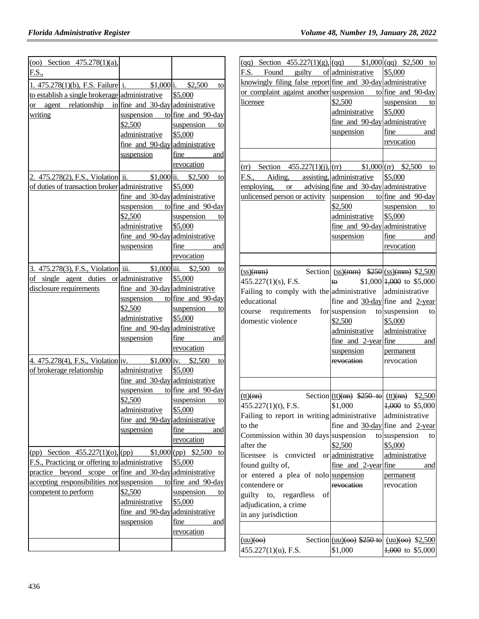| (oo) Section $475.278(1)(a)$ ,                                      |                                                  |                                  |
|---------------------------------------------------------------------|--------------------------------------------------|----------------------------------|
| F.S.,                                                               |                                                  |                                  |
| 1. $475.278(1)(b)$ , F.S. Failure i. \$1,000 i. \$2,500             |                                                  | to                               |
| to establish a single brokerage administrative                      |                                                  | \$5,000                          |
| or agent relationship in fine and 30-day administrative             |                                                  |                                  |
| writing                                                             |                                                  | suspension to fine and $90$ -day |
|                                                                     | \$2,500                                          | suspension to                    |
|                                                                     | administrative                                   | \$5,000                          |
|                                                                     | fine and 90-day administrative                   |                                  |
|                                                                     | suspension                                       | fine and                         |
|                                                                     |                                                  | revocation                       |
| 2. 475.278(2), F.S., Violation ii.                                  |                                                  | $$1,000$ ii. $$2,500$<br>to      |
| of duties of transaction broker administrative                      |                                                  | \$5,000                          |
|                                                                     | fine and 30-day administrative                   |                                  |
|                                                                     |                                                  | suspension to fine and $90$ -day |
|                                                                     | \$2,500                                          | suspension to                    |
|                                                                     | administrative                                   | \$5,000                          |
|                                                                     | fine and 90-day administrative                   |                                  |
|                                                                     | suspension                                       | fine<br>and                      |
|                                                                     |                                                  | revocation                       |
| <u>3. 475.278(3), F.S., Violation iii. \$1,000 iii. \$2,500</u> to  |                                                  |                                  |
| of single agent duties                                              | or administrative                                | \$5,000                          |
| disclosure requirements                                             | fine and 30-day administrative                   |                                  |
|                                                                     | suspension                                       | to fine and 90-day               |
|                                                                     | \$2,500                                          | suspension<br>t <sub>0</sub>     |
|                                                                     | administrative                                   | \$5,000                          |
|                                                                     | fine and 90-day administrative                   |                                  |
|                                                                     | suspension                                       | fine<br>and                      |
|                                                                     |                                                  | revocation                       |
| 4. 475.278(4), F.S., Violation iv. \$1,000 iv. \$2,500 to           |                                                  |                                  |
| of brokerage relationship                                           | administrative                                   | \$5,000                          |
|                                                                     | fine and 30-day administrative                   |                                  |
|                                                                     | suspension                                       | to fine and $90$ -day            |
|                                                                     | \$2,500                                          |                                  |
|                                                                     |                                                  | suspension<br>to                 |
|                                                                     | administrative<br>fine and 90-day administrative | \$5,000                          |
|                                                                     |                                                  |                                  |
|                                                                     | suspension                                       | fine<br>and                      |
|                                                                     |                                                  | revocation                       |
| (pp) Section $455.227(1)(o), (pp)$ \$1,000 (pp) \$2,500 to          |                                                  |                                  |
| F.S., Practicing or offering to administrative                      |                                                  | \$5,000                          |
| practice beyond scope or fine and 30-day administrative             |                                                  |                                  |
| <u>accepting responsibilities not</u> suspension to fine and 90-day |                                                  |                                  |
| competent to perform                                                | \$2,500                                          | suspension to                    |
|                                                                     | administrative                                   | \$5,000                          |
|                                                                     | fine and 90-day administrative                   |                                  |
|                                                                     | suspension                                       | fine example<br>and              |
|                                                                     |                                                  | revocation                       |
|                                                                     |                                                  |                                  |
|                                                                     |                                                  |                                  |

| (qq) Section $455.227(1)(g)$ , (qq) $$1,000$ (qq) \$2,500 to                        |                                |                                                                            |
|-------------------------------------------------------------------------------------|--------------------------------|----------------------------------------------------------------------------|
| F.S. Found guilty of administrative                                                 |                                | \$5,000                                                                    |
| knowingly filing false report fine and 30-day administrative                        |                                |                                                                            |
| or complaint against another suspension to fine and 90-day                          |                                |                                                                            |
| licensee                                                                            | \$2,500                        | suspension to                                                              |
|                                                                                     | administrative \$5,000         |                                                                            |
|                                                                                     | fine and 90-day administrative |                                                                            |
|                                                                                     | suspension                     | fine and                                                                   |
|                                                                                     |                                | revocation                                                                 |
|                                                                                     |                                |                                                                            |
|                                                                                     |                                |                                                                            |
| $(\text{rr})$ Section 455.227(1)(j), $(\text{rr})$ \$1,000 $(\text{rr})$ \$2,500 to |                                |                                                                            |
| F.S., Aiding, assisting, administrative                                             |                                | \$5,000                                                                    |
| employing, or advising fine and 30-day administrative                               |                                |                                                                            |
| unlicensed person or activity suspension to fine and 90-day                         |                                |                                                                            |
|                                                                                     | \$2,500                        | suspension to                                                              |
|                                                                                     | administrative                 | \$5,000                                                                    |
|                                                                                     | fine and 90-day administrative |                                                                            |
|                                                                                     | suspension                     | <u>fine</u><br>and                                                         |
|                                                                                     |                                | revocation                                                                 |
|                                                                                     |                                |                                                                            |
| $\frac{\text{(ss)} + \text{mm}}{2}$                                                 |                                | Section $(ss)(mm)$ $$250$ $(ss)(mm)$ $$2,500$                              |
| $455.227(1)(s)$ , F.S.                                                              |                                | $\star \Theta$ \$1,000 <del>1,000</del> to \$5,000                         |
| Failing to comply with the administrative administrative                            |                                |                                                                            |
| educational                                                                         |                                | fine and $30$ -day fine and 2-year                                         |
| course requirements for suspension to suspension                                    |                                | to                                                                         |
| domestic violence                                                                   | \$2,500                        | \$5,000                                                                    |
|                                                                                     | administrative                 | administrative                                                             |
|                                                                                     | $fine$ and $2-year$ $fine$     | and                                                                        |
|                                                                                     | suspension                     | permanent                                                                  |
|                                                                                     | revocation                     | revocation                                                                 |
|                                                                                     |                                |                                                                            |
|                                                                                     |                                |                                                                            |
| (tt)(nn)                                                                            |                                | Section $(tt)(nn)$ \$250 to $(tt)(nn)$ \$2,500                             |
| 455.227(1)(t), F.S.                                                                 | \$1,000                        | $ 1,000 \rangle$ to \$5,000                                                |
| Failing to report in writing administrative                                         |                                | administrative                                                             |
| to the                                                                              |                                | fine and $30$ -day fine and 2-year                                         |
| Commission within 30 days suspension                                                |                                | to suspension<br>to                                                        |
| after the                                                                           | \$2,500                        | \$5,000                                                                    |
| licensee<br>is convicted                                                            | or administrative              | administrative                                                             |
| found guilty of,                                                                    | fine and $2$ -year fine        | and                                                                        |
| or entered a plea of nolo suspension                                                |                                |                                                                            |
| contendere or                                                                       | revocation                     | permanent<br>revocation                                                    |
| guilty to, regardless<br>οf                                                         |                                |                                                                            |
| adjudication, a crime                                                               |                                |                                                                            |
| in any jurisdiction                                                                 |                                |                                                                            |
|                                                                                     |                                |                                                                            |
|                                                                                     |                                |                                                                            |
|                                                                                     |                                |                                                                            |
| $(uu)(\Theta$<br>$455.227(1)(u)$ , F.S.                                             | \$1,000                        | Section $(uu)(\omega)$ \$250 to $(uu)(\omega)$ \$2,500<br>4,000 to \$5,000 |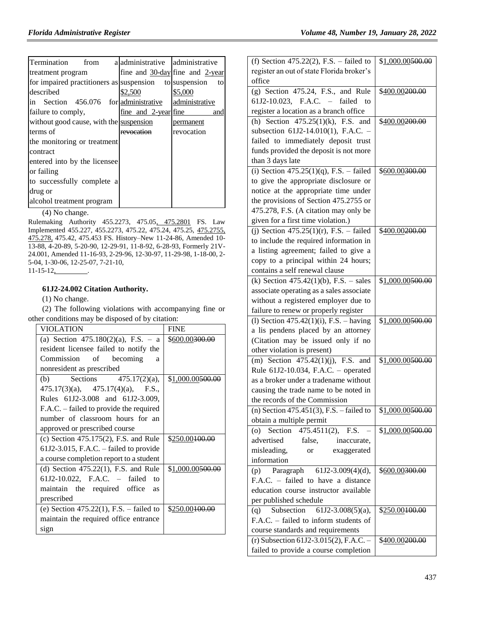| Termination<br>from                                    | a administrative administrative |                                       |
|--------------------------------------------------------|---------------------------------|---------------------------------------|
| treatment program                                      |                                 | fine and $30$ -day fine and $2$ -year |
| for impaired practitioners as suspension to suspension |                                 | to                                    |
| described                                              | \$2.500                         | \$5,000                               |
| in Section 456.076 for administrative                  |                                 | administrative                        |
| failure to comply,                                     | fine and 2-year fine            | and                                   |
| without good cause, with the suspension                |                                 | permanent                             |
| terms of                                               | revocation                      | revocation                            |
| the monitoring or treatment                            |                                 |                                       |
| contract                                               |                                 |                                       |
| entered into by the licensee                           |                                 |                                       |
| or failing                                             |                                 |                                       |
| to successfully complete a                             |                                 |                                       |
| drug or                                                |                                 |                                       |
| alcohol treatment program                              |                                 |                                       |

(4) No change.

Rulemaking Authority 455.2273, 475.05, 475.2801 FS. Law Implemented 455.227, 455.2273, 475.22, 475.24, 475.25, 475.2755, 475.278, 475.42, 475.453 FS. History–New 11-24-86, Amended 10- 13-88, 4-20-89, 5-20-90, 12-29-91, 11-8-92, 6-28-93, Formerly 21V-24.001, Amended 11-16-93, 2-29-96, 12-30-97, 11-29-98, 1-18-00, 2- 5-04, 1-30-06, 12-25-07, 7-21-10,  $11 - 15 - 12$ ,

#### **61J2-24.002 Citation Authority.**

(1) No change.

(2) The following violations with accompanying fine or other conditions may be disposed of by citation:

| VIOLATION                                   | <b>FINE</b>                  |
|---------------------------------------------|------------------------------|
| (a) Section $475.180(2)(a)$ , F.S. – a      | \$600.00 <del>300.00</del>   |
| resident licensee failed to notify the      |                              |
| Commission of becoming<br>a                 |                              |
| nonresident as prescribed                   |                              |
| (b) Sections $475.17(2)(a)$ ,               | \$1,000.00 <del>500.00</del> |
| $475.17(3)(a)$ , $475.17(4)(a)$ , F.S.,     |                              |
| Rules 61J2-3.008 and 61J2-3.009,            |                              |
| F.A.C. – failed to provide the required     |                              |
| number of classroom hours for an            |                              |
| approved or prescribed course               |                              |
| $(c)$ Section 475.175 $(2)$ , F.S. and Rule | \$250.00 <del>100.00</del>   |
| $61J2-3.015$ , F.A.C. – failed to provide   |                              |
| a course completion report to a student     |                              |
| (d) Section $475.22(1)$ , F.S. and Rule     | \$1,000.00 <del>500.00</del> |
| 61J2-10.022, F.A.C. – failed<br>to          |                              |
| maintain the required office<br><b>as</b>   |                              |
| prescribed                                  |                              |
| (e) Section $475.22(1)$ , F.S. – failed to  | \$250.00 <del>100.00</del>   |
| maintain the required office entrance       |                              |
| sign                                        |                              |

| (f) Section 475.22(2), F.S. – failed to     | \$1,000.00500.00           |
|---------------------------------------------|----------------------------|
|                                             |                            |
| register an out of state Florida broker's   |                            |
| office                                      |                            |
| $(g)$ Section 475.24, F.S., and Rule        | \$400.00 <del>200.00</del> |
| 61J2-10.023, F.A.C. - failed to             |                            |
| register a location as a branch office      |                            |
| (h) Section $475.25(1)(k)$ , F.S. and       | \$400.00200.00             |
| subsection 61J2-14.010(1), F.A.C. -         |                            |
| failed to immediately deposit trust         |                            |
| funds provided the deposit is not more      |                            |
|                                             |                            |
| than 3 days late                            |                            |
| (i) Section $475.25(1)(q)$ , F.S. – failed  | \$600.00300.00             |
| to give the appropriate disclosure or       |                            |
| notice at the appropriate time under        |                            |
| the provisions of Section 475.2755 or       |                            |
| 475.278, F.S. (A citation may only be       |                            |
| given for a first time violation.)          |                            |
| (j) Section $475.25(1)(r)$ , F.S. – failed  | \$400.00200.00             |
| to include the required information in      |                            |
| a listing agreement; failed to give a       |                            |
| copy to a principal within 24 hours;        |                            |
|                                             |                            |
| contains a self renewal clause              |                            |
| (k) Section $475.42(1)(b)$ , F.S. – sales   | \$1,000.00500.00           |
| associate operating as a sales associate    |                            |
| without a registered employer due to        |                            |
| failure to renew or properly register       |                            |
| (1) Section $475.42(1)(i)$ , F.S. – having  | \$1,000.00500.00           |
| a lis pendens placed by an attorney         |                            |
| (Citation may be issued only if no          |                            |
| other violation is present)                 |                            |
| (m) Section $475.42(1)(j)$ , F.S. and       | \$1,000.00500.00           |
|                                             |                            |
| Rule 61J2-10.034, F.A.C. - operated         |                            |
| as a broker under a tradename without       |                            |
| causing the trade name to be noted in       |                            |
| the records of the Commission               |                            |
| (n) Section $475.451(3)$ , F.S. - failed to | \$1,000.00500.00           |
| obtain a multiple permit                    |                            |
| Section 475.4511(2), F.S.<br>(0)            | \$1,000.00500.00           |
| advertised<br>false,<br>inaccurate,         |                            |
| misleading,<br>or exaggerated               |                            |
| information                                 |                            |
| (p) Paragraph $61J2-3.009(4)(d)$ ,          | \$600.00 <del>300.00</del> |
| F.A.C. - failed to have a distance          |                            |
|                                             |                            |
| education course instructor available       |                            |
| per published schedule                      |                            |
| (q) Subsection $61J2-3.008(5)(a)$ ,         | \$250.00100.00             |
| F.A.C. - failed to inform students of       |                            |
| course standards and requirements           |                            |
| (r) Subsection 61J2-3.015(2), F.A.C. -      | \$ <u>400.00</u> 200.00    |
| failed to provide a course completion       |                            |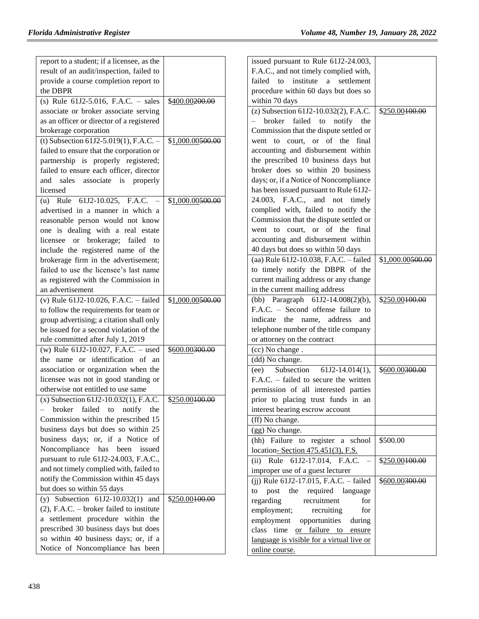| report to a student; if a licensee, as the  |                            | issued pursuant to Rule 61J2-24.003,       |                            |
|---------------------------------------------|----------------------------|--------------------------------------------|----------------------------|
| result of an audit/inspection, failed to    |                            | F.A.C., and not timely complied with,      |                            |
| provide a course completion report to       |                            | failed to institute a settlement           |                            |
| the DBPR                                    |                            | procedure within 60 days but does so       |                            |
| (s) Rule $61J2-5.016$ , F.A.C. - sales      | \$400.00200.00             | within 70 days                             |                            |
| associate or broker associate serving       |                            | (z) Subsection $61J2-10.032(2)$ , F.A.C.   | \$250.00100.00             |
| as an officer or director of a registered   |                            | broker failed to notify<br>$\equiv$<br>the |                            |
| brokerage corporation                       |                            | Commission that the dispute settled or     |                            |
| (t) Subsection 61J2-5.019(1), F.A.C. -      | \$1,000.00500.00           | went to court, or of the final             |                            |
| failed to ensure that the corporation or    |                            | accounting and disbursement within         |                            |
| partnership is properly registered;         |                            | the prescribed 10 business days but        |                            |
| failed to ensure each officer, director     |                            | broker does so within 20 business          |                            |
| and sales associate is properly             |                            | days; or, if a Notice of Noncompliance     |                            |
| licensed                                    |                            | has been issued pursuant to Rule 61J2-     |                            |
| (u) Rule $61J2-10.025$ , F.A.C. -           | \$1,000.00500.00           | 24.003, F.A.C., and not timely             |                            |
| advertised in a manner in which a           |                            | complied with, failed to notify the        |                            |
| reasonable person would not know            |                            | Commission that the dispute settled or     |                            |
| one is dealing with a real estate           |                            | went to court, or of the final             |                            |
| licensee or brokerage; failed to            |                            | accounting and disbursement within         |                            |
| include the registered name of the          |                            | 40 days but does so within 50 days         |                            |
| brokerage firm in the advertisement;        |                            | (aa) Rule 61J2-10.038, F.A.C. - failed     | \$1,000.00500.00           |
| failed to use the licensee's last name      |                            | to timely notify the DBPR of the           |                            |
| as registered with the Commission in        |                            | current mailing address or any change      |                            |
| an advertisement                            |                            | in the current mailing address             |                            |
| (v) Rule $61J2-10.026$ , F.A.C. - failed    | \$1,000.00500.00           | (bb) Paragraph $61J2-14.008(2)(b)$ ,       | \$250.00100.00             |
| to follow the requirements for team or      |                            | F.A.C. - Second offense failure to         |                            |
| group advertising; a citation shall only    |                            | indicate the name, address and             |                            |
| be issued for a second violation of the     |                            | telephone number of the title company      |                            |
| rule committed after July 1, 2019           |                            | or attorney on the contract                |                            |
| (w) Rule 61J2-10.027, F.A.C. - used         | \$600.00300.00             | (cc) No change.                            |                            |
| the name or identification of an            |                            | (dd) No change.                            |                            |
| association or organization when the        |                            | Subsection<br>$61J2-14.014(1),$<br>(ee)    | \$600.00 <del>300.00</del> |
| licensee was not in good standing or        |                            | F.A.C. - failed to secure the written      |                            |
| otherwise not entitled to use same          |                            | permission of all interested parties       |                            |
| $(x)$ Subsection 61J2-10.032(1), F.A.C.     | \$250.00100.00             | prior to placing trust funds in an         |                            |
| broker failed to notify<br>the              |                            | interest bearing escrow account            |                            |
| Commission within the prescribed 15         |                            | (ff) No change.                            |                            |
| business days but does so within 25         |                            | (gg) No change.                            |                            |
| business days; or, if a Notice of           |                            | (hh) Failure to register a school          | \$500.00                   |
| Noncompliance has been issued               |                            | location-Section 475.451(3), F.S.          |                            |
| pursuant to rule 61J2-24.003, F.A.C.,       |                            | (ii) Rule 61J2-17.014, F.A.C.              | \$250.00100.00             |
| and not timely complied with, failed to     |                            | improper use of a guest lecturer           |                            |
| notify the Commission within 45 days        |                            | (ij) Rule $61J2-17.015$ , F.A.C. - failed  | \$600.00300.00             |
| but does so within 55 days                  |                            | post the required language<br>to           |                            |
| (y) Subsection $61J2-10.032(1)$ and         | \$250.00 <del>100.00</del> | regarding<br>recruitment<br>for            |                            |
| $(2)$ , F.A.C. – broker failed to institute |                            | employment;<br>recruiting<br>for           |                            |
| a settlement procedure within the           |                            | employment opportunities<br>during         |                            |
| prescribed 30 business days but does        |                            | class time or failure to ensure            |                            |
| so within 40 business days; or, if a        |                            | language is visible for a virtual live or  |                            |
| Notice of Noncompliance has been            |                            | online course.                             |                            |
|                                             |                            |                                            |                            |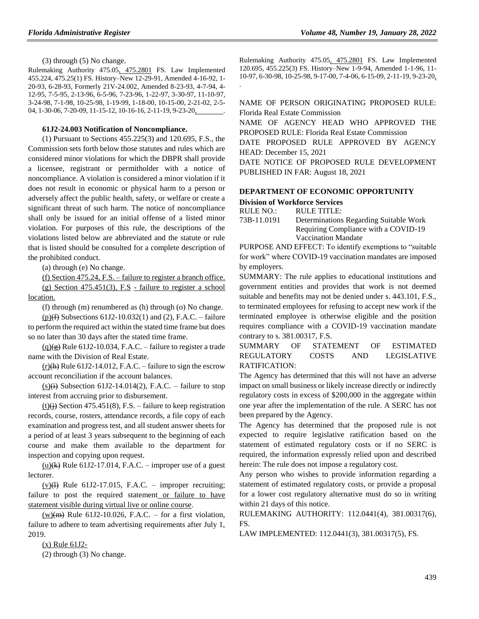(3) through (5) No change.

Rulemaking Authority 475.05, 475.2801 FS. Law Implemented 455.224, 475.25(1) FS. History–New 12-29-91, Amended 4-16-92, 1- 20-93, 6-28-93, Formerly 21V-24.002, Amended 8-23-93, 4-7-94, 4- 12-95, 7-5-95, 2-13-96, 6-5-96, 7-23-96, 1-22-97, 3-30-97, 11-10-97, 3-24-98, 7-1-98, 10-25-98, 1-19-99, 1-18-00, 10-15-00, 2-21-02, 2-5- 04, 1-30-06, 7-20-09, 11-15-12, 10-16-16, 2-11-19, 9-23-20,

#### **61J2-24.003 Notification of Noncompliance.**

(1) Pursuant to Sections 455.225(3) and 120.695, F.S., the Commission sets forth below those statutes and rules which are considered minor violations for which the DBPR shall provide a licensee, registrant or permitholder with a notice of noncompliance. A violation is considered a minor violation if it does not result in economic or physical harm to a person or adversely affect the public health, safety, or welfare or create a significant threat of such harm. The notice of noncompliance shall only be issued for an initial offense of a listed minor violation. For purposes of this rule, the descriptions of the violations listed below are abbreviated and the statute or rule that is listed should be consulted for a complete description of the prohibited conduct.

(a) through (e) No change.

(f) Section 475.24, F.S. – failure to register a branch office. (g) Section 475.451(3), F.S - failure to register a school

location.

(f) through (m) renumbered as (h) through (o) No change.

 $(p)(f)$  Subsections 61J2-10.032(1) and (2), F.A.C. – failure to perform the required act within the stated time frame but does so no later than 30 days after the stated time frame.

 $(q)(g)$  Rule 61J2-10.034, F.A.C. – failure to register a trade name with the Division of Real Estate.

 $(r)$ (h) Rule 61J2-14.012, F.A.C. – failure to sign the escrow account reconciliation if the account balances.

 $(s)$  (i) Subsection 61J2-14.014(2), F.A.C. – failure to stop interest from accruing prior to disbursement.

(t) $(i)$ ) Section 475.451(8), F.S. – failure to keep registration records, course, rosters, attendance records, a file copy of each examination and progress test, and all student answer sheets for a period of at least 3 years subsequent to the beginning of each course and make them available to the department for inspection and copying upon request.

(u) $(k)$  Rule 61J2-17.014, F.A.C. – improper use of a guest lecturer.

 $(v)(\theta)$  Rule 61J2-17.015, F.A.C. – improper recruiting; failure to post the required statement or failure to have statement visible during virtual live or online course.

 $(w)(m)$  Rule 61J2-10.026, F.A.C. – for a first violation, failure to adhere to team advertising requirements after July 1, 2019.

(x) Rule 61J2-

(2) through (3) No change.

Rulemaking Authority 475.05, 475.2801 FS. Law Implemented 120.695, 455.225(3) FS. History–New 1-9-94, Amended 1-1-96, 11- 10-97, 6-30-98, 10-25-98, 9-17-00, 7-4-06, 6-15-09, 2-11-19, 9-23-20,

NAME OF PERSON ORIGINATING PROPOSED RULE: Florida Real Estate Commission

NAME OF AGENCY HEAD WHO APPROVED THE PROPOSED RULE: Florida Real Estate Commission

DATE PROPOSED RULE APPROVED BY AGENCY HEAD: December 15, 2021

DATE NOTICE OF PROPOSED RULE DEVELOPMENT PUBLISHED IN FAR: August 18, 2021

# **[DEPARTMENT OF ECONOMIC OPPORTUNITY](https://www.flrules.org/gateway/department.asp?id=73)**

#### **Division of [Workforce Services](https://www.flrules.org/gateway/organization.asp?id=1065)**

.

| RULE NO.:   | RULE TITLE:                            |
|-------------|----------------------------------------|
| 73B-11.0191 | Determinations Regarding Suitable Work |

Requiring Compliance with a COVID-19 Vaccination Mandate

PURPOSE AND EFFECT: To identify exemptions to "suitable for work" where COVID-19 vaccination mandates are imposed by employers.

SUMMARY: The rule applies to educational institutions and government entities and provides that work is not deemed suitable and benefits may not be denied under s. 443.101, F.S., to terminated employees for refusing to accept new work if the terminated employee is otherwise eligible and the position requires compliance with a COVID-19 vaccination mandate contrary to s. 381.00317, F.S.

SUMMARY OF STATEMENT OF ESTIMATED REGULATORY COSTS AND LEGISLATIVE RATIFICATION:

The Agency has determined that this will not have an adverse impact on small business or likely increase directly or indirectly regulatory costs in excess of \$200,000 in the aggregate within one year after the implementation of the rule. A SERC has not been prepared by the Agency.

The Agency has determined that the proposed rule is not expected to require legislative ratification based on the statement of estimated regulatory costs or if no SERC is required, the information expressly relied upon and described herein: The rule does not impose a regulatory cost.

Any person who wishes to provide information regarding a statement of estimated regulatory costs, or provide a proposal for a lower cost regulatory alternative must do so in writing within 21 days of this notice.

RULEMAKING AUTHORITY: [112.0441\(4\),](https://www.flrules.org/gateway/statute.asp?id=112.0441(4)) [381.00317\(6\),](https://www.flrules.org/gateway/statute.asp?id=%20381.00317(6)) FS.

LAW IMPLEMENTED: [112.0441\(3\),](https://www.flrules.org/gateway/statute.asp?id=112.0441(3)) [381.00317\(5\),](https://www.flrules.org/gateway/statute.asp?id=%20381.00317(5)) FS.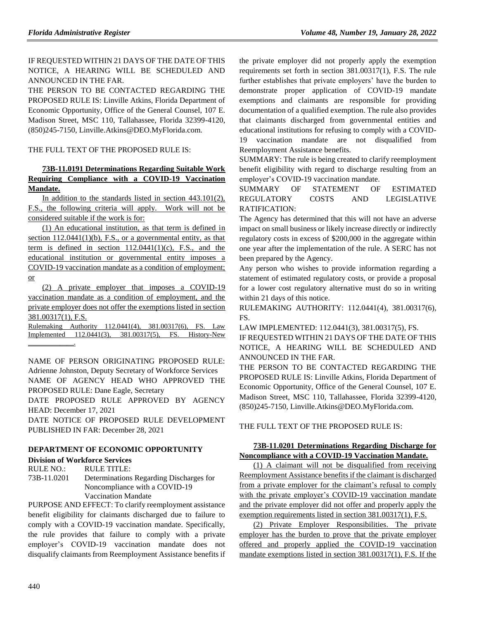IF REQUESTED WITHIN 21 DAYS OF THE DATE OF THIS NOTICE, A HEARING WILL BE SCHEDULED AND ANNOUNCED IN THE FAR.

THE PERSON TO BE CONTACTED REGARDING THE PROPOSED RULE IS: Linville Atkins, Florida Department of Economic Opportunity, Office of the General Counsel, 107 E. Madison Street, MSC 110, Tallahassee, Florida 32399-4120, (850)245-7150, Linville.Atkins@DEO.MyFlorida.com.

THE FULL TEXT OF THE PROPOSED RULE IS:

# **73B-11.0191 Determinations Regarding Suitable Work Requiring Compliance with a COVID-19 Vaccination Mandate.**

In addition to the standards listed in section 443.101(2), F.S., the following criteria will apply. Work will not be considered suitable if the work is for:

(1) An educational institution, as that term is defined in section  $112.0441(1)(b)$ , F.S., or a governmental entity, as that term is defined in section  $112.0441(1)(c)$ , F.S., and the educational institution or governmental entity imposes a COVID-19 vaccination mandate as a condition of employment; or

(2) A private employer that imposes a COVID-19 vaccination mandate as a condition of employment, and the private employer does not offer the exemptions listed in section 381.00317(1), F.S.

Rulemaking Authority 112.0441(4), 381.00317(6), FS. Law Implemented 112.0441(3), 381.00317(5), FS. History-New  $\mathcal{L}=\mathcal{L}^{\text{max}}$ 

NAME OF PERSON ORIGINATING PROPOSED RULE: Adrienne Johnston, Deputy Secretary of Workforce Services NAME OF AGENCY HEAD WHO APPROVED THE PROPOSED RULE: Dane Eagle, Secretary

DATE PROPOSED RULE APPROVED BY AGENCY HEAD: December 17, 2021

DATE NOTICE OF PROPOSED RULE DEVELOPMENT PUBLISHED IN FAR: December 28, 2021

# **[DEPARTMENT OF ECONOMIC OPPORTUNITY](https://www.flrules.org/gateway/department.asp?id=73)**

#### **[Division of Workforce Services](https://www.flrules.org/gateway/organization.asp?id=1065)**

RULE NO.: RULE TITLE: [73B-11.0201](https://www.flrules.org/gateway/ruleNo.asp?id=73B-11.0201) Determinations Regarding Discharges for Noncompliance with a COVID-19 Vaccination Mandate

PURPOSE AND EFFECT: To clarify reemployment assistance benefit eligibility for claimants discharged due to failure to comply with a COVID-19 vaccination mandate. Specifically, the rule provides that failure to comply with a private employer's COVID-19 vaccination mandate does not disqualify claimants from Reemployment Assistance benefits if the private employer did not properly apply the exemption requirements set forth in section 381.00317(1), F.S. The rule further establishes that private employers' have the burden to demonstrate proper application of COVID-19 mandate exemptions and claimants are responsible for providing documentation of a qualified exemption. The rule also provides that claimants discharged from governmental entities and educational institutions for refusing to comply with a COVID-19 vaccination mandate are not disqualified from Reemployment Assistance benefits.

SUMMARY: The rule is being created to clarify reemployment benefit eligibility with regard to discharge resulting from an employer's COVID-19 vaccination mandate.

# SUMMARY OF STATEMENT OF ESTIMATED REGULATORY COSTS AND LEGISLATIVE RATIFICATION:

The Agency has determined that this will not have an adverse impact on small business or likely increase directly or indirectly regulatory costs in excess of \$200,000 in the aggregate within one year after the implementation of the rule. A SERC has not been prepared by the Agency.

Any person who wishes to provide information regarding a statement of estimated regulatory costs, or provide a proposal for a lower cost regulatory alternative must do so in writing within 21 days of this notice.

RULEMAKING AUTHORITY: [112.0441\(4\),](https://www.flrules.org/gateway/statute.asp?id=112.0441(4)) [381.00317\(6\),](https://www.flrules.org/gateway/statute.asp?id=%20381.00317(6)) FS.

LAW IMPLEMENTED: [112.0441\(3\),](https://www.flrules.org/gateway/statute.asp?id=112.0441(3)) [381.00317\(5\),](https://www.flrules.org/gateway/statute.asp?id=%20381.00317(5)) FS.

IF REQUESTED WITHIN 21 DAYS OF THE DATE OF THIS NOTICE, A HEARING WILL BE SCHEDULED AND ANNOUNCED IN THE FAR.

THE PERSON TO BE CONTACTED REGARDING THE PROPOSED RULE IS: Linville Atkins, Florida Department of Economic Opportunity, Office of the General Counsel, 107 E. Madison Street, MSC 110, Tallahassee, Florida 32399-4120, (850)245-7150, Linville.Atkins@DEO.MyFlorida.com.

THE FULL TEXT OF THE PROPOSED RULE IS:

# **73B-11.0201 Determinations Regarding Discharge for Noncompliance with a COVID-19 Vaccination Mandate.**

(1) A claimant will not be disqualified from receiving Reemployment Assistance benefits if the claimant is discharged from a private employer for the claimant's refusal to comply with the private employer's COVID-19 vaccination mandate and the private employer did not offer and properly apply the exemption requirements listed in section 381.00317(1), F.S.

(2) Private Employer Responsibilities. The private employer has the burden to prove that the private employer offered and properly applied the COVID-19 vaccination mandate exemptions listed in section 381.00317(1), F.S. If the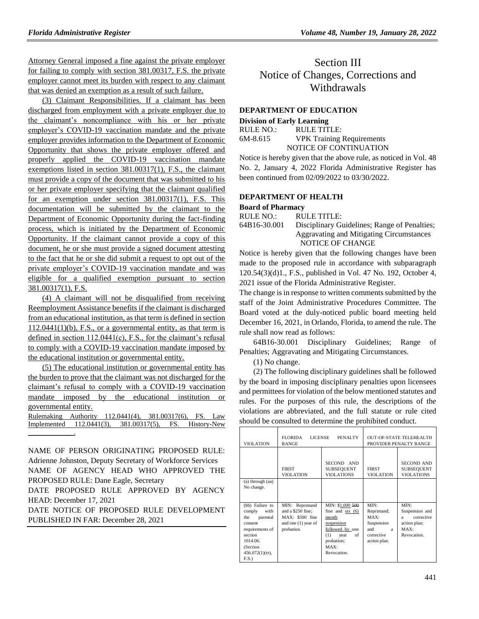Attorney General imposed a fine against the private employer for failing to comply with section 381.00317, F.S. the private employer cannot meet its burden with respect to any claimant that was denied an exemption as a result of such failure.

(3) Claimant Responsibilities. If a claimant has been discharged from employment with a private employer due to the claimant's noncompliance with his or her private employer's COVID-19 vaccination mandate and the private employer provides information to the Department of Economic Opportunity that shows the private employer offered and properly applied the COVID-19 vaccination mandate exemptions listed in section 381.00317(1), F.S., the claimant must provide a copy of the document that was submitted to his or her private employer specifying that the claimant qualified for an exemption under section 381.00317(1), F.S. This documentation will be submitted by the claimant to the Department of Economic Opportunity during the fact-finding process, which is initiated by the Department of Economic Opportunity. If the claimant cannot provide a copy of this document, he or she must provide a signed document attesting to the fact that he or she did submit a request to opt out of the private employer's COVID-19 vaccination mandate and was eligible for a qualified exemption pursuant to section 381.00317(1), F.S.

(4) A claimant will not be disqualified from receiving Reemployment Assistance benefits if the claimant is discharged from an educational institution, as that term is defined in section  $112.0441(1)(b)$ , F.S., or a governmental entity, as that term is defined in section 112.0441(c), F.S., for the claimant's refusal to comply with a COVID-19 vaccination mandate imposed by the educational institution or governmental entity.

(5) The educational institution or governmental entity has the burden to prove that the claimant was not discharged for the claimant's refusal to comply with a COVID-19 vaccination mandate imposed by the educational institution or governmental entity.

| Rulemaking Authority 112.0441(4), 381.00317(6), FS. Law |  |  |  |  |
|---------------------------------------------------------|--|--|--|--|
| Implemented 112.0441(3), 381.00317(5), FS. History-New  |  |  |  |  |
|                                                         |  |  |  |  |

NAME OF PERSON ORIGINATING PROPOSED RULE: Adrienne Johnston, Deputy Secretary of Workforce Services NAME OF AGENCY HEAD WHO APPROVED THE PROPOSED RULE: Dane Eagle, Secretary

DATE PROPOSED RULE APPROVED BY AGENCY HEAD: December 17, 2021

DATE NOTICE OF PROPOSED RULE DEVELOPMENT PUBLISHED IN FAR: December 28, 2021

# Section III Notice of Changes, Corrections and Withdrawals

# **[DEPARTMENT OF EDUCATION](https://www.flrules.org/gateway/department.asp?id=6)**

| <b>Division of Early Learning</b> |                                  |  |  |
|-----------------------------------|----------------------------------|--|--|
| RULE NO.:                         | $R$ ULE TITLE:                   |  |  |
| 6M-8.615                          | <b>VPK Training Requirements</b> |  |  |
|                                   | NOTICE OF CONTINUATION           |  |  |

Notice is hereby given that the above rule, as noticed in Vol. 48 No. 2, January 4, 2022 Florida Administrative Register has been continued from 02/09/2022 to 03/30/2022.

# **[DEPARTMENT OF HEALTH](https://www.flrules.org/gateway/department.asp?id=64)**

# **[Board of Pharmacy](https://www.flrules.org/gateway/organization.asp?id=307)**

RULE NO.: RULE TITLE:

[64B16-30.001](https://www.flrules.org/gateway/ruleNo.asp?id=64B16-30.001) Disciplinary Guidelines; Range of Penalties; Aggravating and Mitigating Circumstances NOTICE OF CHANGE

Notice is hereby given that the following changes have been made to the proposed rule in accordance with subparagraph 120.54(3)(d)1., F.S., published in Vol. 47 No. 192, October 4, 2021 issue of the Florida Administrative Register.

The change is in response to written comments submitted by the staff of the Joint Administrative Procedures Committee. The Board voted at the duly-noticed public board meeting held December 16, 2021, in Orlando, Florida, to amend the rule. The rule shall now read as follows:

64B16-30.001 Disciplinary Guidelines; Range of Penalties; Aggravating and Mitigating Circumstances.

(1) No change.

(2) The following disciplinary guidelines shall be followed by the board in imposing disciplinary penalties upon licensees and permittees for violation of the below mentioned statutes and rules. For the purposes of this rule, the descriptions of the violations are abbreviated, and the full statute or rule cited should be consulted to determine the prohibited conduct.

| <b>VIOLATION</b>                                                                                                                                    | <b>FLORIDA</b><br><b>LICENSE</b><br><b>RANGE</b>                                              | PENALTY                                                                                                                                   |                                                                                               | <b>OUT-OF-STATE TELEHEALTH</b><br>PROVIDER PENALTY RANGE                                      |
|-----------------------------------------------------------------------------------------------------------------------------------------------------|-----------------------------------------------------------------------------------------------|-------------------------------------------------------------------------------------------------------------------------------------------|-----------------------------------------------------------------------------------------------|-----------------------------------------------------------------------------------------------|
| (a) through (aa)                                                                                                                                    | <b>FIRST</b><br><b>VIOLATION</b>                                                              | SECOND AND<br><b>SUBSEQUENT</b><br><b>VIOLATIONS</b>                                                                                      | <b>FIRST</b><br><b>VIOLATION</b>                                                              | <b>SECOND AND</b><br><b>SUBSEQUENT</b><br><b>VIOLATIONS</b>                                   |
| No change.                                                                                                                                          |                                                                                               |                                                                                                                                           |                                                                                               |                                                                                               |
| (bb) Failure to<br>comply<br>with<br>parental<br>the<br>consent<br>requirements of<br>section<br>1014.06.<br>(Section<br>$456.072(1)(rr)$ ,<br>F.S. | MIN: Reprimand<br>and a \$250 fine;<br>MAX: \$500 fine<br>and one $(1)$ year of<br>probation. | MIN: \$1,000 500<br>fine and $six(6)$<br>month<br>suspension<br>followed by one<br>(1)<br>of<br>year<br>probation;<br>MAX:<br>Revocation. | MIN:<br>Reprimand;<br>MAX:<br>Suspension<br>and<br>$\mathbf{a}$<br>corrective<br>action plan. | MIN:<br>Suspension and<br>corrective<br>a.<br>action plan;<br>MAX <sup>T</sup><br>Revocation. |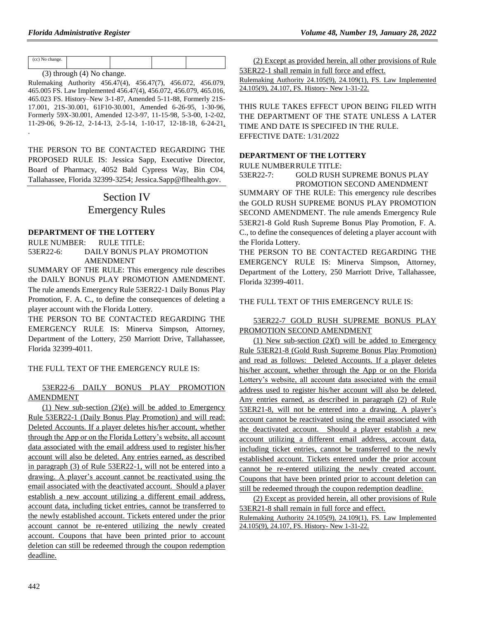| (cc) No change. |                                |  |  |
|-----------------|--------------------------------|--|--|
|                 | $(3)$ through $(4)$ No change. |  |  |

Rulemaking Authority 456.47(4), 456.47(7), 456.072, 456.079, 465.005 FS. Law Implemented 456.47(4), 456.072, 456.079, 465.016, 465.023 FS. History–New 3-1-87, Amended 5-11-88, Formerly 21S-17.001, 21S-30.001, 61F10-30.001, Amended 6-26-95, 1-30-96, Formerly 59X-30.001, Amended 12-3-97, 11-15-98, 5-3-00, 1-2-02, 11-29-06, 9-26-12, 2-14-13, 2-5-14, 1-10-17, 12-18-18, 6-24-21, .

THE PERSON TO BE CONTACTED REGARDING THE PROPOSED RULE IS: Jessica Sapp, Executive Director, Board of Pharmacy, 4052 Bald Cypress Way, Bin C04, Tallahassee, Florida 32399-3254; Jessica.Sapp@flhealth.gov.

# Section IV Emergency Rules

# **DEPARTMENT OF THE LOTTERY**

RULE NUMBER: RULE TITLE: 53ER22-6: DAILY BONUS PLAY PROMOTION AMENDMENT

SUMMARY OF THE RULE: This emergency rule describes the DAILY BONUS PLAY PROMOTION AMENDMENT. The rule amends Emergency Rule 53ER22-1 Daily Bonus Play Promotion, F. A. C., to define the consequences of deleting a player account with the Florida Lottery.

THE PERSON TO BE CONTACTED REGARDING THE EMERGENCY RULE IS: Minerva Simpson, Attorney, Department of the Lottery, 250 Marriott Drive, Tallahassee, Florida 32399-4011.

#### THE FULL TEXT OF THE EMERGENCY RULE IS:

#### 53ER22-6 DAILY BONUS PLAY PROMOTION AMENDMENT

(1) New sub-section  $(2)(e)$  will be added to Emergency Rule 53ER22-1 (Daily Bonus Play Promotion) and will read: Deleted Accounts. If a player deletes his/her account, whether through the App or on the Florida Lottery's website, all account data associated with the email address used to register his/her account will also be deleted. Any entries earned, as described in paragraph (3) of Rule 53ER22-1, will not be entered into a drawing. A player's account cannot be reactivated using the email associated with the deactivated account. Should a player establish a new account utilizing a different email address, account data, including ticket entries, cannot be transferred to the newly established account. Tickets entered under the prior account cannot be re-entered utilizing the newly created account. Coupons that have been printed prior to account deletion can still be redeemed through the coupon redemption deadline.

(2) Except as provided herein, all other provisions of Rule 53ER22-1 shall remain in full force and effect.

Rulemaking Authority 24.105(9), 24.109(1), FS. Law Implemented 24.105(9), 24.107, FS. History- New 1-31-22.

THIS RULE TAKES EFFECT UPON BEING FILED WITH THE DEPARTMENT OF THE STATE UNLESS A LATER TIME AND DATE IS SPECIFED IN THE RULE. EFFECTIVE DATE: 1/31/2022

#### **DEPARTMENT OF THE LOTTERY**

RULE NUMBERRULE TITLE:

53ER22-7: GOLD RUSH SUPREME BONUS PLAY PROMOTION SECOND AMENDMENT

SUMMARY OF THE RULE: This emergency rule describes the GOLD RUSH SUPREME BONUS PLAY PROMOTION SECOND AMENDMENT. The rule amends Emergency Rule 53ER21-8 Gold Rush Supreme Bonus Play Promotion, F. A. C., to define the consequences of deleting a player account with the Florida Lottery.

THE PERSON TO BE CONTACTED REGARDING THE EMERGENCY RULE IS: Minerva Simpson, Attorney, Department of the Lottery, 250 Marriott Drive, Tallahassee, Florida 32399-4011.

### THE FULL TEXT OF THIS EMERGENCY RULE IS:

### 53ER22-7 GOLD RUSH SUPREME BONUS PLAY PROMOTION SECOND AMENDMENT

(1) New sub-section  $(2)(f)$  will be added to Emergency Rule 53ER21-8 (Gold Rush Supreme Bonus Play Promotion) and read as follows: Deleted Accounts. If a player deletes his/her account, whether through the App or on the Florida Lottery's website, all account data associated with the email address used to register his/her account will also be deleted. Any entries earned, as described in paragraph (2) of Rule 53ER21-8, will not be entered into a drawing. A player's account cannot be reactivated using the email associated with the deactivated account. Should a player establish a new account utilizing a different email address, account data, including ticket entries, cannot be transferred to the newly established account. Tickets entered under the prior account cannot be re-entered utilizing the newly created account. Coupons that have been printed prior to account deletion can still be redeemed through the coupon redemption deadline.

(2) Except as provided herein, all other provisions of Rule 53ER21-8 shall remain in full force and effect.

Rulemaking Authority 24.105(9), 24.109(1), FS. Law Implemented 24.105(9), 24.107, FS. History- New 1-31-22.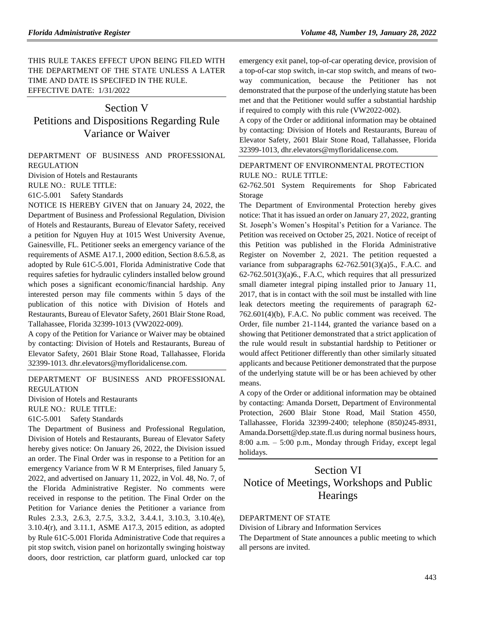THIS RULE TAKES EFFECT UPON BEING FILED WITH THE DEPARTMENT OF THE STATE UNLESS A LATER TIME AND DATE IS SPECIFED IN THE RULE. EFFECTIVE DATE: 1/31/2022

# Section V Petitions and Dispositions Regarding Rule Variance or Waiver

[DEPARTMENT OF BUSINESS AND PROFESSIONAL](https://www.flrules.org/gateway/department.asp?id=61)  [REGULATION](https://www.flrules.org/gateway/department.asp?id=61)

[Division of Hotels and Restaurants](https://www.flrules.org/gateway/organization.asp?id=249)

RULE NO.: RULE TITLE:

[61C-5.001](https://www.flrules.org/gateway/ruleNo.asp?id=61C-5.001) Safety Standards

NOTICE IS HEREBY GIVEN that on January 24, 2022, the Department of Business and Professional Regulation, Division of Hotels and Restaurants, Bureau of Elevator Safety, received a petition for Nguyen Huy at 1015 West University Avenue, Gainesville, FL. Petitioner seeks an emergency variance of the requirements of ASME A17.1, 2000 edition, Section 8.6.5.8, as adopted by Rule 61C-5.001, Florida Administrative Code that requires safeties for hydraulic cylinders installed below ground which poses a significant economic/financial hardship. Any interested person may file comments within 5 days of the publication of this notice with Division of Hotels and Restaurants, Bureau of Elevator Safety, 2601 Blair Stone Road, Tallahassee, Florida 32399-1013 (VW2022-009).

A copy of the Petition for Variance or Waiver may be obtained by contacting: Division of Hotels and Restaurants, Bureau of Elevator Safety, 2601 Blair Stone Road, Tallahassee, Florida 32399-1013. dhr.elevators@myfloridalicense.com.

[DEPARTMENT OF BUSINESS AND PROFESSIONAL](https://www.flrules.org/gateway/department.asp?id=61)  [REGULATION](https://www.flrules.org/gateway/department.asp?id=61)

[Division of Hotels and Restaurants](https://www.flrules.org/gateway/organization.asp?id=249)

RULE NO.: RULE TITLE:

[61C-5.001](https://www.flrules.org/gateway/ruleNo.asp?id=61C-5.001) Safety Standards

The Department of Business and Professional Regulation, Division of Hotels and Restaurants, Bureau of Elevator Safety hereby gives notice: On January 26, 2022, the Division issued an order. The Final Order was in response to a Petition for an emergency Variance from W R M Enterprises, filed January 5, 2022, and advertised on January 11, 2022, in Vol. 48, No. 7, of the Florida Administrative Register. No comments were received in response to the petition. The Final Order on the Petition for Variance denies the Petitioner a variance from Rules 2.3.3, 2.6.3, 2.7.5, 3.3.2, 3.4.4.1, 3.10.3, 3.10.4(e), 3.10.4(r), and 3.11.1, ASME A17.3, 2015 edition, as adopted by Rule 61C-5.001 Florida Administrative Code that requires a pit stop switch, vision panel on horizontally swinging hoistway doors, door restriction, car platform guard, unlocked car top emergency exit panel, top-of-car operating device, provision of a top-of-car stop switch, in-car stop switch, and means of twoway communication, because the Petitioner has not demonstrated that the purpose of the underlying statute has been met and that the Petitioner would suffer a substantial hardship if required to comply with this rule (VW2022-002).

A copy of the Order or additional information may be obtained by contacting: Division of Hotels and Restaurants, Bureau of Elevator Safety, 2601 Blair Stone Road, Tallahassee, Florida 32399-1013, dhr.elevators@myfloridalicense.com.

# [DEPARTMENT OF ENVIRONMENTAL PROTECTION](https://www.flrules.org/gateway/department.asp?id=62) RULE NO.: RULE TITLE:

[62-762.501](https://www.flrules.org/gateway/ruleNo.asp?id=62-762.501) System Requirements for Shop Fabricated Storage

The Department of Environmental Protection hereby gives notice: That it has issued an order on January 27, 2022, granting St. Joseph's Women's Hospital's Petition for a Variance. The Petition was received on October 25, 2021. Notice of receipt of this Petition was published in the Florida Administrative Register on November 2, 2021. The petition requested a variance from subparagraphs 62-762.501(3)(a)5., F.A.C. and 62-762.501(3)(a)6., F.A.C, which requires that all pressurized small diameter integral piping installed prior to January 11, 2017, that is in contact with the soil must be installed with line leak detectors meeting the requirements of paragraph 62- 762.601(4)(b), F.A.C. No public comment was received. The Order, file number 21-1144, granted the variance based on a showing that Petitioner demonstrated that a strict application of the rule would result in substantial hardship to Petitioner or would affect Petitioner differently than other similarly situated applicants and because Petitioner demonstrated that the purpose of the underlying statute will be or has been achieved by other means.

A copy of the Order or additional information may be obtained by contacting: Amanda Dorsett, Department of Environmental Protection, 2600 Blair Stone Road, Mail Station 4550, Tallahassee, Florida 32399-2400; telephone (850)245-8931, Amanda.Dorsett@dep.state.fl.us during normal business hours, 8:00 a.m. – 5:00 p.m., Monday through Friday, except legal holidays.

# Section VI Notice of Meetings, Workshops and Public **Hearings**

#### DEPARTMENT OF STATE

Division of Library and Information Services

The Department of State announces a public meeting to which all persons are invited.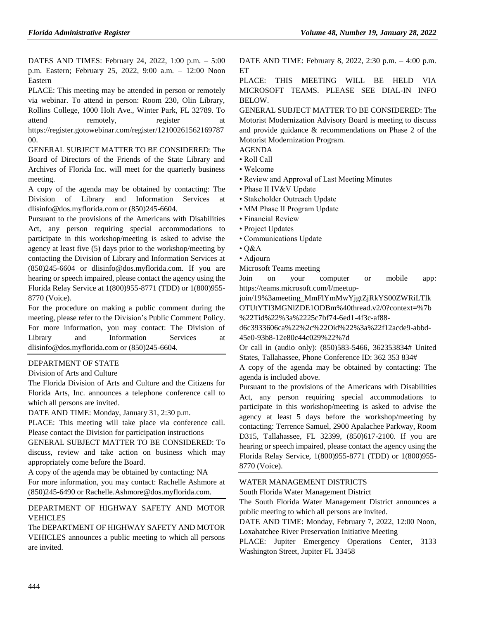DATES AND TIMES: February 24, 2022, 1:00 p.m. – 5:00 p.m. Eastern; February 25, 2022, 9:00 a.m. – 12:00 Noon Eastern

PLACE: This meeting may be attended in person or remotely via webinar. To attend in person: Room 230, Olin Library, Rollins College, 1000 Holt Ave., Winter Park, FL 32789. To attend remotely, register at [https://register.gotowebinar.com/register/12100261562169787](https://register.gotowebinar.com/register/1210026156216978700) [00.](https://register.gotowebinar.com/register/1210026156216978700)

GENERAL SUBJECT MATTER TO BE CONSIDERED: The Board of Directors of the Friends of the State Library and Archives of Florida Inc. will meet for the quarterly business meeting.

A copy of the agenda may be obtained by contacting: The Division of Library and Information Services at [dlisinfo@dos.myflorida.com](mailto:dlisinfo@dos.myflorida.com) or (850)245-6604.

Pursuant to the provisions of the Americans with Disabilities Act, any person requiring special accommodations to participate in this workshop/meeting is asked to advise the agency at least five (5) days prior to the workshop/meeting by contacting the Division of Library and Information Services at (850)245-6604 or [dlisinfo@dos.myflorida.com.](mailto:dlisinfo@dos.myflorida.com) If you are hearing or speech impaired, please contact the agency using the Florida Relay Service at 1(800)955-8771 (TDD) or 1(800)955- 8770 (Voice).

For the procedure on making a public comment during the meeting, please refer to the [Division's](http://dos.myflorida.com/library-archives/meetings-and-notices/public-comment-policy/) [Public Comment Policy.](http://dos.myflorida.com/library-archives/meetings-and-notices/public-comment-policy/) For more information, you may contact: The Division of Library and Information Services at [dlisinfo@dos.myflorida.com](mailto:dlisinfo@dos.myflorida.com) or (850)245-6604.

#### [DEPARTMENT OF STATE](https://www.flrules.org/gateway/department.asp?id=1)

### [Division of Arts and Culture](https://www.flrules.org/gateway/organization.asp?id=17)

The Florida Division of Arts and Culture and the Citizens for Florida Arts, Inc. announces a telephone conference call to which all persons are invited.

DATE AND TIME: Monday, January 31, 2:30 p.m.

PLACE: This meeting will take place via conference call. Please contact the Division for participation instructions

GENERAL SUBJECT MATTER TO BE CONSIDERED: To discuss, review and take action on business which may appropriately come before the Board.

A copy of the agenda may be obtained by contacting: NA For more information, you may contact: Rachelle Ashmore at (850)245-6490 or Rachelle.Ashmore@dos.myflorida.com.

[DEPARTMENT OF HIGHWAY SAFETY AND MOTOR](https://www.flrules.org/gateway/department.asp?id=15)  [VEHICLES](https://www.flrules.org/gateway/department.asp?id=15)

The DEPARTMENT OF HIGHWAY SAFETY AND MOTOR VEHICLES announces a public meeting to which all persons are invited.

DATE AND TIME: February 8, 2022, 2:30 p.m. – 4:00 p.m. **ET** 

PLACE: THIS MEETING WILL BE HELD VIA MICROSOFT TEAMS. PLEASE SEE DIAL-IN INFO BELOW.

GENERAL SUBJECT MATTER TO BE CONSIDERED: The Motorist Modernization Advisory Board is meeting to discuss and provide guidance & recommendations on Phase 2 of the Motorist Modernization Program.

- AGENDA
- Roll Call
- Welcome
- Review and Approval of Last Meeting Minutes
- Phase II IV&V Update
- Stakeholder Outreach Update
- MM Phase II Program Update
- Financial Review
- Project Updates
- Communications Update
- Q&A
- Adjourn
- Microsoft Teams meeting

Join on your computer or mobile app: https://teams.microsoft.com/l/meetup-

join/19%3ameeting\_MmFlYmMwYjgtZjRkYS00ZWRiLTlk OTUtYTI3MGNlZDE1ODBm%40thread.v2/0?context=%7b %22Tid%22%3a%2225c7bf74-6ed1-4f3c-af88-

d6c3933606ca%22%2c%22Oid%22%3a%22f12acde9-abbd-45e0-93b8-12e80c44c029%22%7d

Or call in (audio only): (850)583-5466, 362353834# United States, Tallahassee, Phone Conference ID: 362 353 834#

A copy of the agenda may be obtained by contacting: The agenda is included above.

Pursuant to the provisions of the Americans with Disabilities Act, any person requiring special accommodations to participate in this workshop/meeting is asked to advise the agency at least 5 days before the workshop/meeting by contacting: Terrence Samuel, 2900 Apalachee Parkway, Room D315, Tallahassee, FL 32399, (850)617-2100. If you are hearing or speech impaired, please contact the agency using the Florida Relay Service, 1(800)955-8771 (TDD) or 1(800)955- 8770 (Voice).

#### [WATER MANAGEMENT DISTRICTS](https://www.flrules.org/gateway/department.asp?id=40)

[South Florida Water Management District](https://www.flrules.org/gateway/organization.asp?id=124)

The South Florida Water Management District announces a public meeting to which all persons are invited.

DATE AND TIME: Monday, February 7, 2022, 12:00 Noon, Loxahatchee River Preservation Initiative Meeting

PLACE: Jupiter Emergency Operations Center, 3133 Washington Street, Jupiter FL 33458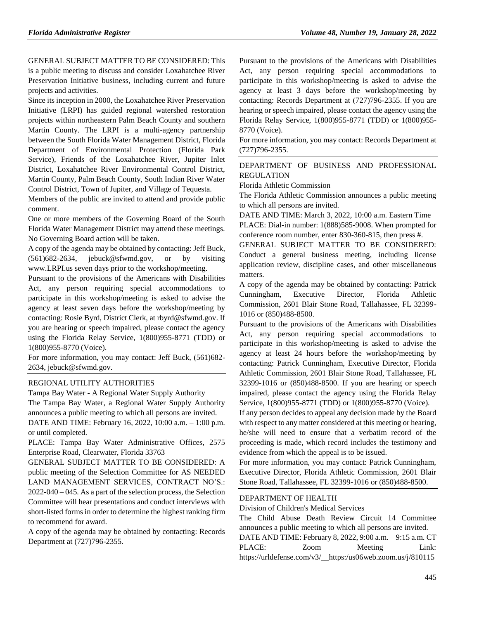GENERAL SUBJECT MATTER TO BE CONSIDERED: This is a public meeting to discuss and consider Loxahatchee River Preservation Initiative business, including current and future projects and activities.

Since its inception in 2000, the Loxahatchee River Preservation Initiative (LRPI) has guided regional watershed restoration projects within northeastern Palm Beach County and southern Martin County. The LRPI is a multi-agency partnership between the South Florida Water Management District, Florida Department of Environmental Protection (Florida Park Service), Friends of the Loxahatchee River, Jupiter Inlet District, Loxahatchee River Environmental Control District, Martin County, Palm Beach County, South Indian River Water Control District, Town of Jupiter, and Village of Tequesta.

Members of the public are invited to attend and provide public comment.

One or more members of the Governing Board of the South Florida Water Management District may attend these meetings. No Governing Board action will be taken.

A copy of the agenda may be obtained by contacting: Jeff Buck, (561)682-2634, jebuck@sfwmd.gov, or by visiting www.LRPI.us seven days prior to the workshop/meeting.

Pursuant to the provisions of the Americans with Disabilities Act, any person requiring special accommodations to participate in this workshop/meeting is asked to advise the agency at least seven days before the workshop/meeting by contacting: Rosie Byrd, District Clerk, at rbyrd@sfwmd.gov. If you are hearing or speech impaired, please contact the agency using the Florida Relay Service, 1(800)955-8771 (TDD) or 1(800)955-8770 (Voice).

For more information, you may contact: Jeff Buck, (561)682- 2634, jebuck@sfwmd.gov.

#### [REGIONAL UTILITY AUTHORITIES](https://www.flrules.org/gateway/department.asp?id=49)

Tampa Bay Water - [A Regional Water Supply Authority](https://www.flrules.org/gateway/organization.asp?id=158) The Tampa Bay Water, a Regional Water Supply Authority announces a public meeting to which all persons are invited. DATE AND TIME: February 16, 2022, 10:00 a.m. – 1:00 p.m. or until completed.

PLACE: Tampa Bay Water Administrative Offices, 2575 Enterprise Road, Clearwater, Florida 33763

GENERAL SUBJECT MATTER TO BE CONSIDERED: A public meeting of the Selection Committee for AS NEEDED LAND MANAGEMENT SERVICES, CONTRACT NO'S.: 2022-040 – 045. As a part of the selection process, the Selection Committee will hear presentations and conduct interviews with short-listed forms in order to determine the highest ranking firm to recommend for award.

A copy of the agenda may be obtained by contacting: Records Department at (727)796-2355.

Pursuant to the provisions of the Americans with Disabilities Act, any person requiring special accommodations to participate in this workshop/meeting is asked to advise the agency at least 3 days before the workshop/meeting by contacting: Records Department at (727)796-2355. If you are hearing or speech impaired, please contact the agency using the Florida Relay Service, 1(800)955-8771 (TDD) or 1(800)955- 8770 (Voice).

For more information, you may contact: Records Department at (727)796-2355.

#### [DEPARTMENT OF BUSINESS AND PROFESSIONAL](https://www.flrules.org/gateway/department.asp?id=61)  [REGULATION](https://www.flrules.org/gateway/department.asp?id=61)

[Florida Athletic Commission](https://www.flrules.org/gateway/organization.asp?id=285)

The Florida Athletic Commission announces a public meeting to which all persons are invited.

DATE AND TIME: March 3, 2022, 10:00 a.m. Eastern Time PLACE: Dial-in number: 1(888)585-9008. When prompted for conference room number, enter 830-360-815, then press #.

GENERAL SUBJECT MATTER TO BE CONSIDERED: Conduct a general business meeting, including license application review, discipline cases, and other miscellaneous matters.

A copy of the agenda may be obtained by contacting: Patrick Cunningham, Executive Director, Florida Athletic Commission, 2601 Blair Stone Road, Tallahassee, FL 32399- 1016 or (850)488-8500.

Pursuant to the provisions of the Americans with Disabilities Act, any person requiring special accommodations to participate in this workshop/meeting is asked to advise the agency at least 24 hours before the workshop/meeting by contacting: Patrick Cunningham, Executive Director, Florida Athletic Commission, 2601 Blair Stone Road, Tallahassee, FL 32399-1016 or (850)488-8500. If you are hearing or speech impaired, please contact the agency using the Florida Relay Service, 1(800)955-8771 (TDD) or 1(800)955-8770 (Voice).

If any person decides to appeal any decision made by the Board with respect to any matter considered at this meeting or hearing, he/she will need to ensure that a verbatim record of the proceeding is made, which record includes the testimony and evidence from which the appeal is to be issued.

For more information, you may contact: Patrick Cunningham, Executive Director, Florida Athletic Commission, 2601 Blair Stone Road, Tallahassee, FL 32399-1016 or (850)488-8500.

#### [DEPARTMENT OF HEALTH](https://www.flrules.org/gateway/department.asp?id=64)

[Division of Children's Medical Services](https://www.flrules.org/gateway/organization.asp?id=333)

The Child Abuse Death Review Circuit 14 Committee announces a public meeting to which all persons are invited. DATE AND TIME: February 8, 2022, 9:00 a.m. – 9:15 a.m. CT PLACE:  $Zoom$  Meeting Link: https://urldefense.com/v3/\_\_https:/us06web.zoom.us/j/810115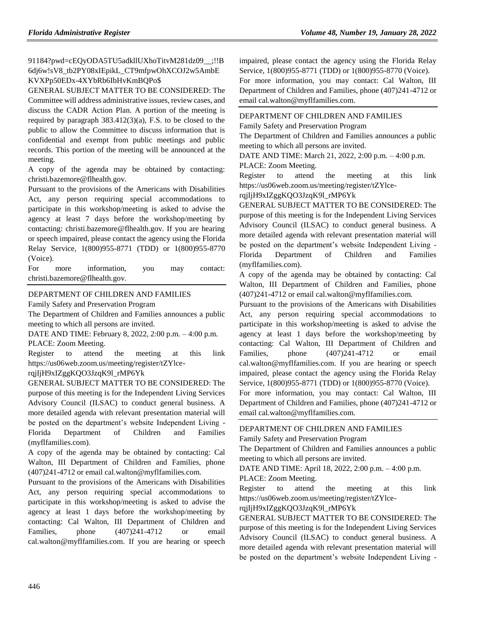91184?pwd=cEQyODA5TU5adkllUXhoTitvM281dz09\_\_;!!B 6dj6w!sV8\_tb2PY08xIEpikL\_CT9mfpwOhXCOJ2w5AmbE KVXPp50EDx-4XYbRb6IbHvKmBQPo\$

GENERAL SUBJECT MATTER TO BE CONSIDERED: The Committee will address administrative issues, review cases, and discuss the CADR Action Plan. A portion of the meeting is required by paragraph 383.412(3)(a), F.S. to be closed to the public to allow the Committee to discuss information that is confidential and exempt from public meetings and public records. This portion of the meeting will be announced at the meeting.

A copy of the agenda may be obtained by contacting: christi.bazemore@flhealth.gov.

Pursuant to the provisions of the Americans with Disabilities Act, any person requiring special accommodations to participate in this workshop/meeting is asked to advise the agency at least 7 days before the workshop/meeting by contacting: christi.bazemore@flhealth.gov. If you are hearing or speech impaired, please contact the agency using the Florida Relay Service, 1(800)955-8771 (TDD) or 1(800)955-8770 (Voice).

For more information, you may contact: christi.bazemore@flhealth.gov.

# [DEPARTMENT OF CHILDREN AND FAMILIES](https://www.flrules.org/gateway/department.asp?id=65)

[Family Safety and Preservation Program](https://www.flrules.org/gateway/organization.asp?id=342)

The Department of Children and Families announces a public meeting to which all persons are invited.

DATE AND TIME: February 8, 2022, 2:00 p.m. – 4:00 p.m. PLACE: Zoom Meeting.

Register to attend the meeting at this link https://us06web.zoom.us/meeting/register/tZYlce-

#### rqjIjH9xIZggKQO3JzqK9l\_rMP6Yk

GENERAL SUBJECT MATTER TO BE CONSIDERED: The purpose of this meeting is for the Independent Living Services Advisory Council (ILSAC) to conduct general business. A more detailed agenda with relevant presentation material will be posted on the department's website Independent Living - Florida Department of Children and Families (myflfamilies.com).

A copy of the agenda may be obtained by contacting: Cal Walton, III Department of Children and Families, phone (407)241-4712 or email cal.walton@myflfamilies.com.

Pursuant to the provisions of the Americans with Disabilities Act, any person requiring special accommodations to participate in this workshop/meeting is asked to advise the agency at least 1 days before the workshop/meeting by contacting: Cal Walton, III Department of Children and Families, phone  $(407)241-4712$  or email cal.walton@myflfamilies.com. If you are hearing or speech

impaired, please contact the agency using the Florida Relay Service, 1(800)955-8771 (TDD) or 1(800)955-8770 (Voice).

For more information, you may contact: Cal Walton, III Department of Children and Families, phone (407)241-4712 or email cal.walton@myflfamilies.com.

# [DEPARTMENT OF CHILDREN AND FAMILIES](https://www.flrules.org/gateway/department.asp?id=65)

[Family Safety and Preservation Program](https://www.flrules.org/gateway/organization.asp?id=342)

The Department of Children and Families announces a public meeting to which all persons are invited.

DATE AND TIME: March 21, 2022, 2:00 p.m. – 4:00 p.m. PLACE: Zoom Meeting.

Register to attend the meeting at this link https://us06web.zoom.us/meeting/register/tZYlce-

#### rqjIjH9xIZggKQO3JzqK9l\_rMP6Yk

GENERAL SUBJECT MATTER TO BE CONSIDERED: The purpose of this meeting is for the Independent Living Services Advisory Council (ILSAC) to conduct general business. A more detailed agenda with relevant presentation material will be posted on the department's website Independent Living - Florida Department of Children and Families (myflfamilies.com).

A copy of the agenda may be obtained by contacting: Cal Walton, III Department of Children and Families, phone (407)241-4712 or email cal.walton@myflfamilies.com.

Pursuant to the provisions of the Americans with Disabilities Act, any person requiring special accommodations to participate in this workshop/meeting is asked to advise the agency at least 1 days before the workshop/meeting by contacting: Cal Walton, III Department of Children and Families, phone  $(407)241-4712$  or email cal.walton@myflfamilies.com. If you are hearing or speech impaired, please contact the agency using the Florida Relay Service, 1(800)955-8771 (TDD) or 1(800)955-8770 (Voice).

For more information, you may contact: Cal Walton, III Department of Children and Families, phone (407)241-4712 or email cal.walton@myflfamilies.com.

# [DEPARTMENT OF CHILDREN AND FAMILIES](https://www.flrules.org/gateway/department.asp?id=65)

[Family Safety and Preservation Program](https://www.flrules.org/gateway/organization.asp?id=342)

The Department of Children and Families announces a public meeting to which all persons are invited.

DATE AND TIME: April 18, 2022, 2:00 p.m. – 4:00 p.m.

PLACE: Zoom Meeting.

Register to attend the meeting at this link https://us06web.zoom.us/meeting/register/tZYlce-

#### rqjIjH9xIZggKQO3JzqK9l\_rMP6Yk

GENERAL SUBJECT MATTER TO BE CONSIDERED: The purpose of this meeting is for the Independent Living Services Advisory Council (ILSAC) to conduct general business. A more detailed agenda with relevant presentation material will be posted on the department's website Independent Living -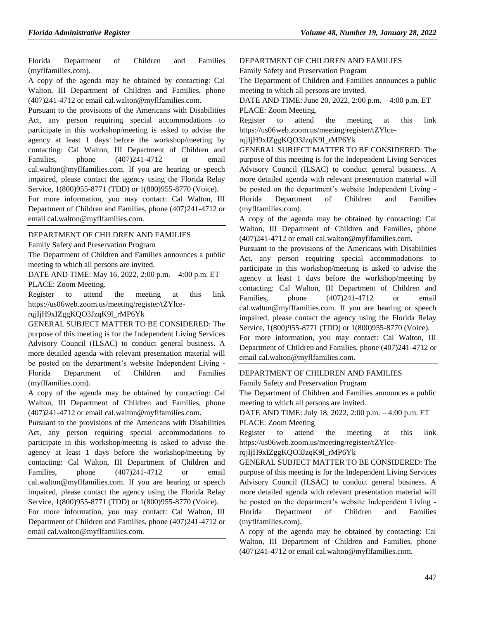Florida Department of Children and Families (myflfamilies.com).

A copy of the agenda may be obtained by contacting: Cal Walton, III Department of Children and Families, phone (407)241-4712 or email cal.walton@myflfamilies.com.

Pursuant to the provisions of the Americans with Disabilities Act, any person requiring special accommodations to participate in this workshop/meeting is asked to advise the agency at least 1 days before the workshop/meeting by contacting: Cal Walton, III Department of Children and Families, phone  $(407)241-4712$  or email cal.walton@myflfamilies.com. If you are hearing or speech impaired, please contact the agency using the Florida Relay Service, 1(800)955-8771 (TDD) or 1(800)955-8770 (Voice).

For more information, you may contact: Cal Walton, III Department of Children and Families, phone (407)241-4712 or email cal.walton@myflfamilies.com.

#### [DEPARTMENT OF CHILDREN AND FAMILIES](https://www.flrules.org/gateway/department.asp?id=65)

[Family Safety and Preservation Program](https://www.flrules.org/gateway/organization.asp?id=342)

The Department of Children and Families announces a public meeting to which all persons are invited.

DATE AND TIME: May 16, 2022, 2:00 p.m. – 4:00 p.m. ET PLACE: Zoom Meeting.

Register to attend the meeting at this link https://us06web.zoom.us/meeting/register/tZYlce-

### rqjIjH9xIZggKQO3JzqK9l\_rMP6Yk

GENERAL SUBJECT MATTER TO BE CONSIDERED: The purpose of this meeting is for the Independent Living Services Advisory Council (ILSAC) to conduct general business. A more detailed agenda with relevant presentation material will be posted on the department's website Independent Living - Florida Department of Children and Families (myflfamilies.com).

A copy of the agenda may be obtained by contacting: Cal Walton, III Department of Children and Families, phone (407)241-4712 or email cal.walton@myflfamilies.com.

Pursuant to the provisions of the Americans with Disabilities Act, any person requiring special accommodations to participate in this workshop/meeting is asked to advise the agency at least 1 days before the workshop/meeting by contacting: Cal Walton, III Department of Children and Families, phone  $(407)241-4712$  or email cal.walton@myflfamilies.com. If you are hearing or speech impaired, please contact the agency using the Florida Relay Service, 1(800)955-8771 (TDD) or 1(800)955-8770 (Voice).

For more information, you may contact: Cal Walton, III Department of Children and Families, phone (407)241-4712 or email cal.walton@myflfamilies.com.

#### [DEPARTMENT OF CHILDREN AND FAMILIES](https://www.flrules.org/gateway/department.asp?id=65)

[Family Safety and Preservation Program](https://www.flrules.org/gateway/organization.asp?id=342)

The Department of Children and Families announces a public meeting to which all persons are invited.

DATE AND TIME: June 20, 2022, 2:00 p.m. – 4:00 p.m. ET PLACE: Zoom Meeting.

Register to attend the meeting at this link https://us06web.zoom.us/meeting/register/tZYlce-

rqjIjH9xIZggKQO3JzqK9l\_rMP6Yk

GENERAL SUBJECT MATTER TO BE CONSIDERED: The purpose of this meeting is for the Independent Living Services Advisory Council (ILSAC) to conduct general business. A more detailed agenda with relevant presentation material will be posted on the department's website Independent Living - Florida Department of Children and Families (myflfamilies.com).

A copy of the agenda may be obtained by contacting: Cal Walton, III Department of Children and Families, phone (407)241-4712 or email cal.walton@myflfamilies.com.

Pursuant to the provisions of the Americans with Disabilities Act, any person requiring special accommodations to participate in this workshop/meeting is asked to advise the agency at least 1 days before the workshop/meeting by contacting: Cal Walton, III Department of Children and Families, phone (407)241-4712 or email cal.walton@myflfamilies.com. If you are hearing or speech impaired, please contact the agency using the Florida Relay Service, 1(800)955-8771 (TDD) or 1(800)955-8770 (Voice).

For more information, you may contact: Cal Walton, III Department of Children and Families, phone (407)241-4712 or email cal.walton@myflfamilies.com.

# [DEPARTMENT OF CHILDREN AND FAMILIES](https://www.flrules.org/gateway/department.asp?id=65)

[Family Safety and Preservation Program](https://www.flrules.org/gateway/organization.asp?id=342)

The Department of Children and Families announces a public meeting to which all persons are invited.

DATE AND TIME: July 18, 2022, 2:00 p.m. – 4:00 p.m. ET PLACE: Zoom Meeting

Register to attend the meeting at this link https://us06web.zoom.us/meeting/register/tZYlce-

# rqjIjH9xIZggKQO3JzqK9l\_rMP6Yk

GENERAL SUBJECT MATTER TO BE CONSIDERED: The purpose of this meeting is for the Independent Living Services Advisory Council (ILSAC) to conduct general business. A more detailed agenda with relevant presentation material will be posted on the department's website Independent Living - Florida Department of Children and Families (myflfamilies.com).

A copy of the agenda may be obtained by contacting: Cal Walton, III Department of Children and Families, phone (407)241-4712 or email cal.walton@myflfamilies.com.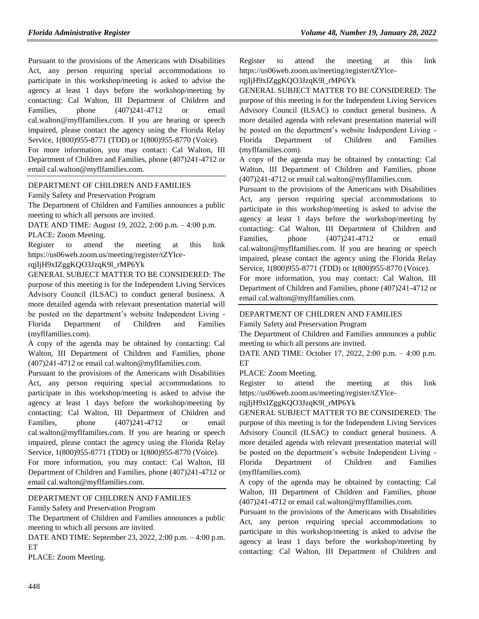Pursuant to the provisions of the Americans with Disabilities Act, any person requiring special accommodations to participate in this workshop/meeting is asked to advise the agency at least 1 days before the workshop/meeting by contacting: Cal Walton, III Department of Children and Families, phone  $(407)241-4712$  or email cal.walton@myflfamilies.com. If you are hearing or speech impaired, please contact the agency using the Florida Relay Service, 1(800)955-8771 (TDD) or 1(800)955-8770 (Voice).

For more information, you may contact: Cal Walton, III Department of Children and Families, phone (407)241-4712 or email cal.walton@myflfamilies.com.

#### [DEPARTMENT OF CHILDREN AND FAMILIES](https://www.flrules.org/gateway/department.asp?id=65)

[Family Safety and Preservation Program](https://www.flrules.org/gateway/organization.asp?id=342)

The Department of Children and Families announces a public meeting to which all persons are invited.

DATE AND TIME: August 19, 2022, 2:00 p.m. – 4:00 p.m.

PLACE: Zoom Meeting.

Register to attend the meeting at this link https://us06web.zoom.us/meeting/register/tZYlce-

rqjIjH9xIZggKQO3JzqK9l\_rMP6Yk

GENERAL SUBJECT MATTER TO BE CONSIDERED: The purpose of this meeting is for the Independent Living Services Advisory Council (ILSAC) to conduct general business. A more detailed agenda with relevant presentation material will be posted on the department's website Independent Living - Florida Department of Children and Families (myflfamilies.com).

A copy of the agenda may be obtained by contacting: Cal Walton, III Department of Children and Families, phone (407)241-4712 or email cal.walton@myflfamilies.com.

Pursuant to the provisions of the Americans with Disabilities Act, any person requiring special accommodations to participate in this workshop/meeting is asked to advise the agency at least 1 days before the workshop/meeting by contacting: Cal Walton, III Department of Children and Families, phone  $(407)241-4712$  or email cal.walton@myflfamilies.com. If you are hearing or speech impaired, please contact the agency using the Florida Relay Service, 1(800)955-8771 (TDD) or 1(800)955-8770 (Voice).

For more information, you may contact: Cal Walton, III Department of Children and Families, phone (407)241-4712 or email cal.walton@myflfamilies.com.

#### [DEPARTMENT OF CHILDREN AND FAMILIES](https://www.flrules.org/gateway/department.asp?id=65)

[Family Safety and Preservation Program](https://www.flrules.org/gateway/organization.asp?id=342)

The Department of Children and Families announces a public meeting to which all persons are invited.

DATE AND TIME: September 23, 2022, 2:00 p.m. – 4:00 p.m. ET

PLACE: Zoom Meeting.

Register to attend the meeting at this link https://us06web.zoom.us/meeting/register/tZYlce-

rqjIjH9xIZggKQO3JzqK9l\_rMP6Yk

GENERAL SUBJECT MATTER TO BE CONSIDERED: The purpose of this meeting is for the Independent Living Services Advisory Council (ILSAC) to conduct general business. A more detailed agenda with relevant presentation material will be posted on the department's website Independent Living - Florida Department of Children and Families (myflfamilies.com).

A copy of the agenda may be obtained by contacting: Cal Walton, III Department of Children and Families, phone (407)241-4712 or email cal.walton@myflfamilies.com.

Pursuant to the provisions of the Americans with Disabilities Act, any person requiring special accommodations to participate in this workshop/meeting is asked to advise the agency at least 1 days before the workshop/meeting by contacting: Cal Walton, III Department of Children and Families, phone  $(407)241-4712$  or email cal.walton@myflfamilies.com. If you are hearing or speech impaired, please contact the agency using the Florida Relay Service, 1(800)955-8771 (TDD) or 1(800)955-8770 (Voice).

For more information, you may contact: Cal Walton, III Department of Children and Families, phone (407)241-4712 or email cal.walton@myflfamilies.com.

#### [DEPARTMENT OF CHILDREN AND FAMILIES](https://www.flrules.org/gateway/department.asp?id=65)

[Family Safety and Preservation Program](https://www.flrules.org/gateway/organization.asp?id=342)

The Department of Children and Families announces a public meeting to which all persons are invited.

DATE AND TIME: October 17, 2022, 2:00 p.m. – 4:00 p.m. ET

PLACE: Zoom Meeting.

Register to attend the meeting at this link https://us06web.zoom.us/meeting/register/tZYlce-

#### rqjIjH9xIZggKQO3JzqK9l\_rMP6Yk

GENERAL SUBJECT MATTER TO BE CONSIDERED: The purpose of this meeting is for the Independent Living Services Advisory Council (ILSAC) to conduct general business. A more detailed agenda with relevant presentation material will be posted on the department's website Independent Living - Florida Department of Children and Families (myflfamilies.com).

A copy of the agenda may be obtained by contacting: Cal Walton, III Department of Children and Families, phone (407)241-4712 or email cal.walton@myflfamilies.com.

Pursuant to the provisions of the Americans with Disabilities Act, any person requiring special accommodations to participate in this workshop/meeting is asked to advise the agency at least 1 days before the workshop/meeting by contacting: Cal Walton, III Department of Children and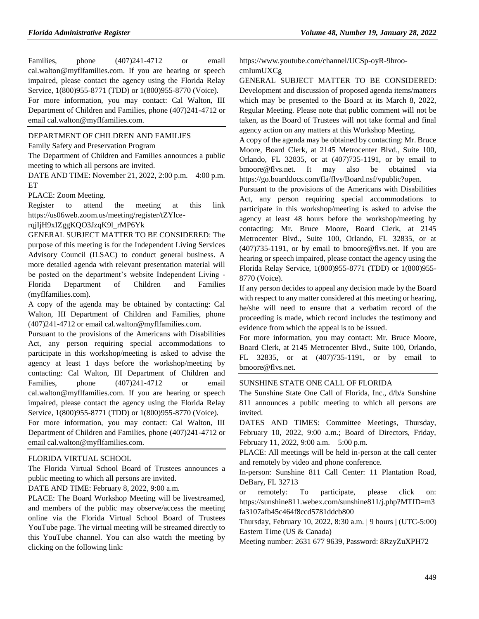Families, phone  $(407)241-4712$  or email cal.walton@myflfamilies.com. If you are hearing or speech impaired, please contact the agency using the Florida Relay Service, 1(800)955-8771 (TDD) or 1(800)955-8770 (Voice).

For more information, you may contact: Cal Walton, III Department of Children and Families, phone (407)241-4712 or email cal.walton@myflfamilies.com.

#### [DEPARTMENT OF CHILDREN AND FAMILIES](https://www.flrules.org/gateway/department.asp?id=65)

[Family Safety and Preservation Program](https://www.flrules.org/gateway/organization.asp?id=342)

The Department of Children and Families announces a public meeting to which all persons are invited.

DATE AND TIME: November 21, 2022, 2:00 p.m. – 4:00 p.m. ET

PLACE: Zoom Meeting.

Register to attend the meeting at this link https://us06web.zoom.us/meeting/register/tZYlce-

#### rqjIjH9xIZggKQO3JzqK9l\_rMP6Yk

GENERAL SUBJECT MATTER TO BE CONSIDERED: The purpose of this meeting is for the Independent Living Services Advisory Council (ILSAC) to conduct general business. A more detailed agenda with relevant presentation material will be posted on the department's website Independent Living - Florida Department of Children and Families (myflfamilies.com).

A copy of the agenda may be obtained by contacting: Cal Walton, III Department of Children and Families, phone (407)241-4712 or email cal.walton@myflfamilies.com.

Pursuant to the provisions of the Americans with Disabilities Act, any person requiring special accommodations to participate in this workshop/meeting is asked to advise the agency at least 1 days before the workshop/meeting by contacting: Cal Walton, III Department of Children and Families, phone  $(407)241-4712$  or email cal.walton@myflfamilies.com. If you are hearing or speech impaired, please contact the agency using the Florida Relay Service, 1(800)955-8771 (TDD) or 1(800)955-8770 (Voice).

For more information, you may contact: Cal Walton, III Department of Children and Families, phone (407)241-4712 or email cal.walton@myflfamilies.com.

#### [FLORIDA VIRTUAL SCHOOL](https://www.flrules.org/gateway/organization.asp?id=1357)

The Florida Virtual School Board of Trustees announces a public meeting to which all persons are invited.

DATE AND TIME: February 8, 2022, 9:00 a.m.

PLACE: The Board Workshop Meeting will be livestreamed, and members of the public may observe/access the meeting online via the Florida Virtual School Board of Trustees YouTube page. The virtual meeting will be streamed directly to this YouTube channel. You can also watch the meeting by clicking on the following link:

https://www.youtube.com/channel/UCSp-oyR-9hroocmIumUXCg

GENERAL SUBJECT MATTER TO BE CONSIDERED: Development and discussion of proposed agenda items/matters which may be presented to the Board at its March 8, 2022, Regular Meeting. Please note that public comment will not be taken, as the Board of Trustees will not take formal and final agency action on any matters at this Workshop Meeting.

A copy of the agenda may be obtained by contacting: Mr. Bruce Moore, Board Clerk, at 2145 Metrocenter Blvd., Suite 100, Orlando, FL 32835, or at (407)735-1191, or by email to bmoore@flvs.net. It may also be obtained via https://go.boarddocs.com/fla/flvs/Board.nsf/vpublic?open.

Pursuant to the provisions of the Americans with Disabilities Act, any person requiring special accommodations to participate in this workshop/meeting is asked to advise the agency at least 48 hours before the workshop/meeting by contacting: Mr. Bruce Moore, Board Clerk, at 2145 Metrocenter Blvd., Suite 100, Orlando, FL 32835, or at (407)735-1191, or by email to bmoore@flvs.net. If you are hearing or speech impaired, please contact the agency using the Florida Relay Service, 1(800)955-8771 (TDD) or 1(800)955- 8770 (Voice).

If any person decides to appeal any decision made by the Board with respect to any matter considered at this meeting or hearing, he/she will need to ensure that a verbatim record of the proceeding is made, which record includes the testimony and evidence from which the appeal is to be issued.

For more information, you may contact: Mr. Bruce Moore, Board Clerk, at 2145 Metrocenter Blvd., Suite 100, Orlando, FL 32835, or at (407)735-1191, or by email to bmoore@flvs.net.

#### [SUNSHINE STATE ONE CALL OF FLORIDA](https://www.flrules.org/gateway/organization.asp?id=700)

The Sunshine State One Call of Florida, Inc., d/b/a Sunshine 811 announces a public meeting to which all persons are invited.

DATES AND TIMES: Committee Meetings, Thursday, February 10, 2022, 9:00 a.m.; Board of Directors, Friday, February 11, 2022, 9:00 a.m. – 5:00 p.m.

PLACE: All meetings will be held in-person at the call center and remotely by video and phone conference.

In-person: Sunshine 811 Call Center: 11 Plantation Road, DeBary, FL 32713

or remotely: To participate, please click on: https://sunshine811.webex.com/sunshine811/j.php?MTID=m3 fa3107afb45c464f8ccd5781ddcb800

Thursday, February 10, 2022, 8:30 a.m. | 9 hours | (UTC-5:00) Eastern Time (US & Canada)

Meeting number: 2631 677 9639, Password: 8RzyZuXPH72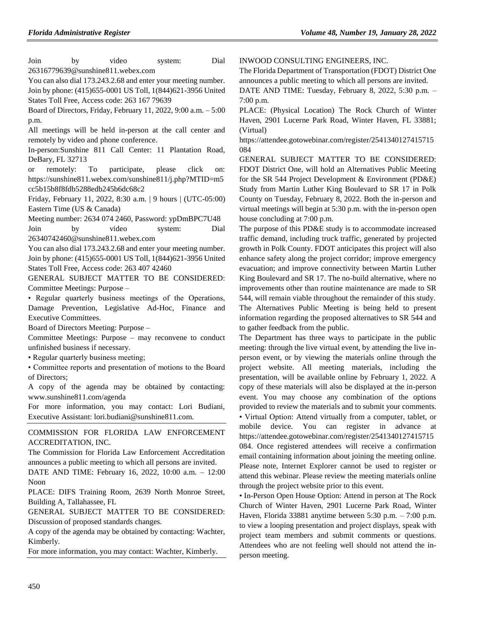Join by video system: Dial 26316779639@sunshine811.webex.com You can also dial 173.243.2.68 and enter your meeting number. Join by phone: (415)655-0001 US Toll, 1(844)621-3956 United States Toll Free, Access code: 263 167 79639 Board of Directors, Friday, February 11, 2022, 9:00 a.m. – 5:00 p.m. All meetings will be held in-person at the call center and remotely by video and phone conference.

In-person:Sunshine 811 Call Center: 11 Plantation Road, DeBary, FL 32713

or remotely: To participate, please click on: https://sunshine811.webex.com/sunshine811/j.php?MTID=m5 cc5b15b8f8fdb5288edb245b6dc68c2

Friday, February 11, 2022, 8:30 a.m. | 9 hours | (UTC-05:00) Eastern Time (US & Canada)

Meeting number: 2634 074 2460, Password: ypDmBPC7U48 Join by video system: Dial 26340742460@sunshine811.webex.com

You can also dial 173.243.2.68 and enter your meeting number. Join by phone: (415)655-0001 US Toll, 1(844)621-3956 United States Toll Free, Access code: 263 407 42460

GENERAL SUBJECT MATTER TO BE CONSIDERED: Committee Meetings: Purpose –

• Regular quarterly business meetings of the Operations, Damage Prevention, Legislative Ad-Hoc, Finance and Executive Committees.

Board of Directors Meeting: Purpose –

Committee Meetings: Purpose – may reconvene to conduct unfinished business if necessary.

• Regular quarterly business meeting;

• Committee reports and presentation of motions to the Board of Directors;

A copy of the agenda may be obtained by contacting: www.sunshine811.com/agenda

For more information, you may contact: Lori Budiani, Executive Assistant: lori.budiani@sunshine811.com.

[COMMISSION FOR FLORIDA LAW ENFORCEMENT](https://www.flrules.org/gateway/organization.asp?id=787)  [ACCREDITATION, INC.](https://www.flrules.org/gateway/organization.asp?id=787)

The Commission for Florida Law Enforcement Accreditation announces a public meeting to which all persons are invited. DATE AND TIME: February 16, 2022, 10:00 a.m. – 12:00 Noon

PLACE: DIFS Training Room, 2639 North Monroe Street, Building A, Tallahassee, FL

GENERAL SUBJECT MATTER TO BE CONSIDERED: Discussion of proposed standards changes.

A copy of the agenda may be obtained by contacting: Wachter, Kimberly.

For more information, you may contact: Wachter, Kimberly.

[INWOOD CONSULTING ENGINEERS, INC.](https://www.flrules.org/gateway/organization.asp?id=992)

The Florida Department of Transportation (FDOT) District One announces a public meeting to which all persons are invited.

DATE AND TIME: Tuesday, February 8, 2022, 5:30 p.m. – 7:00 p.m.

PLACE: (Physical Location) The Rock Church of Winter Haven, 2901 Lucerne Park Road, Winter Haven, FL 33881; (Virtual)

https://attendee.gotowebinar.com/register/2541340127415715 084

GENERAL SUBJECT MATTER TO BE CONSIDERED: FDOT District One, will hold an Alternatives Public Meeting for the SR 544 Project Development & Environment (PD&E) Study from Martin Luther King Boulevard to SR 17 in Polk County on Tuesday, February 8, 2022. Both the in-person and virtual meetings will begin at 5:30 p.m. with the in-person open house concluding at 7:00 p.m.

The purpose of this PD&E study is to accommodate increased traffic demand, including truck traffic, generated by projected growth in Polk County. FDOT anticipates this project will also enhance safety along the project corridor; improve emergency evacuation; and improve connectivity between Martin Luther King Boulevard and SR 17. The no-build alternative, where no improvements other than routine maintenance are made to SR 544, will remain viable throughout the remainder of this study. The Alternatives Public Meeting is being held to present information regarding the proposed alternatives to SR 544 and to gather feedback from the public.

The Department has three ways to participate in the public meeting: through the live virtual event, by attending the live inperson event, or by viewing the materials online through the project website. All meeting materials, including the presentation, will be available online by February 1, 2022. A copy of these materials will also be displayed at the in-person event. You may choose any combination of the options provided to review the materials and to submit your comments. • Virtual Option: Attend virtually from a computer, tablet, or mobile device. You can register in advance at https://attendee.gotowebinar.com/register/2541340127415715 084. Once registered attendees will receive a confirmation email containing information about joining the meeting online. Please note, Internet Explorer cannot be used to register or attend this webinar. Please review the meeting materials online through the project website prior to this event.

• In-Person Open House Option: Attend in person at The Rock Church of Winter Haven, 2901 Lucerne Park Road, Winter Haven, Florida 33881 anytime between 5:30 p.m. – 7:00 p.m. to view a looping presentation and project displays, speak with project team members and submit comments or questions. Attendees who are not feeling well should not attend the inperson meeting.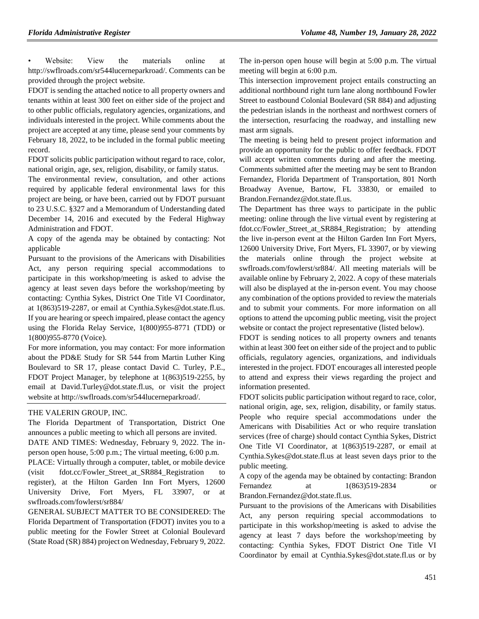Website: View the materials online at http://swflroads.com/sr544lucerneparkroad/. Comments can be provided through the project website.

FDOT is sending the attached notice to all property owners and tenants within at least 300 feet on either side of the project and to other public officials, regulatory agencies, organizations, and individuals interested in the project. While comments about the project are accepted at any time, please send your comments by February 18, 2022, to be included in the formal public meeting record.

FDOT solicits public participation without regard to race, color, national origin, age, sex, religion, disability, or family status.

The environmental review, consultation, and other actions required by applicable federal environmental laws for this project are being, or have been, carried out by FDOT pursuant to 23 U.S.C. §327 and a Memorandum of Understanding dated December 14, 2016 and executed by the Federal Highway Administration and FDOT.

A copy of the agenda may be obtained by contacting: Not applicable

Pursuant to the provisions of the Americans with Disabilities Act, any person requiring special accommodations to participate in this workshop/meeting is asked to advise the agency at least seven days before the workshop/meeting by contacting: Cynthia Sykes, District One Title VI Coordinator, at 1(863)519-2287, or email at Cynthia.Sykes@dot.state.fl.us. If you are hearing or speech impaired, please contact the agency using the Florida Relay Service, 1(800)955-8771 (TDD) or 1(800)955-8770 (Voice).

For more information, you may contact: For more information about the PD&E Study for SR 544 from Martin Luther King Boulevard to SR 17, please contact David C. Turley, P.E., FDOT Project Manager, by telephone at 1(863)519-2255, by email at David.Turley@dot.state.fl.us, or visit the project website at http://swflroads.com/sr544lucerneparkroad/.

#### [THE VALERIN](https://www.flrules.org/gateway/organization.asp?id=1012) GROUP, INC.

The Florida Department of Transportation, District One announces a public meeting to which all persons are invited.

DATE AND TIMES: Wednesday, February 9, 2022. The inperson open house, 5:00 p.m.; The virtual meeting, 6:00 p.m.

PLACE: Virtually through a computer, tablet, or mobile device (visit fdot.cc/Fowler Street at SR884 Registration register), at the Hilton Garden Inn Fort Myers, 12600 University Drive, Fort Myers, FL 33907, or at swflroads.com/fowlerst/sr884/

GENERAL SUBJECT MATTER TO BE CONSIDERED: The Florida Department of Transportation (FDOT) invites you to a public meeting for the Fowler Street at Colonial Boulevard (State Road (SR) 884) project on Wednesday, February 9, 2022.

The in-person open house will begin at 5:00 p.m. The virtual meeting will begin at 6:00 p.m.

This intersection improvement project entails constructing an additional northbound right turn lane along northbound Fowler Street to eastbound Colonial Boulevard (SR 884) and adjusting the pedestrian islands in the northeast and northwest corners of the intersection, resurfacing the roadway, and installing new mast arm signals.

The meeting is being held to present project information and provide an opportunity for the public to offer feedback. FDOT will accept written comments during and after the meeting. Comments submitted after the meeting may be sent to Brandon Fernandez, Florida Department of Transportation, 801 North Broadway Avenue, Bartow, FL 33830, or emailed to Brandon.Fernandez@dot.state.fl.us.

The Department has three ways to participate in the public meeting: online through the live virtual event by registering at fdot.cc/Fowler\_Street\_at\_SR884\_Registration; by attending the live in-person event at the Hilton Garden Inn Fort Myers, 12600 University Drive, Fort Myers, FL 33907, or by viewing the materials online through the project website at swflroads.com/fowlerst/sr884/. All meeting materials will be available online by February 2, 2022. A copy of these materials will also be displayed at the in-person event. You may choose any combination of the options provided to review the materials and to submit your comments. For more information on all options to attend the upcoming public meeting, visit the project website or contact the project representative (listed below).

FDOT is sending notices to all property owners and tenants within at least 300 feet on either side of the project and to public officials, regulatory agencies, organizations, and individuals interested in the project. FDOT encourages all interested people to attend and express their views regarding the project and information presented.

FDOT solicits public participation without regard to race, color, national origin, age, sex, religion, disability, or family status. People who require special accommodations under the Americans with Disabilities Act or who require translation services (free of charge) should contact Cynthia Sykes, District One Title VI Coordinator, at 1(863)519-2287, or email at Cynthia.Sykes@dot.state.fl.us at least seven days prior to the public meeting.

A copy of the agenda may be obtained by contacting: Brandon Fernandez at 1(863)519-2834 or Brandon.Fernandez@dot.state.fl.us.

Pursuant to the provisions of the Americans with Disabilities Act, any person requiring special accommodations to participate in this workshop/meeting is asked to advise the agency at least 7 days before the workshop/meeting by contacting: Cynthia Sykes, FDOT District One Title VI Coordinator by email at Cynthia.Sykes@dot.state.fl.us or by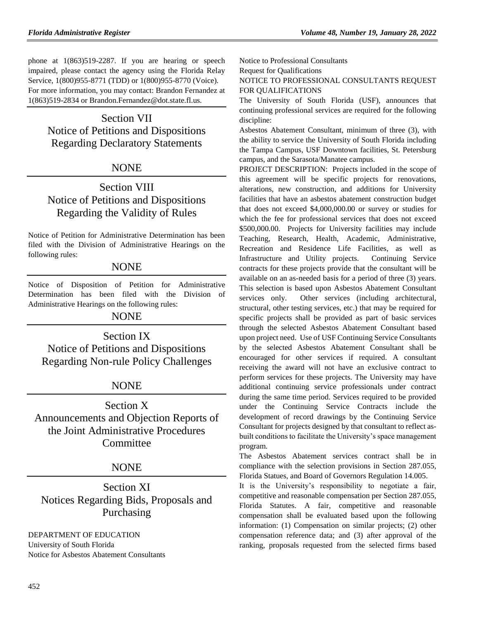phone at 1(863)519-2287. If you are hearing or speech impaired, please contact the agency using the Florida Relay Service, 1(800)955-8771 (TDD) or 1(800)955-8770 (Voice). For more information, you may contact: Brandon Fernandez at 1(863)519-2834 or Brandon.Fernandez@dot.state.fl.us.

# Section VII Notice of Petitions and Dispositions Regarding Declaratory Statements

# NONE

# Section VIII Notice of Petitions and Dispositions Regarding the Validity of Rules

Notice of Petition for Administrative Determination has been filed with the Division of Administrative Hearings on the following rules:

# NONE

Notice of Disposition of Petition for Administrative Determination has been filed with the Division of Administrative Hearings on the following rules:

# NONE

Section IX Notice of Petitions and Dispositions Regarding Non-rule Policy Challenges

# NONE

Section X Announcements and Objection Reports of the Joint Administrative Procedures Committee

# NONE

Section XI Notices Regarding Bids, Proposals and Purchasing

[DEPARTMENT OF EDUCATION](https://www.flrules.org/gateway/department.asp?id=6) [University of South Florida](https://www.flrules.org/gateway/organization.asp?id=202) Notice for Asbestos Abatement Consultants Notice to Professional Consultants Request for Qualifications NOTICE TO PROFESSIONAL CONSULTANTS REQUEST FOR QUALIFICATIONS

The University of South Florida (USF), announces that continuing professional services are required for the following discipline:

Asbestos Abatement Consultant, minimum of three (3), with the ability to service the University of South Florida including the Tampa Campus, USF Downtown facilities, St. Petersburg campus, and the Sarasota/Manatee campus.

PROJECT DESCRIPTION: Projects included in the scope of this agreement will be specific projects for renovations, alterations, new construction, and additions for University facilities that have an asbestos abatement construction budget that does not exceed \$4,000,000.00 or survey or studies for which the fee for professional services that does not exceed \$500,000.00. Projects for University facilities may include Teaching, Research, Health, Academic, Administrative, Recreation and Residence Life Facilities, as well as Infrastructure and Utility projects. Continuing Service contracts for these projects provide that the consultant will be available on an as-needed basis for a period of three (3) years. This selection is based upon Asbestos Abatement Consultant services only. Other services (including architectural, structural, other testing services, etc.) that may be required for specific projects shall be provided as part of basic services through the selected Asbestos Abatement Consultant based upon project need. Use of USF Continuing Service Consultants by the selected Asbestos Abatement Consultant shall be encouraged for other services if required. A consultant receiving the award will not have an exclusive contract to perform services for these projects. The University may have additional continuing service professionals under contract during the same time period. Services required to be provided under the Continuing Service Contracts include the development of record drawings by the Continuing Service Consultant for projects designed by that consultant to reflect asbuilt conditions to facilitate the University's space management program.

The Asbestos Abatement services contract shall be in compliance with the selection provisions in Section 287.055, Florida Statues, and Board of Governors Regulation 14.005.

It is the University's responsibility to negotiate a fair, competitive and reasonable compensation per Section 287.055, Florida Statutes. A fair, competitive and reasonable compensation shall be evaluated based upon the following information: (1) Compensation on similar projects; (2) other compensation reference data; and (3) after approval of the ranking, proposals requested from the selected firms based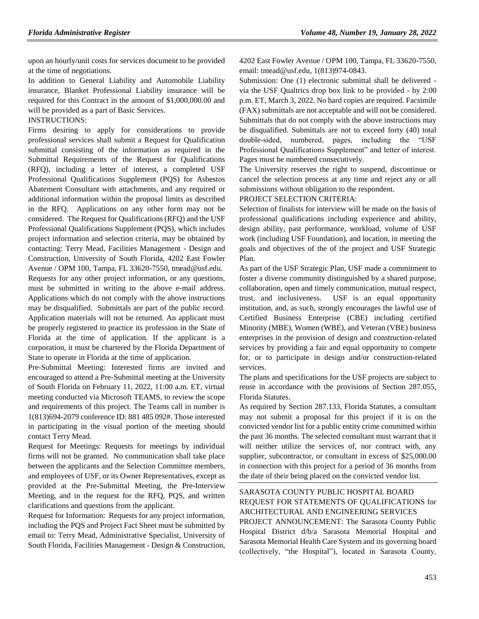upon an hourly/unit costs for services document to be provided at the time of negotiations.

In addition to General Liability and Automobile Liability insurance, Blanket Professional Liability insurance will be required for this Contract in the amount of \$1,000,000.00 and will be provided as a part of Basic Services.

#### INSTRUCTIONS:

Firms desiring to apply for considerations to provide professional services shall submit a Request for Qualification submittal consisting of the information as required in the Submittal Requirements of the Request for Qualifications (RFQ), including a letter of interest, a completed USF Professional Qualifications Supplement (PQS) for Asbestos Abatement Consultant with attachments, and any required or additional information within the proposal limits as described in the RFQ. Applications on any other form may not be considered. The Request for Qualifications (RFQ) and the USF Professional Qualifications Supplement (PQS), which includes project information and selection criteria, may be obtained by contacting: Terry Mead, Facilities Management - Design and Construction, University of South Florida, 4202 East Fowler Avenue / OPM 100, Tampa, FL 33620-7550, [tmead@usf.edu.](mailto:tmead@usf.edu) Requests for any other project information, or any questions, must be submitted in writing to the above e-mail address. Applications which do not comply with the above instructions may be disqualified. Submittals are part of the public record. Application materials will not be returned. An applicant must be properly registered to practice its profession in the State of Florida at the time of application. If the applicant is a corporation, it must be chartered by the Florida Department of State to operate in Florida at the time of application.

Pre-Submittal Meeting: Interested firms are invited and encouraged to attend a Pre-Submittal meeting at the University of South Florida on February 11, 2022, 11:00 a.m. ET, virtual meeting conducted via Microsoft TEAMS, to review the scope and requirements of this project. The Teams call in number is 1(813)694-2079 conference ID: 881 485 092#. Those interested in participating in the visual portion of the meeting should contact Terry Mead.

Request for Meetings: Requests for meetings by individual firms will not be granted. No communication shall take place between the applicants and the Selection Committee members, and employees of USF, or its Owner Representatives, except as provided at the Pre-Submittal Meeting, the Pre-Interview Meeting, and in the request for the RFQ, PQS, and written clarifications and questions from the applicant.

Request for Information: Requests for any project information, including the PQS and Project Fact Sheet must be submitted by email to: Terry Mead, Administrative Specialist, University of South Florida, Facilities Management - Design & Construction, 4202 East Fowler Avenue / OPM 100, Tampa, FL 33620-7550, email: [tmead@usf.edu,](mailto:tmead@usf.edu) 1(813)974-0843.

Submission: One (1) electronic submittal shall be delivered via the USF Qualtrics drop box link to be provided - by 2:00 p.m. ET, March 3, 2022. No hard copies are required. Facsimile (FAX) submittals are not acceptable and will not be considered. Submittals that do not comply with the above instructions may be disqualified. Submittals are not to exceed forty (40) total double-sided, numbered, pages, including the "USF Professional Qualifications Supplement" and letter of interest. Pages must be numbered consecutively.

The University reserves the right to suspend, discontinue or cancel the selection process at any time and reject any or all submissions without obligation to the respondent.

### PROJECT SELECTION CRITERIA:

Selection of finalists for interview will be made on the basis of professional qualifications including experience and ability, design ability, past performance, workload, volume of USF work (including USF Foundation), and location, in meeting the goals and objectives of the of the project and USF Strategic Plan.

As part of the USF Strategic Plan, USF made a commitment to foster a diverse community distinguished by a shared purpose, collaboration, open and timely communication, mutual respect, trust, and inclusiveness. USF is an equal opportunity institution, and, as such, strongly encourages the lawful use of Certified Business Enterprise (CBE) including certified Minority (MBE), Women (WBE), and Veteran (VBE) business enterprises in the provision of design and construction-related services by providing a fair and equal opportunity to compete for, or to participate in design and/or construction-related services.

The plans and specifications for the USF projects are subject to reuse in accordance with the provisions of Section 287.055, Florida Statutes.

As required by Section 287.133, Florida Statutes, a consultant may not submit a proposal for this project if it is on the convicted vendor list for a public entity crime committed within the past 36 months. The selected consultant must warrant that it will neither utilize the services of, nor contract with, any supplier, subcontractor, or consultant in excess of \$25,000.00 in connection with this project for a period of 36 months from the date of their being placed on the convicted vendor list.

# [SARASOTA COUNTY PUBLIC HOSPITAL BOARD](https://www.flrules.org/gateway/organization.asp?id=1112) REQUEST FOR STATEMENTS OF QUALIFICATIONS for ARCHITECTURAL AND ENGINEERING SERVICES

PROJECT ANNOUNCEMENT: The Sarasota County Public Hospital District d/b/a Sarasota Memorial Hospital and Sarasota Memorial Health Care System and its governing board (collectively, "the Hospital"), located in Sarasota County,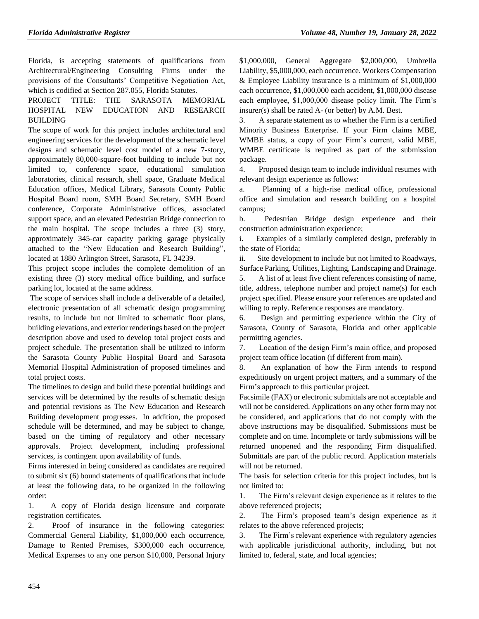Florida, is accepting statements of qualifications from Architectural/Engineering Consulting Firms under the provisions of the Consultants' Competitive Negotiation Act, which is codified at Section 287.055, Florida Statutes.

### PROJECT TITLE: THE SARASOTA MEMORIAL HOSPITAL NEW EDUCATION AND RESEARCH BUILDING

The scope of work for this project includes architectural and engineering services for the development of the schematic level designs and schematic level cost model of a new 7-story, approximately 80,000-square-foot building to include but not limited to, conference space, educational simulation laboratories, clinical research, shell space, Graduate Medical Education offices, Medical Library, Sarasota County Public Hospital Board room, SMH Board Secretary, SMH Board conference, Corporate Administrative offices, associated support space, and an elevated Pedestrian Bridge connection to the main hospital. The scope includes a three (3) story, approximately 345-car capacity parking garage physically attached to the "New Education and Research Building", located at 1880 Arlington Street, Sarasota, FL 34239.

This project scope includes the complete demolition of an existing three (3) story medical office building, and surface parking lot, located at the same address.

The scope of services shall include a deliverable of a detailed, electronic presentation of all schematic design programming results, to include but not limited to schematic floor plans, building elevations, and exterior renderings based on the project description above and used to develop total project costs and project schedule. The presentation shall be utilized to inform the Sarasota County Public Hospital Board and Sarasota Memorial Hospital Administration of proposed timelines and total project costs.

The timelines to design and build these potential buildings and services will be determined by the results of schematic design and potential revisions as The New Education and Research Building development progresses. In addition, the proposed schedule will be determined, and may be subject to change, based on the timing of regulatory and other necessary approvals. Project development, including professional services, is contingent upon availability of funds.

Firms interested in being considered as candidates are required to submit six (6) bound statements of qualifications that include at least the following data, to be organized in the following order:

1. A copy of Florida design licensure and corporate registration certificates.

2. Proof of insurance in the following categories: Commercial General Liability, \$1,000,000 each occurrence, Damage to Rented Premises, \$300,000 each occurrence, Medical Expenses to any one person \$10,000, Personal Injury \$1,000,000, General Aggregate \$2,000,000, Umbrella Liability, \$5,000,000, each occurrence. Workers Compensation & Employee Liability insurance is a minimum of \$1,000,000 each occurrence, \$1,000,000 each accident, \$1,000,000 disease each employee, \$1,000,000 disease policy limit. The Firm's insurer(s) shall be rated A- (or better) by A.M. Best.

3. A separate statement as to whether the Firm is a certified Minority Business Enterprise. If your Firm claims MBE, WMBE status, a copy of your Firm's current, valid MBE, WMBE certificate is required as part of the submission package.

4. Proposed design team to include individual resumes with relevant design experience as follows:

Planning of a high-rise medical office, professional office and simulation and research building on a hospital campus;

b. Pedestrian Bridge design experience and their construction administration experience;

i. Examples of a similarly completed design, preferably in the state of Florida;

ii. Site development to include but not limited to Roadways, Surface Parking, Utilities, Lighting, Landscaping and Drainage.

5. A list of at least five client references consisting of name, title, address, telephone number and project name(s) for each project specified. Please ensure your references are updated and willing to reply. Reference responses are mandatory.

6. Design and permitting experience within the City of Sarasota, County of Sarasota, Florida and other applicable permitting agencies.

7. Location of the design Firm's main office, and proposed project team office location (if different from main).

8. An explanation of how the Firm intends to respond expeditiously on urgent project matters, and a summary of the Firm's approach to this particular project.

Facsimile (FAX) or electronic submittals are not acceptable and will not be considered. Applications on any other form may not be considered, and applications that do not comply with the above instructions may be disqualified. Submissions must be complete and on time. Incomplete or tardy submissions will be returned unopened and the responding Firm disqualified. Submittals are part of the public record. Application materials will not be returned.

The basis for selection criteria for this project includes, but is not limited to:

1. The Firm's relevant design experience as it relates to the above referenced projects;

2. The Firm's proposed team's design experience as it relates to the above referenced projects;

3. The Firm's relevant experience with regulatory agencies with applicable jurisdictional authority, including, but not limited to, federal, state, and local agencies;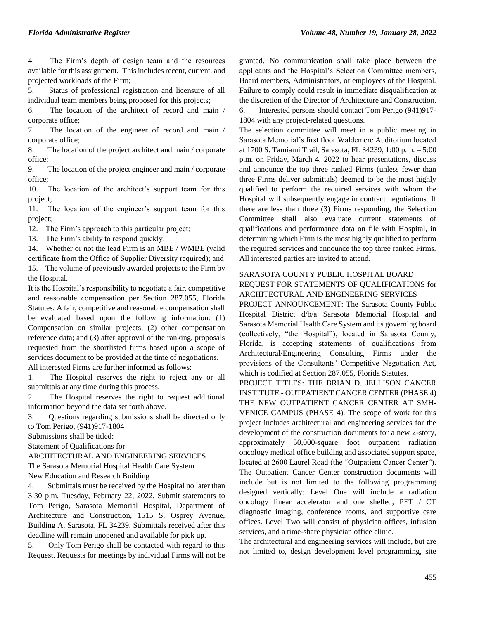4. The Firm's depth of design team and the resources available for this assignment. This includes recent, current, and projected workloads of the Firm;

5. Status of professional registration and licensure of all individual team members being proposed for this projects;

6. The location of the architect of record and main / corporate office;

7. The location of the engineer of record and main / corporate office;

8. The location of the project architect and main / corporate office;

9. The location of the project engineer and main / corporate office;

10. The location of the architect's support team for this project;

11. The location of the engineer's support team for this project;

12. The Firm's approach to this particular project;

13. The Firm's ability to respond quickly;

14. Whether or not the lead Firm is an MBE / WMBE (valid certificate from the Office of Supplier Diversity required); and 15. The volume of previously awarded projects to the Firm by the Hospital.

It is the Hospital's responsibility to negotiate a fair, competitive and reasonable compensation per Section 287.055, Florida Statutes. A fair, competitive and reasonable compensation shall be evaluated based upon the following information: (1) Compensation on similar projects; (2) other compensation reference data; and (3) after approval of the ranking, proposals requested from the shortlisted firms based upon a scope of services document to be provided at the time of negotiations.

All interested Firms are further informed as follows:

1. The Hospital reserves the right to reject any or all submittals at any time during this process.

2. The Hospital reserves the right to request additional information beyond the data set forth above.

3. Questions regarding submissions shall be directed only to Tom Perigo, (941)917-1804

Submissions shall be titled:

Statement of Qualifications for

ARCHITECTURAL AND ENGINEERING SERVICES

The Sarasota Memorial Hospital Health Care System

New Education and Research Building

4. Submittals must be received by the Hospital no later than 3:30 p.m. Tuesday, February 22, 2022. Submit statements to Tom Perigo, Sarasota Memorial Hospital, Department of Architecture and Construction, 1515 S. Osprey Avenue, Building A, Sarasota, FL 34239. Submittals received after this deadline will remain unopened and available for pick up.

5. Only Tom Perigo shall be contacted with regard to this Request. Requests for meetings by individual Firms will not be

granted. No communication shall take place between the applicants and the Hospital's Selection Committee members, Board members, Administrators, or employees of the Hospital. Failure to comply could result in immediate disqualification at the discretion of the Director of Architecture and Construction. 6. Interested persons should contact Tom Perigo (941)917- 1804 with any project-related questions.

The selection committee will meet in a public meeting in Sarasota Memorial's first floor Waldemere Auditorium located at 1700 S. Tamiami Trail, Sarasota, FL 34239, 1:00 p.m. – 5:00 p.m. on Friday, March 4, 2022 to hear presentations, discuss and announce the top three ranked Firms (unless fewer than three Firms deliver submittals) deemed to be the most highly qualified to perform the required services with whom the Hospital will subsequently engage in contract negotiations. If there are less than three (3) Firms responding, the Selection Committee shall also evaluate current statements of qualifications and performance data on file with Hospital, in determining which Firm is the most highly qualified to perform the required services and announce the top three ranked Firms. All interested parties are invited to attend.

# [SARASOTA COUNTY PUBLIC HOSPITAL BOARD](https://www.flrules.org/gateway/organization.asp?id=1112) REQUEST FOR STATEMENTS OF QUALIFICATIONS for ARCHITECTURAL AND ENGINEERING SERVICES

PROJECT ANNOUNCEMENT: The Sarasota County Public Hospital District d/b/a Sarasota Memorial Hospital and Sarasota Memorial Health Care System and its governing board (collectively, "the Hospital"), located in Sarasota County, Florida, is accepting statements of qualifications from Architectural/Engineering Consulting Firms under the provisions of the Consultants' Competitive Negotiation Act, which is codified at Section 287.055, Florida Statutes.

PROJECT TITLES: THE BRIAN D. JELLISON CANCER INSTITUTE - OUTPATIENT CANCER CENTER (PHASE 4) THE NEW OUTPATIENT CANCER CENTER AT SMH-VENICE CAMPUS (PHASE 4). The scope of work for this project includes architectural and engineering services for the development of the construction documents for a new 2-story, approximately 50,000-square foot outpatient radiation oncology medical office building and associated support space, located at 2600 Laurel Road (the "Outpatient Cancer Center"). The Outpatient Cancer Center construction documents will include but is not limited to the following programming designed vertically: Level One will include a radiation oncology linear accelerator and one shelled, PET / CT diagnostic imaging, conference rooms, and supportive care offices. Level Two will consist of physician offices, infusion services, and a time-share physician office clinic.

The architectural and engineering services will include, but are not limited to, design development level programming, site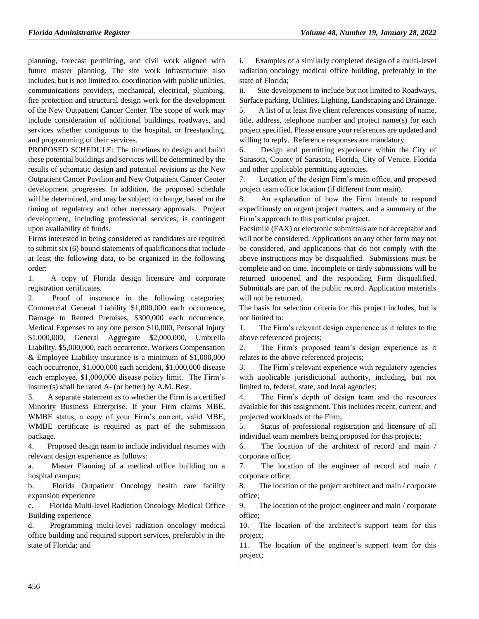planning, forecast permitting, and civil work aligned with future master planning. The site work infrastructure also includes, but is not limited to, coordination with public utilities, communications providers, mechanical, electrical, plumbing, fire protection and structural design work for the development of the New Outpatient Cancer Center. The scope of work may include consideration of additional buildings, roadways, and services whether contiguous to the hospital, or freestanding, and programming of their services.

PROPOSED SCHEDULE: The timelines to design and build these potential buildings and services will be determined by the results of schematic design and potential revisions as the New Outpatient Cancer Pavilion and New Outpatient Cancer Center development progresses. In addition, the proposed schedule will be determined, and may be subject to change, based on the timing of regulatory and other necessary approvals. Project development, including professional services, is contingent upon availability of funds.

Firms interested in being considered as candidates are required to submit six (6) bound statements of qualifications that include at least the following data, to be organized in the following order:

1. A copy of Florida design licensure and corporate registration certificates.

2. Proof of insurance in the following categories; Commercial General Liability \$1,000,000 each occurrence, Damage to Rented Premises, \$300,000 each occurrence, Medical Expenses to any one person \$10,000, Personal Injury \$1,000,000, General Aggregate \$2,000,000, Umbrella Liability, \$5,000,000, each occurrence. Workers Compensation & Employee Liability insurance is a minimum of \$1,000,000 each occurrence, \$1,000,000 each accident, \$1,000,000 disease each employee, \$1,000,000 disease policy limit. The Firm's insurer(s) shall be rated A- (or better) by A.M. Best.

3. A separate statement as to whether the Firm is a certified Minority Business Enterprise. If your Firm claims MBE, WMBE status, a copy of your Firm's current, valid MBE, WMBE certificate is required as part of the submission package.

4. Proposed design team to include individual resumes with relevant design experience as follows:

a. Master Planning of a medical office building on a hospital campus;

b. Florida Outpatient Oncology health care facility expansion experience

c. Florida Multi-level Radiation Oncology Medical Office Building experience

d. Programming multi-level radiation oncology medical office building and required support services, preferably in the state of Florida; and

i. Examples of a similarly completed design of a multi-level radiation oncology medical office building, preferably in the state of Florida;

ii. Site development to include but not limited to Roadways, Surface parking, Utilities, Lighting, Landscaping and Drainage.

5. A list of at least five client references consisting of name, title, address, telephone number and project name(s) for each project specified. Please ensure your references are updated and willing to reply. Reference responses are mandatory.

6. Design and permitting experience within the City of Sarasota, County of Sarasota, Florida, City of Venice, Florida and other applicable permitting agencies.

7. Location of the design Firm's main office, and proposed project team office location (if different from main).

8. An explanation of how the Firm intends to respond expeditiously on urgent project matters, and a summary of the Firm's approach to this particular project.

Facsimile (FAX) or electronic submittals are not acceptable and will not be considered. Applications on any other form may not be considered, and applications that do not comply with the above instructions may be disqualified. Submissions must be complete and on time. Incomplete or tardy submissions will be returned unopened and the responding Firm disqualified. Submittals are part of the public record. Application materials will not be returned.

The basis for selection criteria for this project includes, but is not limited to:

1. The Firm's relevant design experience as it relates to the above referenced projects;

2. The Firm's proposed team's design experience as it relates to the above referenced projects;

3. The Firm's relevant experience with regulatory agencies with applicable jurisdictional authority, including, but not limited to, federal, state, and local agencies;

4. The Firm's depth of design team and the resources available for this assignment. This includes recent, current, and projected workloads of the Firm;

5. Status of professional registration and licensure of all individual team members being proposed for this projects;

6. The location of the architect of record and main / corporate office;

7. The location of the engineer of record and main / corporate office;

8. The location of the project architect and main / corporate office;

9. The location of the project engineer and main / corporate office;

10. The location of the architect's support team for this project;

11. The location of the engineer's support team for this project;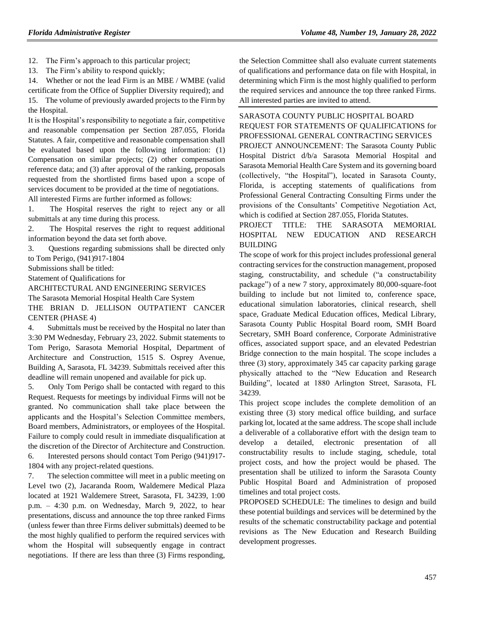12. The Firm's approach to this particular project;

13. The Firm's ability to respond quickly;

14. Whether or not the lead Firm is an MBE / WMBE (valid certificate from the Office of Supplier Diversity required); and 15. The volume of previously awarded projects to the Firm by the Hospital.

It is the Hospital's responsibility to negotiate a fair, competitive and reasonable compensation per Section 287.055, Florida Statutes. A fair, competitive and reasonable compensation shall be evaluated based upon the following information: (1) Compensation on similar projects; (2) other compensation reference data; and (3) after approval of the ranking, proposals requested from the shortlisted firms based upon a scope of services document to be provided at the time of negotiations. All interested Firms are further informed as follows:

1. The Hospital reserves the right to reject any or all submittals at any time during this process.

2. The Hospital reserves the right to request additional information beyond the data set forth above.

3. Questions regarding submissions shall be directed only to Tom Perigo, (941)917-1804

Submissions shall be titled:

Statement of Qualifications for

ARCHITECTURAL AND ENGINEERING SERVICES

The Sarasota Memorial Hospital Health Care System

THE BRIAN D. JELLISON OUTPATIENT CANCER CENTER (PHASE 4)

4. Submittals must be received by the Hospital no later than 3:30 PM Wednesday, February 23, 2022. Submit statements to Tom Perigo, Sarasota Memorial Hospital, Department of Architecture and Construction, 1515 S. Osprey Avenue, Building A, Sarasota, FL 34239. Submittals received after this deadline will remain unopened and available for pick up.

5. Only Tom Perigo shall be contacted with regard to this Request. Requests for meetings by individual Firms will not be granted. No communication shall take place between the applicants and the Hospital's Selection Committee members, Board members, Administrators, or employees of the Hospital. Failure to comply could result in immediate disqualification at the discretion of the Director of Architecture and Construction. 6. Interested persons should contact Tom Perigo (941)917- 1804 with any project-related questions.

7. The selection committee will meet in a public meeting on Level two (2), Jacaranda Room, Waldemere Medical Plaza located at 1921 Waldemere Street, Sarasota, FL 34239, 1:00 p.m. – 4:30 p.m. on Wednesday, March 9, 2022, to hear presentations, discuss and announce the top three ranked Firms (unless fewer than three Firms deliver submittals) deemed to be the most highly qualified to perform the required services with whom the Hospital will subsequently engage in contract negotiations. If there are less than three (3) Firms responding,

the Selection Committee shall also evaluate current statements of qualifications and performance data on file with Hospital, in determining which Firm is the most highly qualified to perform the required services and announce the top three ranked Firms. All interested parties are invited to attend.

[SARASOTA COUNTY PUBLIC HOSPITAL BOARD](https://www.flrules.org/gateway/organization.asp?id=1112) REQUEST FOR STATEMENTS OF QUALIFICATIONS for PROFESSIONAL GENERAL CONTRACTING SERVICES PROJECT ANNOUNCEMENT: The Sarasota County Public Hospital District d/b/a Sarasota Memorial Hospital and Sarasota Memorial Health Care System and its governing board (collectively, "the Hospital"), located in Sarasota County, Florida, is accepting statements of qualifications from Professional General Contracting Consulting Firms under the provisions of the Consultants' Competitive Negotiation Act, which is codified at Section 287.055, Florida Statutes.

#### PROJECT TITLE: THE SARASOTA MEMORIAL HOSPITAL NEW EDUCATION AND RESEARCH BUILDING

The scope of work for this project includes professional general contracting services for the construction management, proposed staging, constructability, and schedule ("a constructability package") of a new 7 story, approximately 80,000-square-foot building to include but not limited to, conference space, educational simulation laboratories, clinical research, shell space, Graduate Medical Education offices, Medical Library, Sarasota County Public Hospital Board room, SMH Board Secretary, SMH Board conference, Corporate Administrative offices, associated support space, and an elevated Pedestrian Bridge connection to the main hospital. The scope includes a three (3) story, approximately 345 car capacity parking garage physically attached to the "New Education and Research Building", located at 1880 Arlington Street, Sarasota, FL 34239.

This project scope includes the complete demolition of an existing three (3) story medical office building, and surface parking lot, located at the same address. The scope shall include a deliverable of a collaborative effort with the design team to develop a detailed, electronic presentation of all constructability results to include staging, schedule, total project costs, and how the project would be phased. The presentation shall be utilized to inform the Sarasota County Public Hospital Board and Administration of proposed timelines and total project costs.

PROPOSED SCHEDULE: The timelines to design and build these potential buildings and services will be determined by the results of the schematic constructability package and potential revisions as The New Education and Research Building development progresses.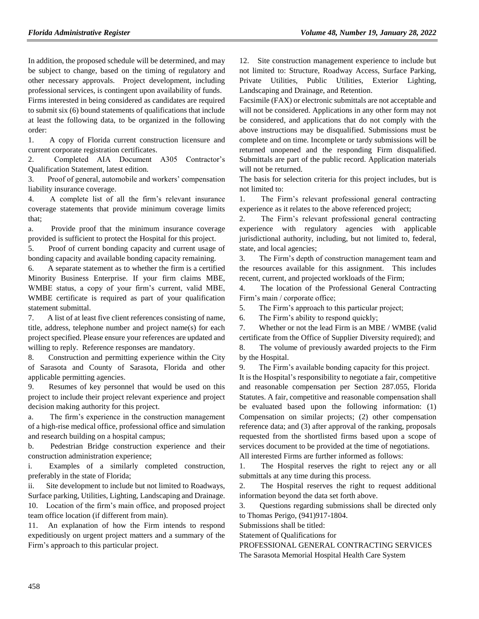In addition, the proposed schedule will be determined, and may be subject to change, based on the timing of regulatory and other necessary approvals. Project development, including professional services, is contingent upon availability of funds.

Firms interested in being considered as candidates are required to submit six (6) bound statements of qualifications that include at least the following data, to be organized in the following order:

1. A copy of Florida current construction licensure and current corporate registration certificates.

2. Completed AIA Document A305 Contractor's Qualification Statement, latest edition.

3. Proof of general, automobile and workers' compensation liability insurance coverage.

4. A complete list of all the firm's relevant insurance coverage statements that provide minimum coverage limits that;

a. Provide proof that the minimum insurance coverage provided is sufficient to protect the Hospital for this project.

5. Proof of current bonding capacity and current usage of bonding capacity and available bonding capacity remaining.

6. A separate statement as to whether the firm is a certified Minority Business Enterprise. If your firm claims MBE, WMBE status, a copy of your firm's current, valid MBE, WMBE certificate is required as part of your qualification statement submittal.

7. A list of at least five client references consisting of name, title, address, telephone number and project name(s) for each project specified. Please ensure your references are updated and willing to reply. Reference responses are mandatory.

8. Construction and permitting experience within the City of Sarasota and County of Sarasota, Florida and other applicable permitting agencies.

9. Resumes of key personnel that would be used on this project to include their project relevant experience and project decision making authority for this project.

a. The firm's experience in the construction management of a high-rise medical office, professional office and simulation and research building on a hospital campus;

b. Pedestrian Bridge construction experience and their construction administration experience;

i. Examples of a similarly completed construction, preferably in the state of Florida;

ii. Site development to include but not limited to Roadways, Surface parking, Utilities, Lighting, Landscaping and Drainage. 10. Location of the firm's main office, and proposed project team office location (if different from main).

11. An explanation of how the Firm intends to respond expeditiously on urgent project matters and a summary of the Firm's approach to this particular project.

12. Site construction management experience to include but not limited to: Structure, Roadway Access, Surface Parking, Private Utilities, Public Utilities, Exterior Lighting, Landscaping and Drainage, and Retention.

Facsimile (FAX) or electronic submittals are not acceptable and will not be considered. Applications in any other form may not be considered, and applications that do not comply with the above instructions may be disqualified. Submissions must be complete and on time. Incomplete or tardy submissions will be returned unopened and the responding Firm disqualified. Submittals are part of the public record. Application materials will not be returned.

The basis for selection criteria for this project includes, but is not limited to:

1. The Firm's relevant professional general contracting experience as it relates to the above referenced project;

2. The Firm's relevant professional general contracting experience with regulatory agencies with applicable jurisdictional authority, including, but not limited to, federal, state, and local agencies;

3. The Firm's depth of construction management team and the resources available for this assignment. This includes recent, current, and projected workloads of the Firm;

4. The location of the Professional General Contracting Firm's main / corporate office;

5. The Firm's approach to this particular project;

6. The Firm's ability to respond quickly;

7. Whether or not the lead Firm is an MBE / WMBE (valid certificate from the Office of Supplier Diversity required); and

8. The volume of previously awarded projects to the Firm by the Hospital.

9. The Firm's available bonding capacity for this project.

It is the Hospital's responsibility to negotiate a fair, competitive and reasonable compensation per Section 287.055, Florida Statutes. A fair, competitive and reasonable compensation shall be evaluated based upon the following information: (1) Compensation on similar projects; (2) other compensation reference data; and (3) after approval of the ranking, proposals requested from the shortlisted firms based upon a scope of services document to be provided at the time of negotiations.

All interested Firms are further informed as follows:

1. The Hospital reserves the right to reject any or all submittals at any time during this process.

2. The Hospital reserves the right to request additional information beyond the data set forth above.

3. Questions regarding submissions shall be directed only to Thomas Perigo, (941)917-1804.

Submissions shall be titled:

Statement of Qualifications for

PROFESSIONAL GENERAL CONTRACTING SERVICES The Sarasota Memorial Hospital Health Care System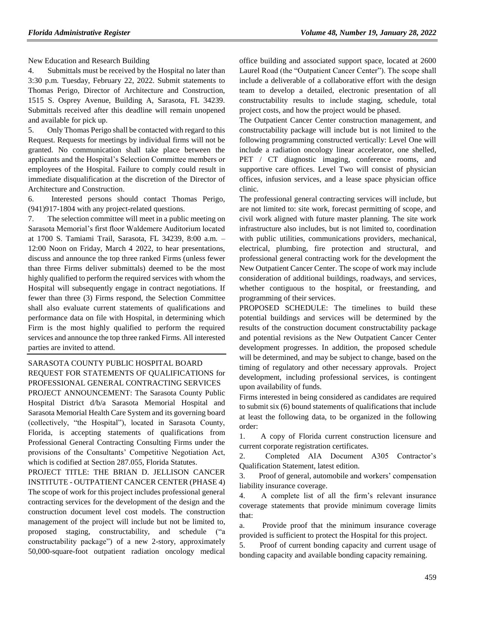New Education and Research Building

4. Submittals must be received by the Hospital no later than 3:30 p.m. Tuesday, February 22, 2022. Submit statements to Thomas Perigo, Director of Architecture and Construction, 1515 S. Osprey Avenue, Building A, Sarasota, FL 34239. Submittals received after this deadline will remain unopened and available for pick up.

5. Only Thomas Perigo shall be contacted with regard to this Request. Requests for meetings by individual firms will not be granted. No communication shall take place between the applicants and the Hospital's Selection Committee members or employees of the Hospital. Failure to comply could result in immediate disqualification at the discretion of the Director of Architecture and Construction.

6. Interested persons should contact Thomas Perigo, (941)917-1804 with any project-related questions.

7. The selection committee will meet in a public meeting on Sarasota Memorial's first floor Waldemere Auditorium located at 1700 S. Tamiami Trail, Sarasota, FL 34239, 8:00 a.m. – 12:00 Noon on Friday, March 4 2022, to hear presentations, discuss and announce the top three ranked Firms (unless fewer than three Firms deliver submittals) deemed to be the most highly qualified to perform the required services with whom the Hospital will subsequently engage in contract negotiations. If fewer than three (3) Firms respond, the Selection Committee shall also evaluate current statements of qualifications and performance data on file with Hospital, in determining which Firm is the most highly qualified to perform the required services and announce the top three ranked Firms. All interested parties are invited to attend.

[SARASOTA COUNTY PUBLIC HOSPITAL BOARD](https://www.flrules.org/gateway/organization.asp?id=1112) REQUEST FOR STATEMENTS OF QUALIFICATIONS for PROFESSIONAL GENERAL CONTRACTING SERVICES PROJECT ANNOUNCEMENT: The Sarasota County Public Hospital District d/b/a Sarasota Memorial Hospital and Sarasota Memorial Health Care System and its governing board (collectively, "the Hospital"), located in Sarasota County,

Florida, is accepting statements of qualifications from Professional General Contracting Consulting Firms under the provisions of the Consultants' Competitive Negotiation Act, which is codified at Section 287.055, Florida Statutes.

PROJECT TITLE: THE BRIAN D. JELLISON CANCER INSTITUTE - OUTPATIENT CANCER CENTER (PHASE 4) The scope of work for this project includes professional general contracting services for the development of the design and the construction document level cost models. The construction management of the project will include but not be limited to, proposed staging, constructability, and schedule ("a constructability package") of a new 2-story, approximately 50,000-square-foot outpatient radiation oncology medical office building and associated support space, located at 2600 Laurel Road (the "Outpatient Cancer Center"). The scope shall include a deliverable of a collaborative effort with the design team to develop a detailed, electronic presentation of all constructability results to include staging, schedule, total project costs, and how the project would be phased.

The Outpatient Cancer Center construction management, and constructability package will include but is not limited to the following programming constructed vertically: Level One will include a radiation oncology linear accelerator, one shelled, PET / CT diagnostic imaging, conference rooms, and supportive care offices. Level Two will consist of physician offices, infusion services, and a lease space physician office clinic.

The professional general contracting services will include, but are not limited to: site work, forecast permitting of scope, and civil work aligned with future master planning. The site work infrastructure also includes, but is not limited to, coordination with public utilities, communications providers, mechanical, electrical, plumbing, fire protection and structural, and professional general contracting work for the development the New Outpatient Cancer Center. The scope of work may include consideration of additional buildings, roadways, and services, whether contiguous to the hospital, or freestanding, and programming of their services.

PROPOSED SCHEDULE: The timelines to build these potential buildings and services will be determined by the results of the construction document constructability package and potential revisions as the New Outpatient Cancer Center development progresses. In addition, the proposed schedule will be determined, and may be subject to change, based on the timing of regulatory and other necessary approvals. Project development, including professional services, is contingent upon availability of funds.

Firms interested in being considered as candidates are required to submit six (6) bound statements of qualifications that include at least the following data, to be organized in the following order:

1. A copy of Florida current construction licensure and current corporate registration certificates.

2. Completed AIA Document A305 Contractor's Qualification Statement, latest edition.

3. Proof of general, automobile and workers' compensation liability insurance coverage.

4. A complete list of all the firm's relevant insurance coverage statements that provide minimum coverage limits that:

a. Provide proof that the minimum insurance coverage provided is sufficient to protect the Hospital for this project.

5. Proof of current bonding capacity and current usage of bonding capacity and available bonding capacity remaining.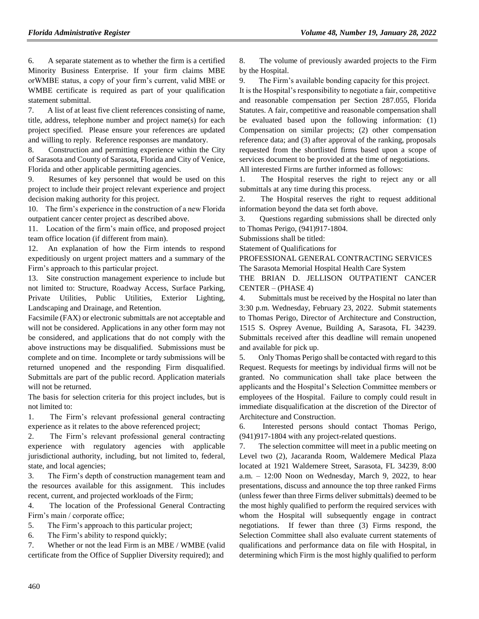6. A separate statement as to whether the firm is a certified Minority Business Enterprise. If your firm claims MBE orWMBE status, a copy of your firm's current, valid MBE or WMBE certificate is required as part of your qualification statement submittal.

7. A list of at least five client references consisting of name, title, address, telephone number and project name(s) for each project specified. Please ensure your references are updated and willing to reply. Reference responses are mandatory.

8. Construction and permitting experience within the City of Sarasota and County of Sarasota, Florida and City of Venice, Florida and other applicable permitting agencies.

9. Resumes of key personnel that would be used on this project to include their project relevant experience and project decision making authority for this project.

10. The firm's experience in the construction of a new Florida outpatient cancer center project as described above.

11. Location of the firm's main office, and proposed project team office location (if different from main).

12. An explanation of how the Firm intends to respond expeditiously on urgent project matters and a summary of the Firm's approach to this particular project.

13. Site construction management experience to include but not limited to: Structure, Roadway Access, Surface Parking, Private Utilities, Public Utilities, Exterior Lighting, Landscaping and Drainage, and Retention.

Facsimile (FAX) or electronic submittals are not acceptable and will not be considered. Applications in any other form may not be considered, and applications that do not comply with the above instructions may be disqualified. Submissions must be complete and on time. Incomplete or tardy submissions will be returned unopened and the responding Firm disqualified. Submittals are part of the public record. Application materials will not be returned.

The basis for selection criteria for this project includes, but is not limited to:

1. The Firm's relevant professional general contracting experience as it relates to the above referenced project;

2. The Firm's relevant professional general contracting experience with regulatory agencies with applicable jurisdictional authority, including, but not limited to, federal, state, and local agencies;

3. The Firm's depth of construction management team and the resources available for this assignment. This includes recent, current, and projected workloads of the Firm;

4. The location of the Professional General Contracting Firm's main / corporate office;

5. The Firm's approach to this particular project;

6. The Firm's ability to respond quickly;

7. Whether or not the lead Firm is an MBE / WMBE (valid certificate from the Office of Supplier Diversity required); and

8. The volume of previously awarded projects to the Firm by the Hospital.

9. The Firm's available bonding capacity for this project.

It is the Hospital's responsibility to negotiate a fair, competitive and reasonable compensation per Section 287.055, Florida Statutes. A fair, competitive and reasonable compensation shall be evaluated based upon the following information: (1) Compensation on similar projects; (2) other compensation reference data; and (3) after approval of the ranking, proposals requested from the shortlisted firms based upon a scope of services document to be provided at the time of negotiations. All interested Firms are further informed as follows:

1. The Hospital reserves the right to reject any or all submittals at any time during this process.

2. The Hospital reserves the right to request additional information beyond the data set forth above.

3. Questions regarding submissions shall be directed only to Thomas Perigo, (941)917-1804.

Submissions shall be titled:

Statement of Qualifications for

PROFESSIONAL GENERAL CONTRACTING SERVICES The Sarasota Memorial Hospital Health Care System THE BRIAN D. JELLISON OUTPATIENT CANCER

CENTER – (PHASE 4)

4. Submittals must be received by the Hospital no later than 3:30 p.m. Wednesday, February 23, 2022. Submit statements to Thomas Perigo, Director of Architecture and Construction, 1515 S. Osprey Avenue, Building A, Sarasota, FL 34239. Submittals received after this deadline will remain unopened and available for pick up.

5. Only Thomas Perigo shall be contacted with regard to this Request. Requests for meetings by individual firms will not be granted. No communication shall take place between the applicants and the Hospital's Selection Committee members or employees of the Hospital. Failure to comply could result in immediate disqualification at the discretion of the Director of Architecture and Construction.

6. Interested persons should contact Thomas Perigo, (941)917-1804 with any project-related questions.

7. The selection committee will meet in a public meeting on Level two (2), Jacaranda Room, Waldemere Medical Plaza located at 1921 Waldemere Street, Sarasota, FL 34239, 8:00 a.m. – 12:00 Noon on Wednesday, March 9, 2022, to hear presentations, discuss and announce the top three ranked Firms (unless fewer than three Firms deliver submittals) deemed to be the most highly qualified to perform the required services with whom the Hospital will subsequently engage in contract negotiations. If fewer than three (3) Firms respond, the Selection Committee shall also evaluate current statements of qualifications and performance data on file with Hospital, in determining which Firm is the most highly qualified to perform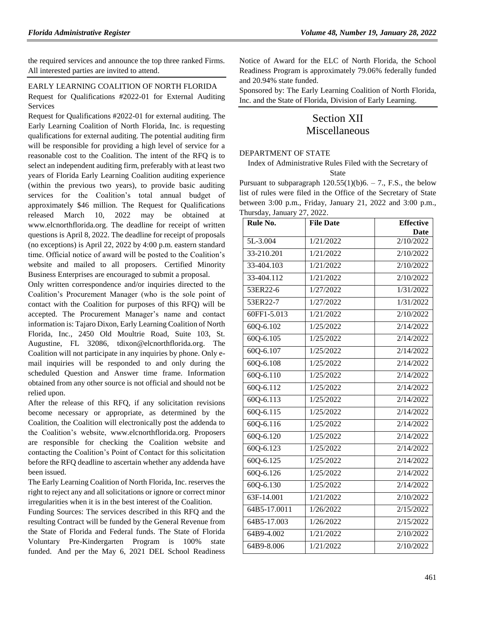the required services and announce the top three ranked Firms. All interested parties are invited to attend.

#### [EARLY LEARNING COALITION OF NORTH FLORIDA](https://www.flrules.org/gateway/organization.asp?id=708)

Request for Qualifications #2022-01 for External Auditing Services

Request for Qualifications #2022-01 for external auditing. The Early Learning Coalition of North Florida, Inc. is requesting qualifications for external auditing. The potential auditing firm will be responsible for providing a high level of service for a reasonable cost to the Coalition. The intent of the RFQ is to select an independent auditing firm, preferably with at least two years of Florida Early Learning Coalition auditing experience (within the previous two years), to provide basic auditing services for the Coalition's total annual budget of approximately \$46 million. The Request for Qualifications released March 10, 2022 may be obtained at [www.elcnorthflorida.org.](http://www.elcnorthflorida.org/) The deadline for receipt of written questions is April 8, 2022. The deadline for receipt of proposals (no exceptions) is April 22, 2022 by 4:00 p.m. eastern standard time. Official notice of award will be posted to the Coalition's website and mailed to all proposers. Certified Minority Business Enterprises are encouraged to submit a proposal.

Only written correspondence and/or inquiries directed to the Coalition's Procurement Manager (who is the sole point of contact with the Coalition for purposes of this RFQ) will be accepted. The Procurement Manager's name and contact information is: Tajaro Dixon, Early Learning Coalition of North Florida, Inc., 2450 Old Moultrie Road, Suite 103, St. Augustine, FL 32086, [tdixon@elcnorthflorida.org.](mailto:tdixon@elcnorthflorida.org) The Coalition will not participate in any inquiries by phone. Only email inquiries will be responded to and only during the scheduled Question and Answer time frame. Information obtained from any other source is not official and should not be relied upon.

After the release of this RFQ, if any solicitation revisions become necessary or appropriate, as determined by the Coalition, the Coalition will electronically post the addenda to the Coalition's website, [www.elcnorthflorida.org.](http://www.elcnorthflorida.org/) Proposers are responsible for checking the Coalition website and contacting the Coalition's Point of Contact for this solicitation before the RFQ deadline to ascertain whether any addenda have been issued.

The Early Learning Coalition of North Florida, Inc. reserves the right to reject any and all solicitations or ignore or correct minor irregularities when it is in the best interest of the Coalition.

Funding Sources: The services described in this RFQ and the resulting Contract will be funded by the General Revenue from the State of Florida and Federal funds. The State of Florida Voluntary Pre-Kindergarten Program is 100% state funded. And per the May 6, 2021 DEL School Readiness

Notice of Award for the ELC of North Florida, the School Readiness Program is approximately 79.06% federally funded and 20.94% state funded.

Sponsored by: The Early Learning Coalition of North Florida, Inc. and the State of Florida, Division of Early Learning.

# Section XII Miscellaneous

#### [DEPARTMENT OF STATE](https://www.flrules.org/gateway/department.asp?id=1)

Index of Administrative Rules Filed with the Secretary of State

Pursuant to subparagraph  $120.55(1)(b)6. - 7$ ., F.S., the below list of rules were filed in the Office of the Secretary of State between 3:00 p.m., Friday, January 21, 2022 and 3:00 p.m., Thursday, January 27, 2022.

| Rule No.      | <b>File Date</b> | <b>Effective</b> |
|---------------|------------------|------------------|
|               |                  | Date             |
| 5L-3.004      | 1/21/2022        | 2/10/2022        |
| 33-210.201    | 1/21/2022        | 2/10/2022        |
| 33-404.103    | 1/21/2022        | 2/10/2022        |
| 33-404.112    | 1/21/2022        | 2/10/2022        |
| 53ER22-6      | 1/27/2022        | 1/31/2022        |
| 53ER22-7      | 1/27/2022        | 1/31/2022        |
| 60FF1-5.013   | 1/21/2022        | 2/10/2022        |
| 60Q-6.102     | 1/25/2022        | 2/14/2022        |
| $60Q - 6.105$ | 1/25/2022        | 2/14/2022        |
| $60Q - 6.107$ | 1/25/2022        | 2/14/2022        |
| $60Q - 6.108$ | 1/25/2022        | 2/14/2022        |
| 60Q-6.110     | 1/25/2022        | 2/14/2022        |
| $60Q - 6.112$ | 1/25/2022        | 2/14/2022        |
| $60Q - 6.113$ | 1/25/2022        | 2/14/2022        |
| 60Q-6.115     | 1/25/2022        | 2/14/2022        |
| $60Q - 6.116$ | 1/25/2022        | 2/14/2022        |
| $60Q - 6.120$ | 1/25/2022        | 2/14/2022        |
| 60Q-6.123     | 1/25/2022        | 2/14/2022        |
| $60Q - 6.125$ | 1/25/2022        | 2/14/2022        |
| 60Q-6.126     | 1/25/2022        | 2/14/2022        |
| 60Q-6.130     | 1/25/2022        | 2/14/2022        |
| 63F-14.001    | 1/21/2022        | 2/10/2022        |
| 64B5-17.0011  | 1/26/2022        | 2/15/2022        |
| 64B5-17.003   | 1/26/2022        | 2/15/2022        |
| 64B9-4.002    | 1/21/2022        | 2/10/2022        |
| 64B9-8.006    | 1/21/2022        | 2/10/2022        |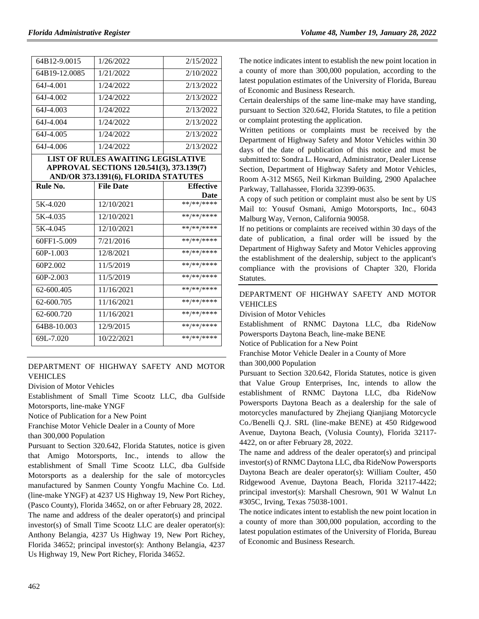|  |  | Volume 48, Number 19, January 28, 2022 |  |  |  |  |
|--|--|----------------------------------------|--|--|--|--|
|--|--|----------------------------------------|--|--|--|--|

| 64B12-9.0015                                                                                                           | 1/26/2022        | 2/15/2022        |
|------------------------------------------------------------------------------------------------------------------------|------------------|------------------|
| 64B19-12.0085                                                                                                          | 1/21/2022        | 2/10/2022        |
| 64J-4.001                                                                                                              | 1/24/2022        | 2/13/2022        |
| 64J-4.002                                                                                                              | 1/24/2022        | 2/13/2022        |
| 64J-4.003                                                                                                              | 1/24/2022        | 2/13/2022        |
| 64J-4.004                                                                                                              | 1/24/2022        | 2/13/2022        |
| 64J-4.005                                                                                                              | 1/24/2022        | 2/13/2022        |
| 64J-4.006                                                                                                              | 1/24/2022        | 2/13/2022        |
| LIST OF RULES AWAITING LEGISLATIVE<br>APPROVAL SECTIONS 120.541(3), 373.139(7)<br>AND/OR 373.1391(6), FLORIDA STATUTES |                  |                  |
|                                                                                                                        |                  |                  |
| Rule No.                                                                                                               | <b>File Date</b> | <b>Effective</b> |
|                                                                                                                        |                  | Date             |
| 5K-4.020                                                                                                               | 12/10/2021       | **/**/****       |
| 5K-4.035                                                                                                               | 12/10/2021       | **/**/****       |
| 5K-4.045                                                                                                               | 12/10/2021       | **/**/****       |
| 60FF1-5.009                                                                                                            | 7/21/2016        | $***$ /** /***** |
| $60P-1.003$                                                                                                            | 12/8/2021        | $***$ /** /****  |
| 60P <sub>2.002</sub>                                                                                                   | 11/5/2019        | **/**/****       |
| $60P-2.003$                                                                                                            | 11/5/2019        | **/**/****       |

 $62-600.405$  11/16/2021 62-600.705 11/16/2021 \*\*/\*\*/\*\*\*\* 62-600.720 11/16/2021 \*\*/\*\*/\*\*\*\* 64B8-10.003 12/9/2015 \*\*/\*\*/\*\*\*\* 69L-7.020 10/22/2021 \*\*/\*\*/\*\*\*\*

#### [DEPARTMENT OF HIGHWAY SAFETY AND MOTOR](https://www.flrules.org/gateway/department.asp?id=15)  [VEHICLES](https://www.flrules.org/gateway/department.asp?id=15)

[Division of Motor Vehicles](https://www.flrules.org/gateway/organization.asp?id=42)

Establishment of Small Time Scootz LLC, dba Gulfside Motorsports, line-make YNGF

Notice of Publication for a New Point

Franchise Motor Vehicle Dealer in a County of More than 300,000 Population

Pursuant to Section 320.642, Florida Statutes, notice is given that Amigo Motorsports, Inc., intends to allow the establishment of Small Time Scootz LLC, dba Gulfside Motorsports as a dealership for the sale of motorcycles manufactured by Sanmen County Yongfu Machine Co. Ltd. (line-make YNGF) at 4237 US Highway 19, New Port Richey, (Pasco County), Florida 34652, on or after February 28, 2022.

The name and address of the dealer operator(s) and principal investor(s) of Small Time Scootz LLC are dealer operator(s): Anthony Belangia, 4237 Us Highway 19, New Port Richey, Florida 34652; principal investor(s): Anthony Belangia, 4237 Us Highway 19, New Port Richey, Florida 34652.

The notice indicates intent to establish the new point location in a county of more than 300,000 population, according to the latest population estimates of the University of Florida, Bureau of Economic and Business Research.

Certain dealerships of the same line-make may have standing, pursuant to Section 320.642, Florida Statutes, to file a petition or complaint protesting the application.

Written petitions or complaints must be received by the Department of Highway Safety and Motor Vehicles within 30 days of the date of publication of this notice and must be submitted to: Sondra L. Howard, Administrator, Dealer License Section, Department of Highway Safety and Motor Vehicles, Room A-312 MS65, Neil Kirkman Building, 2900 Apalachee Parkway, Tallahassee, Florida 32399-0635.

A copy of such petition or complaint must also be sent by US Mail to: Yousuf Osmani, Amigo Motorsports, Inc., 6043 Malburg Way, Vernon, California 90058.

If no petitions or complaints are received within 30 days of the date of publication, a final order will be issued by the Department of Highway Safety and Motor Vehicles approving the establishment of the dealership, subject to the applicant's compliance with the provisions of Chapter 320, Florida Statutes.

# [DEPARTMENT OF HIGHWAY SAFETY AND MOTOR](https://www.flrules.org/gateway/department.asp?id=15)  [VEHICLES](https://www.flrules.org/gateway/department.asp?id=15)

[Division of Motor Vehicles](https://www.flrules.org/gateway/organization.asp?id=42)

Establishment of RNMC Daytona LLC, dba RideNow Powersports Daytona Beach, line-make BENE

Notice of Publication for a New Point

Franchise Motor Vehicle Dealer in a County of More

than 300,000 Population

Pursuant to Section 320.642, Florida Statutes, notice is given that Value Group Enterprises, Inc, intends to allow the establishment of RNMC Daytona LLC, dba RideNow Powersports Daytona Beach as a dealership for the sale of motorcycles manufactured by Zhejiang Qianjiang Motorcycle Co./Benelli Q.J. SRL (line-make BENE) at 450 Ridgewood Avenue, Daytona Beach, (Volusia County), Florida 32117- 4422, on or after February 28, 2022.

The name and address of the dealer operator(s) and principal investor(s) of RNMC Daytona LLC, dba RideNow Powersports Daytona Beach are dealer operator(s): William Coulter, 450 Ridgewood Avenue, Daytona Beach, Florida 32117-4422; principal investor(s): Marshall Chesrown, 901 W Walnut Ln #305C, Irving, Texas 75038-1001.

The notice indicates intent to establish the new point location in a county of more than 300,000 population, according to the latest population estimates of the University of Florida, Bureau of Economic and Business Research.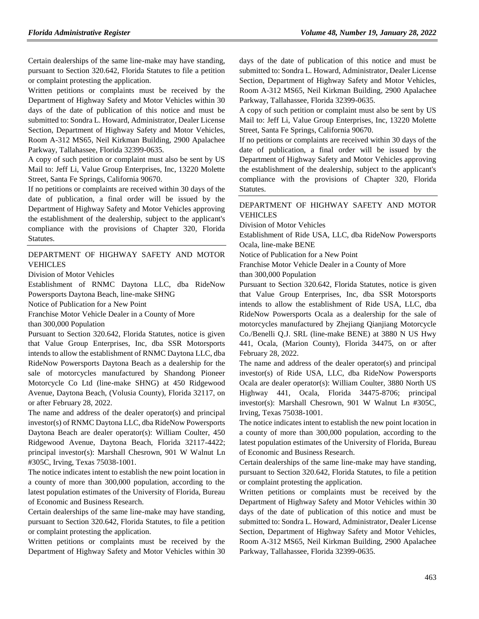Certain dealerships of the same line-make may have standing, pursuant to Section 320.642, Florida Statutes to file a petition or complaint protesting the application.

Written petitions or complaints must be received by the Department of Highway Safety and Motor Vehicles within 30 days of the date of publication of this notice and must be submitted to: Sondra L. Howard, Administrator, Dealer License Section, Department of Highway Safety and Motor Vehicles, Room A-312 MS65, Neil Kirkman Building, 2900 Apalachee Parkway, Tallahassee, Florida 32399-0635.

A copy of such petition or complaint must also be sent by US Mail to: Jeff Li, Value Group Enterprises, Inc, 13220 Molette Street, Santa Fe Springs, California 90670.

If no petitions or complaints are received within 30 days of the date of publication, a final order will be issued by the Department of Highway Safety and Motor Vehicles approving the establishment of the dealership, subject to the applicant's compliance with the provisions of Chapter 320, Florida Statutes.

### [DEPARTMENT OF HIGHWAY SAFETY AND MOTOR](https://www.flrules.org/gateway/department.asp?id=15)  [VEHICLES](https://www.flrules.org/gateway/department.asp?id=15)

[Division of Motor Vehicles](https://www.flrules.org/gateway/organization.asp?id=42)

Establishment of RNMC Daytona LLC, dba RideNow Powersports Daytona Beach, line-make SHNG

Notice of Publication for a New Point

Franchise Motor Vehicle Dealer in a County of More

than 300,000 Population

Pursuant to Section 320.642, Florida Statutes, notice is given that Value Group Enterprises, Inc, dba SSR Motorsports intends to allow the establishment of RNMC Daytona LLC, dba RideNow Powersports Daytona Beach as a dealership for the sale of motorcycles manufactured by Shandong Pioneer Motorcycle Co Ltd (line-make SHNG) at 450 Ridgewood Avenue, Daytona Beach, (Volusia County), Florida 32117, on or after February 28, 2022.

The name and address of the dealer operator(s) and principal investor(s) of RNMC Daytona LLC, dba RideNow Powersports Daytona Beach are dealer operator(s): William Coulter, 450 Ridgewood Avenue, Daytona Beach, Florida 32117-4422; principal investor(s): Marshall Chesrown, 901 W Walnut Ln #305C, Irving, Texas 75038-1001.

The notice indicates intent to establish the new point location in a county of more than 300,000 population, according to the latest population estimates of the University of Florida, Bureau of Economic and Business Research.

Certain dealerships of the same line-make may have standing, pursuant to Section 320.642, Florida Statutes, to file a petition or complaint protesting the application.

Written petitions or complaints must be received by the Department of Highway Safety and Motor Vehicles within 30 days of the date of publication of this notice and must be submitted to: Sondra L. Howard, Administrator, Dealer License Section, Department of Highway Safety and Motor Vehicles, Room A-312 MS65, Neil Kirkman Building, 2900 Apalachee Parkway, Tallahassee, Florida 32399-0635.

A copy of such petition or complaint must also be sent by US Mail to: Jeff Li, Value Group Enterprises, Inc, 13220 Molette Street, Santa Fe Springs, California 90670.

If no petitions or complaints are received within 30 days of the date of publication, a final order will be issued by the Department of Highway Safety and Motor Vehicles approving the establishment of the dealership, subject to the applicant's compliance with the provisions of Chapter 320, Florida Statutes.

#### [DEPARTMENT OF HIGHWAY SAFETY AND MOTOR](https://www.flrules.org/gateway/department.asp?id=15)  [VEHICLES](https://www.flrules.org/gateway/department.asp?id=15)

Division of [Motor Vehicles](https://www.flrules.org/gateway/organization.asp?id=42)

Establishment of Ride USA, LLC, dba RideNow Powersports Ocala, line-make BENE

Notice of Publication for a New Point

Franchise Motor Vehicle Dealer in a County of More than 300,000 Population

Pursuant to Section 320.642, Florida Statutes, notice is given that Value Group Enterprises, Inc, dba SSR Motorsports intends to allow the establishment of Ride USA, LLC, dba RideNow Powersports Ocala as a dealership for the sale of motorcycles manufactured by Zhejiang Qianjiang Motorcycle Co./Benelli Q.J. SRL (line-make BENE) at 3880 N US Hwy 441, Ocala, (Marion County), Florida 34475, on or after February 28, 2022.

The name and address of the dealer operator(s) and principal investor(s) of Ride USA, LLC, dba RideNow Powersports Ocala are dealer operator(s): William Coulter, 3880 North US Highway 441, Ocala, Florida 34475-8706; principal investor(s): Marshall Chesrown, 901 W Walnut Ln #305C, Irving, Texas 75038-1001.

The notice indicates intent to establish the new point location in a county of more than 300,000 population, according to the latest population estimates of the University of Florida, Bureau of Economic and Business Research.

Certain dealerships of the same line-make may have standing, pursuant to Section 320.642, Florida Statutes, to file a petition or complaint protesting the application.

Written petitions or complaints must be received by the Department of Highway Safety and Motor Vehicles within 30 days of the date of publication of this notice and must be submitted to: Sondra L. Howard, Administrator, Dealer License Section, Department of Highway Safety and Motor Vehicles, Room A-312 MS65, Neil Kirkman Building, 2900 Apalachee Parkway, Tallahassee, Florida 32399-0635.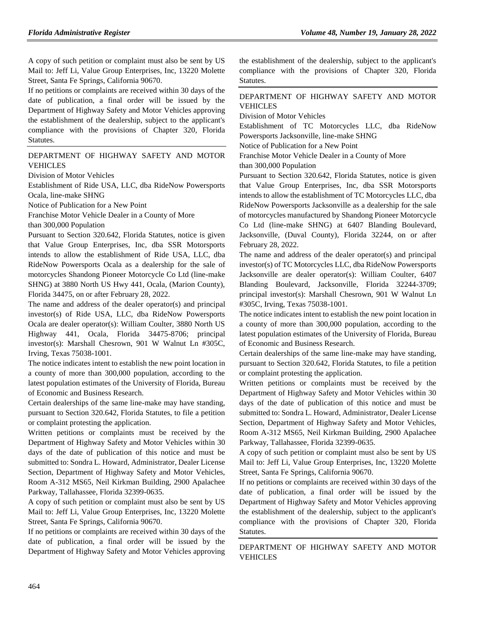A copy of such petition or complaint must also be sent by US Mail to: Jeff Li, Value Group Enterprises, Inc, 13220 Molette Street, Santa Fe Springs, California 90670.

If no petitions or complaints are received within 30 days of the date of publication, a final order will be issued by the Department of Highway Safety and Motor Vehicles approving the establishment of the dealership, subject to the applicant's compliance with the provisions of Chapter 320, Florida Statutes.

#### [DEPARTMENT OF HIGHWAY SAFETY AND MOTOR](https://www.flrules.org/gateway/department.asp?id=15)  [VEHICLES](https://www.flrules.org/gateway/department.asp?id=15)

[Division of Motor Vehicles](https://www.flrules.org/gateway/organization.asp?id=42)

Establishment of Ride USA, LLC, dba RideNow Powersports Ocala, line-make SHNG

Notice of Publication for a New Point

Franchise Motor Vehicle Dealer in a County of More

than 300,000 Population

Pursuant to Section 320.642, Florida Statutes, notice is given that Value Group Enterprises, Inc, dba SSR Motorsports intends to allow the establishment of Ride USA, LLC, dba RideNow Powersports Ocala as a dealership for the sale of motorcycles Shandong Pioneer Motorcycle Co Ltd (line-make SHNG) at 3880 North US Hwy 441, Ocala, (Marion County), Florida 34475, on or after February 28, 2022.

The name and address of the dealer operator(s) and principal investor(s) of Ride USA, LLC, dba RideNow Powersports Ocala are dealer operator(s): William Coulter, 3880 North US Highway 441, Ocala, Florida 34475-8706; principal investor(s): Marshall Chesrown, 901 W Walnut Ln #305C, Irving, Texas 75038-1001.

The notice indicates intent to establish the new point location in a county of more than 300,000 population, according to the latest population estimates of the University of Florida, Bureau of Economic and Business Research.

Certain dealerships of the same line-make may have standing, pursuant to Section 320.642, Florida Statutes, to file a petition or complaint protesting the application.

Written petitions or complaints must be received by the Department of Highway Safety and Motor Vehicles within 30 days of the date of publication of this notice and must be submitted to: Sondra L. Howard, Administrator, Dealer License Section, Department of Highway Safety and Motor Vehicles, Room A-312 MS65, Neil Kirkman Building, 2900 Apalachee Parkway, Tallahassee, Florida 32399-0635.

A copy of such petition or complaint must also be sent by US Mail to: Jeff Li, Value Group Enterprises, Inc, 13220 Molette Street, Santa Fe Springs, California 90670.

If no petitions or complaints are received within 30 days of the date of publication, a final order will be issued by the Department of Highway Safety and Motor Vehicles approving

the establishment of the dealership, subject to the applicant's compliance with the provisions of Chapter 320, Florida Statutes.

#### [DEPARTMENT OF HIGHWAY SAFETY AND MOTOR](https://www.flrules.org/gateway/department.asp?id=15)  [VEHICLES](https://www.flrules.org/gateway/department.asp?id=15)

[Division of Motor Vehicles](https://www.flrules.org/gateway/organization.asp?id=42)

Establishment of TC Motorcycles LLC, dba RideNow Powersports Jacksonville, line-make SHNG

Notice of Publication for a New Point

Franchise Motor Vehicle Dealer in a County of More

than 300,000 Population

Pursuant to Section 320.642, Florida Statutes, notice is given that Value Group Enterprises, Inc, dba SSR Motorsports intends to allow the establishment of TC Motorcycles LLC, dba RideNow Powersports Jacksonville as a dealership for the sale of motorcycles manufactured by Shandong Pioneer Motorcycle Co Ltd (line-make SHNG) at 6407 Blanding Boulevard, Jacksonville, (Duval County), Florida 32244, on or after February 28, 2022.

The name and address of the dealer operator(s) and principal investor(s) of TC Motorcycles LLC, dba RideNow Powersports Jacksonville are dealer operator(s): William Coulter, 6407 Blanding Boulevard, Jacksonville, Florida 32244-3709; principal investor(s): Marshall Chesrown, 901 W Walnut Ln #305C, Irving, Texas 75038-1001.

The notice indicates intent to establish the new point location in a county of more than 300,000 population, according to the latest population estimates of the University of Florida, Bureau of Economic and Business Research.

Certain dealerships of the same line-make may have standing, pursuant to Section 320.642, Florida Statutes, to file a petition or complaint protesting the application.

Written petitions or complaints must be received by the Department of Highway Safety and Motor Vehicles within 30 days of the date of publication of this notice and must be submitted to: Sondra L. Howard, Administrator, Dealer License Section, Department of Highway Safety and Motor Vehicles, Room A-312 MS65, Neil Kirkman Building, 2900 Apalachee Parkway, Tallahassee, Florida 32399-0635.

A copy of such petition or complaint must also be sent by US Mail to: Jeff Li, Value Group Enterprises, Inc, 13220 Molette Street, Santa Fe Springs, California 90670.

If no petitions or complaints are received within 30 days of the date of publication, a final order will be issued by the Department of Highway Safety and Motor Vehicles approving the establishment of the dealership, subject to the applicant's compliance with the provisions of Chapter 320, Florida Statutes.

[DEPARTMENT OF HIGHWAY SAFETY AND MOTOR](https://www.flrules.org/gateway/department.asp?id=15)  [VEHICLES](https://www.flrules.org/gateway/department.asp?id=15)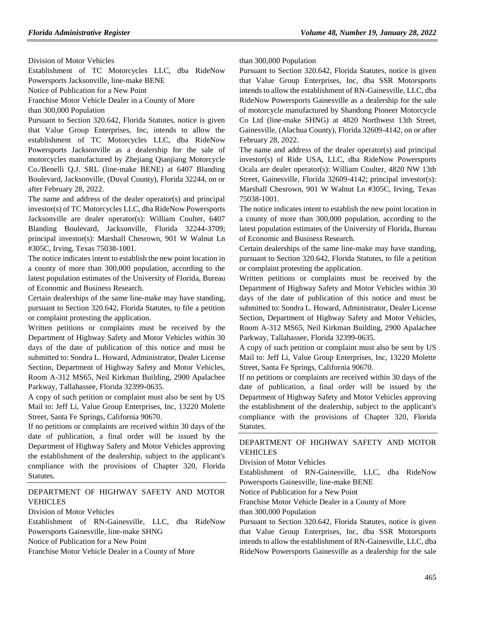[Division of Motor Vehicles](https://www.flrules.org/gateway/organization.asp?id=42)

Establishment of TC Motorcycles LLC, dba RideNow Powersports Jacksonville, line-make BENE

Notice of Publication for a New Point

Franchise Motor Vehicle Dealer in a County of More

than 300,000 Population

Pursuant to Section 320.642, Florida Statutes, notice is given that Value Group Enterprises, Inc, intends to allow the establishment of TC Motorcycles LLC, dba RideNow Powersports Jacksonville as a dealership for the sale of motorcycles manufactured by Zhejiang Qianjiang Motorcycle Co./Benelli Q.J. SRL (line-make BENE) at 6407 Blanding Boulevard, Jacksonville, (Duval County), Florida 32244, on or after February 28, 2022.

The name and address of the dealer operator(s) and principal investor(s) of TC Motorcycles LLC, dba RideNow Powersports Jacksonville are dealer operator(s): William Coulter, 6407 Blanding Boulevard, Jacksonville, Florida 32244-3709; principal investor(s): Marshall Chesrown, 901 W Walnut Ln #305C, Irving, Texas 75038-1001.

The notice indicates intent to establish the new point location in a county of more than 300,000 population, according to the latest population estimates of the University of Florida, Bureau of Economic and Business Research.

Certain dealerships of the same line-make may have standing, pursuant to Section 320.642, Florida Statutes, to file a petition or complaint protesting the application.

Written petitions or complaints must be received by the Department of Highway Safety and Motor Vehicles within 30 days of the date of publication of this notice and must be submitted to: Sondra L. Howard, Administrator, Dealer License Section, Department of Highway Safety and Motor Vehicles, Room A-312 MS65, Neil Kirkman Building, 2900 Apalachee Parkway, Tallahassee, Florida 32399-0635.

A copy of such petition or complaint must also be sent by US Mail to: Jeff Li, Value Group Enterprises, Inc, 13220 Molette Street, Santa Fe Springs, California 90670.

If no petitions or complaints are received within 30 days of the date of publication, a final order will be issued by the Department of Highway Safety and Motor Vehicles approving the establishment of the dealership, subject to the applicant's compliance with the provisions of Chapter 320, Florida Statutes.

### [DEPARTMENT OF HIGHWAY SAFETY AND MOTOR](https://www.flrules.org/gateway/department.asp?id=15)  [VEHICLES](https://www.flrules.org/gateway/department.asp?id=15)

#### [Division of Motor Vehicles](https://www.flrules.org/gateway/organization.asp?id=42)

Establishment of RN-Gainesville, LLC, dba RideNow Powersports Gainesville, line-make SHNG

Notice of Publication for a New Point

Franchise Motor Vehicle Dealer in a County of More

than 300,000 Population

Pursuant to Section 320.642, Florida Statutes, notice is given that Value Group Enterprises, Inc, dba SSR Motorsports intends to allow the establishment of RN-Gainesville, LLC, dba RideNow Powersports Gainesville as a dealership for the sale of motorcycle manufactured by Shandong Pioneer Motorcycle Co Ltd (line-make SHNG) at 4820 Northwest 13th Street, Gainesville, (Alachua County), Florida 32609-4142, on or after February 28, 2022.

The name and address of the dealer operator(s) and principal investor(s) of Ride USA, LLC, dba RideNow Powersports Ocala are dealer operator(s): William Coulter, 4820 NW 13th Street, Gainesville, Florida 32609-4142; principal investor(s): Marshall Chesrown, 901 W Walnut Ln #305C, Irving, Texas 75038-1001.

The notice indicates intent to establish the new point location in a county of more than 300,000 population, according to the latest population estimates of the University of Florida, Bureau of Economic and Business Research.

Certain dealerships of the same line-make may have standing, pursuant to Section 320.642, Florida Statutes, to file a petition or complaint protesting the application.

Written petitions or complaints must be received by the Department of Highway Safety and Motor Vehicles within 30 days of the date of publication of this notice and must be submitted to: Sondra L. Howard, Administrator, Dealer License Section, Department of Highway Safety and Motor Vehicles, Room A-312 MS65, Neil Kirkman Building, 2900 Apalachee Parkway, Tallahassee, Florida 32399-0635.

A copy of such petition or complaint must also be sent by US Mail to: Jeff Li, Value Group Enterprises, Inc, 13220 Molette Street, Santa Fe Springs, California 90670.

If no petitions or complaints are received within 30 days of the date of publication, a final order will be issued by the Department of Highway Safety and Motor Vehicles approving the establishment of the dealership, subject to the applicant's compliance with the provisions of Chapter 320, Florida Statutes.

### [DEPARTMENT OF HIGHWAY SAFETY AND MOTOR](https://www.flrules.org/gateway/department.asp?id=15)  [VEHICLES](https://www.flrules.org/gateway/department.asp?id=15)

[Division of Motor Vehicles](https://www.flrules.org/gateway/organization.asp?id=42)

Establishment of RN-Gainesville, LLC, dba RideNow Powersports Gainesville, line-make BENE

Notice of Publication for a New Point

Franchise Motor Vehicle Dealer in a County of More than 300,000 Population

Pursuant to Section 320.642, Florida Statutes, notice is given that Value Group Enterprises, Inc, dba SSR Motorsports intends to allow the establishment of RN-Gainesville, LLC, dba RideNow Powersports Gainesville as a dealership for the sale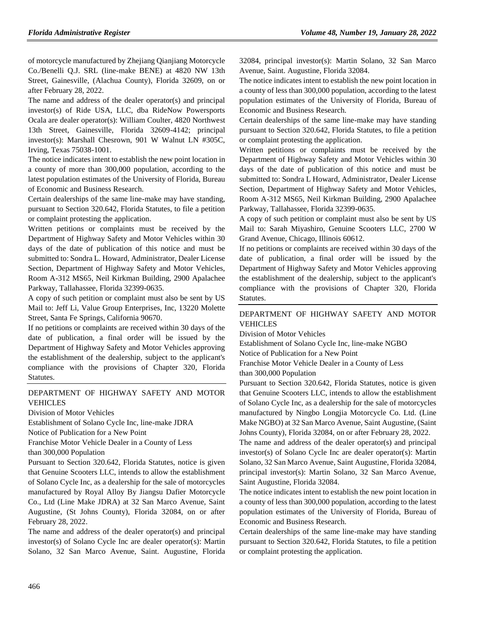of motorcycle manufactured by Zhejiang Qianjiang Motorcycle Co./Benelli Q.J. SRL (line-make BENE) at 4820 NW 13th Street, Gainesville, (Alachua County), Florida 32609, on or after February 28, 2022.

The name and address of the dealer operator(s) and principal investor(s) of Ride USA, LLC, dba RideNow Powersports Ocala are dealer operator(s): William Coulter, 4820 Northwest 13th Street, Gainesville, Florida 32609-4142; principal investor(s): Marshall Chesrown, 901 W Walnut LN #305C, Irving, Texas 75038-1001.

The notice indicates intent to establish the new point location in a county of more than 300,000 population, according to the latest population estimates of the University of Florida, Bureau of Economic and Business Research.

Certain dealerships of the same line-make may have standing, pursuant to Section 320.642, Florida Statutes, to file a petition or complaint protesting the application.

Written petitions or complaints must be received by the Department of Highway Safety and Motor Vehicles within 30 days of the date of publication of this notice and must be submitted to: Sondra L. Howard, Administrator, Dealer License Section, Department of Highway Safety and Motor Vehicles, Room A-312 MS65, Neil Kirkman Building, 2900 Apalachee Parkway, Tallahassee, Florida 32399-0635.

A copy of such petition or complaint must also be sent by US Mail to: Jeff Li, Value Group Enterprises, Inc, 13220 Molette Street, Santa Fe Springs, California 90670.

If no petitions or complaints are received within 30 days of the date of publication, a final order will be issued by the Department of Highway Safety and Motor Vehicles approving the establishment of the dealership, subject to the applicant's compliance with the provisions of Chapter 320, Florida Statutes.

# [DEPARTMENT OF HIGHWAY SAFETY AND MOTOR](https://www.flrules.org/gateway/department.asp?id=15)  [VEHICLES](https://www.flrules.org/gateway/department.asp?id=15)

[Division of Motor Vehicles](https://www.flrules.org/gateway/organization.asp?id=42)

Establishment of Solano Cycle Inc, line-make JDRA Notice of Publication for a New Point

Franchise Motor Vehicle Dealer in a County of Less

than 300,000 Population

Pursuant to Section 320.642, Florida Statutes, notice is given that Genuine Scooters LLC, intends to allow the establishment of Solano Cycle Inc, as a dealership for the sale of motorcycles manufactured by Royal Alloy By Jiangsu Dafier Motorcycle Co., Ltd (Line Make JDRA) at 32 San Marco Avenue, Saint Augustine, (St Johns County), Florida 32084, on or after February 28, 2022.

The name and address of the dealer operator(s) and principal investor(s) of Solano Cycle Inc are dealer operator(s): Martin Solano, 32 San Marco Avenue, Saint. Augustine, Florida 32084, principal investor(s): Martin Solano, 32 San Marco Avenue, Saint. Augustine, Florida 32084.

The notice indicates intent to establish the new point location in a county of less than 300,000 population, according to the latest population estimates of the University of Florida, Bureau of Economic and Business Research.

Certain dealerships of the same line-make may have standing pursuant to Section 320.642, Florida Statutes, to file a petition or complaint protesting the application.

Written petitions or complaints must be received by the Department of Highway Safety and Motor Vehicles within 30 days of the date of publication of this notice and must be submitted to: Sondra L Howard, Administrator, Dealer License Section, Department of Highway Safety and Motor Vehicles, Room A-312 MS65, Neil Kirkman Building, 2900 Apalachee Parkway, Tallahassee, Florida 32399-0635.

A copy of such petition or complaint must also be sent by US Mail to: Sarah Miyashiro, Genuine Scooters LLC, 2700 W Grand Avenue, Chicago, Illinois 60612.

If no petitions or complaints are received within 30 days of the date of publication, a final order will be issued by the Department of Highway Safety and Motor Vehicles approving the establishment of the dealership, subject to the applicant's compliance with the provisions of Chapter 320, Florida Statutes.

# [DEPARTMENT OF HIGHWAY SAFETY AND MOTOR](https://www.flrules.org/gateway/department.asp?id=15)  [VEHICLES](https://www.flrules.org/gateway/department.asp?id=15)

[Division of Motor Vehicles](https://www.flrules.org/gateway/organization.asp?id=42)

Establishment of Solano Cycle Inc, line-make NGBO

Notice of Publication for a New Point

Franchise Motor Vehicle Dealer in a County of Less than 300,000 Population

Pursuant to Section 320.642, Florida Statutes, notice is given that Genuine Scooters LLC, intends to allow the establishment of Solano Cycle Inc, as a dealership for the sale of motorcycles manufactured by Ningbo Longjia Motorcycle Co. Ltd. (Line Make NGBO) at 32 San Marco Avenue, Saint Augustine, (Saint Johns County), Florida 32084, on or after February 28, 2022.

The name and address of the dealer operator(s) and principal investor(s) of Solano Cycle Inc are dealer operator(s): Martin Solano, 32 San Marco Avenue, Saint Augustine, Florida 32084, principal investor(s): Martin Solano, 32 San Marco Avenue, Saint Augustine, Florida 32084.

The notice indicates intent to establish the new point location in a county of less than 300,000 population, according to the latest population estimates of the University of Florida, Bureau of Economic and Business Research.

Certain dealerships of the same line-make may have standing pursuant to Section 320.642, Florida Statutes, to file a petition or complaint protesting the application.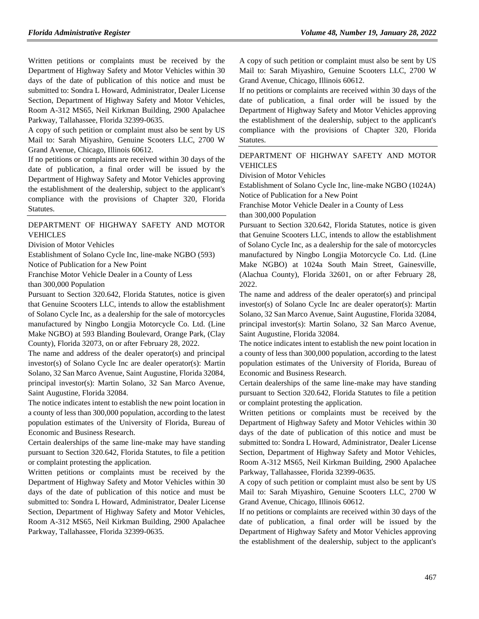Written petitions or complaints must be received by the Department of Highway Safety and Motor Vehicles within 30 days of the date of publication of this notice and must be submitted to: Sondra L Howard, Administrator, Dealer License Section, Department of Highway Safety and Motor Vehicles, Room A-312 MS65, Neil Kirkman Building, 2900 Apalachee Parkway, Tallahassee, Florida 32399-0635.

A copy of such petition or complaint must also be sent by US Mail to: Sarah Miyashiro, Genuine Scooters LLC, 2700 W Grand Avenue, Chicago, Illinois 60612.

If no petitions or complaints are received within 30 days of the date of publication, a final order will be issued by the Department of Highway Safety and Motor Vehicles approving the establishment of the dealership, subject to the applicant's compliance with the provisions of Chapter 320, Florida Statutes.

#### [DEPARTMENT OF HIGHWAY SAFETY AND MOTOR](https://www.flrules.org/gateway/department.asp?id=15)  [VEHICLES](https://www.flrules.org/gateway/department.asp?id=15)

[Division of Motor Vehicles](https://www.flrules.org/gateway/organization.asp?id=42)

Establishment of Solano Cycle Inc, line-make NGBO (593)

Notice of Publication for a New Point

Franchise Motor Vehicle Dealer in a County of Less than 300,000 Population

Pursuant to Section 320.642, Florida Statutes, notice is given that Genuine Scooters LLC, intends to allow the establishment of Solano Cycle Inc, as a dealership for the sale of motorcycles manufactured by Ningbo Longjia Motorcycle Co. Ltd. (Line Make NGBO) at 593 Blanding Boulevard, Orange Park, (Clay

County), Florida 32073, on or after February 28, 2022. The name and address of the dealer operator(s) and principal investor(s) of Solano Cycle Inc are dealer operator(s): Martin Solano, 32 San Marco Avenue, Saint Augustine, Florida 32084, principal investor(s): Martin Solano, 32 San Marco Avenue, Saint Augustine, Florida 32084.

The notice indicates intent to establish the new point location in a county of less than 300,000 population, according to the latest population estimates of the University of Florida, Bureau of Economic and Business Research.

Certain dealerships of the same line-make may have standing pursuant to Section 320.642, Florida Statutes, to file a petition or complaint protesting the application.

Written petitions or complaints must be received by the Department of Highway Safety and Motor Vehicles within 30 days of the date of publication of this notice and must be submitted to: Sondra L Howard, Administrator, Dealer License Section, Department of Highway Safety and Motor Vehicles, Room A-312 MS65, Neil Kirkman Building, 2900 Apalachee Parkway, Tallahassee, Florida 32399-0635.

A copy of such petition or complaint must also be sent by US Mail to: Sarah Miyashiro, Genuine Scooters LLC, 2700 W Grand Avenue, Chicago, Illinois 60612.

If no petitions or complaints are received within 30 days of the date of publication, a final order will be issued by the Department of Highway Safety and Motor Vehicles approving the establishment of the dealership, subject to the applicant's compliance with the provisions of Chapter 320, Florida Statutes.

#### [DEPARTMENT OF HIGHWAY SAFETY AND MOTOR](https://www.flrules.org/gateway/department.asp?id=15)  [VEHICLES](https://www.flrules.org/gateway/department.asp?id=15)

[Division of Motor Vehicles](https://www.flrules.org/gateway/organization.asp?id=42)

Establishment of Solano Cycle Inc, line-make NGBO (1024A) Notice of Publication for a New Point

Franchise Motor Vehicle Dealer in a County of Less

than 300,000 Population

Pursuant to Section 320.642, Florida Statutes, notice is given that Genuine Scooters LLC, intends to allow the establishment of Solano Cycle Inc, as a dealership for the sale of motorcycles manufactured by Ningbo Longjia Motorcycle Co. Ltd. (Line Make NGBO) at 1024a South Main Street, Gainesville, (Alachua County), Florida 32601, on or after February 28, 2022.

The name and address of the dealer operator(s) and principal investor(s) of Solano Cycle Inc are dealer operator(s): Martin Solano, 32 San Marco Avenue, Saint Augustine, Florida 32084, principal investor(s): Martin Solano, 32 San Marco Avenue, Saint Augustine, Florida 32084.

The notice indicates intent to establish the new point location in a county of less than 300,000 population, according to the latest population estimates of the University of Florida, Bureau of Economic and Business Research.

Certain dealerships of the same line-make may have standing pursuant to Section 320.642, Florida Statutes to file a petition or complaint protesting the application.

Written petitions or complaints must be received by the Department of Highway Safety and Motor Vehicles within 30 days of the date of publication of this notice and must be submitted to: Sondra L Howard, Administrator, Dealer License Section, Department of Highway Safety and Motor Vehicles, Room A-312 MS65, Neil Kirkman Building, 2900 Apalachee Parkway, Tallahassee, Florida 32399-0635.

A copy of such petition or complaint must also be sent by US Mail to: Sarah Miyashiro, Genuine Scooters LLC, 2700 W Grand Avenue, Chicago, Illinois 60612.

If no petitions or complaints are received within 30 days of the date of publication, a final order will be issued by the Department of Highway Safety and Motor Vehicles approving the establishment of the dealership, subject to the applicant's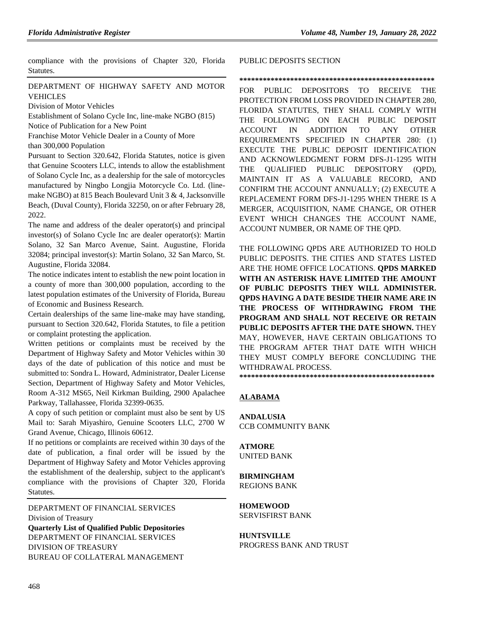compliance with the provisions of Chapter 320, Florida Statutes.

# [DEPARTMENT OF HIGHWAY SAFETY AND MOTOR](https://www.flrules.org/gateway/department.asp?id=15)  [VEHICLES](https://www.flrules.org/gateway/department.asp?id=15)

[Division of Motor Vehicles](https://www.flrules.org/gateway/organization.asp?id=42)

Establishment of Solano Cycle Inc, line-make NGBO (815)

Notice of Publication for a New Point

Franchise Motor Vehicle Dealer in a County of More

than 300,000 Population

Pursuant to Section 320.642, Florida Statutes, notice is given that Genuine Scooters LLC, intends to allow the establishment of Solano Cycle Inc, as a dealership for the sale of motorcycles manufactured by Ningbo Longjia Motorcycle Co. Ltd. (linemake NGBO) at 815 Beach Boulevard Unit 3 & 4, Jacksonville Beach, (Duval County), Florida 32250, on or after February 28, 2022.

The name and address of the dealer operator(s) and principal investor(s) of Solano Cycle Inc are dealer operator(s): Martin Solano, 32 San Marco Avenue, Saint. Augustine, Florida 32084; principal investor(s): Martin Solano, 32 San Marco, St. Augustine, Florida 32084.

The notice indicates intent to establish the new point location in a county of more than 300,000 population, according to the latest population estimates of the University of Florida, Bureau of Economic and Business Research.

Certain dealerships of the same line-make may have standing, pursuant to Section 320.642, Florida Statutes, to file a petition or complaint protesting the application.

Written petitions or complaints must be received by the Department of Highway Safety and Motor Vehicles within 30 days of the date of publication of this notice and must be submitted to: Sondra L. Howard, Administrator, Dealer License Section, Department of Highway Safety and Motor Vehicles, Room A-312 MS65, Neil Kirkman Building, 2900 Apalachee Parkway, Tallahassee, Florida 32399-0635.

A copy of such petition or complaint must also be sent by US Mail to: Sarah Miyashiro, Genuine Scooters LLC, 2700 W Grand Avenue, Chicago, Illinois 60612.

If no petitions or complaints are received within 30 days of the date of publication, a final order will be issued by the Department of Highway Safety and Motor Vehicles approving the establishment of the dealership, subject to the applicant's compliance with the provisions of Chapter 320, Florida Statutes.

[DEPARTMENT OF FINANCIAL SERVICES](https://www.flrules.org/gateway/department.asp?id=69) [Division of Treasury](https://www.flrules.org/gateway/organization.asp?id=361) **Quarterly List of Qualified Public Depositories** DEPARTMENT OF FINANCIAL SERVICES DIVISION OF TREASURY BUREAU OF COLLATERAL MANAGEMENT

#### PUBLIC DEPOSITS SECTION

#### **\*\*\*\*\*\*\*\*\*\*\*\*\*\*\*\*\*\*\*\*\*\*\*\*\*\*\*\*\*\*\*\*\*\*\*\*\*\*\*\*\*\*\*\*\*\*\*\*\*\***

FOR PUBLIC DEPOSITORS TO RECEIVE THE PROTECTION FROM LOSS PROVIDED IN CHAPTER 280, FLORIDA STATUTES, THEY SHALL COMPLY WITH THE FOLLOWING ON EACH PUBLIC DEPOSIT ACCOUNT IN ADDITION TO ANY OTHER REQUIREMENTS SPECIFIED IN CHAPTER 280: (1) EXECUTE THE PUBLIC DEPOSIT IDENTIFICATION AND ACKNOWLEDGMENT FORM DFS-J1-1295 WITH THE QUALIFIED PUBLIC DEPOSITORY (QPD), MAINTAIN IT AS A VALUABLE RECORD, AND CONFIRM THE ACCOUNT ANNUALLY; (2) EXECUTE A REPLACEMENT FORM DFS-J1-1295 WHEN THERE IS A MERGER, ACQUISITION, NAME CHANGE, OR OTHER EVENT WHICH CHANGES THE ACCOUNT NAME, ACCOUNT NUMBER, OR NAME OF THE QPD.

THE FOLLOWING QPDS ARE AUTHORIZED TO HOLD PUBLIC DEPOSITS. THE CITIES AND STATES LISTED ARE THE HOME OFFICE LOCATIONS. **QPDS MARKED WITH AN ASTERISK HAVE LIMITED THE AMOUNT OF PUBLIC DEPOSITS THEY WILL ADMINISTER. QPDS HAVING A DATE BESIDE THEIR NAME ARE IN THE PROCESS OF WITHDRAWING FROM THE PROGRAM AND SHALL NOT RECEIVE OR RETAIN PUBLIC DEPOSITS AFTER THE DATE SHOWN.** THEY MAY, HOWEVER, HAVE CERTAIN OBLIGATIONS TO THE PROGRAM AFTER THAT DATE WITH WHICH THEY MUST COMPLY BEFORE CONCLUDING THE WITHDRAWAL PROCESS. **\*\*\*\*\*\*\*\*\*\*\*\*\*\*\*\*\*\*\*\*\*\*\*\*\*\*\*\*\*\*\*\*\*\*\*\*\*\*\*\*\*\*\*\*\*\*\*\*\*\***

# **ALABAMA**

**ANDALUSIA** CCB COMMUNITY BANK

#### **ATMORE** UNITED BANK

#### **BIRMINGHAM** REGIONS BANK

### **HOMEWOOD** SERVISFIRST BANK

**HUNTSVILLE**

PROGRESS BANK AND TRUST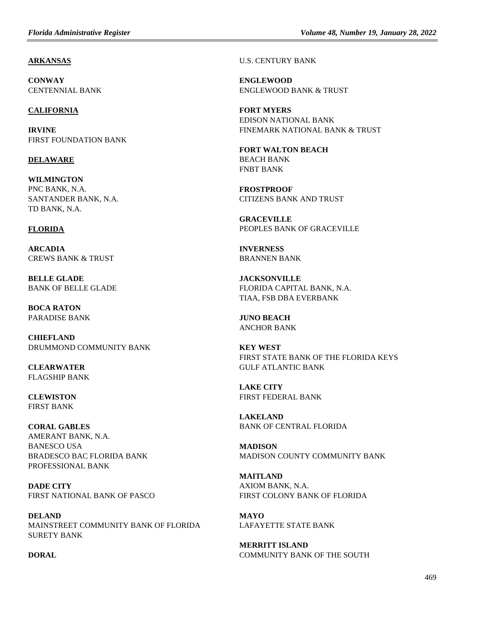### **ARKANSAS**

**CONWAY** CENTENNIAL BANK

### **CALIFORNIA**

**IRVINE** FIRST FOUNDATION BANK

# **DELAWARE**

**WILMINGTON** PNC BANK, N.A. SANTANDER BANK, N.A. TD BANK, N.A.

### **FLORIDA**

**ARCADIA** CREWS BANK & TRUST

**BELLE GLADE** BANK OF BELLE GLADE

**BOCA RATON** PARADISE BANK

**CHIEFLAND** DRUMMOND COMMUNITY BANK

**CLEARWATER** FLAGSHIP BANK

**CLEWISTON** FIRST BANK

**CORAL GABLES** AMERANT BANK, N.A. BANESCO USA BRADESCO BAC FLORIDA BANK PROFESSIONAL BANK

**DADE CITY** FIRST NATIONAL BANK OF PASCO

**DELAND** MAINSTREET COMMUNITY BANK OF FLORIDA SURETY BANK

**DORAL**

U.S. CENTURY BANK

**ENGLEWOOD** ENGLEWOOD BANK & TRUST

**FORT MYERS** EDISON NATIONAL BANK FINEMARK NATIONAL BANK & TRUST

**FORT WALTON BEACH** BEACH BANK FNBT BANK

**FROSTPROOF** CITIZENS BANK AND TRUST

**GRACEVILLE** PEOPLES BANK OF GRACEVILLE

**INVERNESS** BRANNEN BANK

**JACKSONVILLE** FLORIDA CAPITAL BANK, N.A. TIAA, FSB DBA EVERBANK

**JUNO BEACH** ANCHOR BANK

**KEY WEST** FIRST STATE BANK OF THE FLORIDA KEYS GULF ATLANTIC BANK

**LAKE CITY** FIRST FEDERAL BANK

**LAKELAND** BANK OF CENTRAL FLORIDA

**MADISON** MADISON COUNTY COMMUNITY BANK

**MAITLAND** AXIOM BANK, N.A. FIRST COLONY BANK OF FLORIDA

**MAYO** LAFAYETTE STATE BANK

**MERRITT ISLAND** COMMUNITY BANK OF THE SOUTH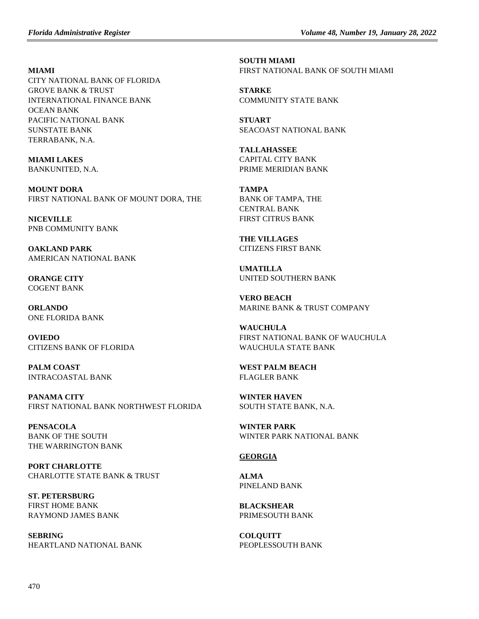### **MIAMI**

CITY NATIONAL BANK OF FLORIDA GROVE BANK & TRUST INTERNATIONAL FINANCE BANK OCEAN BANK PACIFIC NATIONAL BANK SUNSTATE BANK TERRABANK, N.A.

**MIAMI LAKES** BANKUNITED, N.A.

**MOUNT DORA** FIRST NATIONAL BANK OF MOUNT DORA, THE

**NICEVILLE** PNB COMMUNITY BANK

**OAKLAND PARK** AMERICAN NATIONAL BANK

**ORANGE CITY** COGENT BANK

**ORLANDO** ONE FLORIDA BANK

**OVIEDO** CITIZENS BANK OF FLORIDA

**PALM COAST** INTRACOASTAL BANK

**PANAMA CITY** FIRST NATIONAL BANK NORTHWEST FLORIDA

**PENSACOLA** BANK OF THE SOUTH THE WARRINGTON BANK

**PORT CHARLOTTE** CHARLOTTE STATE BANK & TRUST

**ST. PETERSBURG** FIRST HOME BANK RAYMOND JAMES BANK

**SEBRING** HEARTLAND NATIONAL BANK **SOUTH MIAMI** FIRST NATIONAL BANK OF SOUTH MIAMI

**STARKE** COMMUNITY STATE BANK

**STUART** SEACOAST NATIONAL BANK

**TALLAHASSEE** CAPITAL CITY BANK PRIME MERIDIAN BANK

**TAMPA** BANK OF TAMPA, THE CENTRAL BANK FIRST CITRUS BANK

**THE VILLAGES** CITIZENS FIRST BANK

**UMATILLA** UNITED SOUTHERN BANK

**VERO BEACH** MARINE BANK & TRUST COMPANY

**WAUCHULA** FIRST NATIONAL BANK OF WAUCHULA WAUCHULA STATE BANK

**WEST PALM BEACH** FLAGLER BANK

**WINTER HAVEN** SOUTH STATE BANK, N.A.

**WINTER PARK** WINTER PARK NATIONAL BANK

# **GEORGIA**

**ALMA** PINELAND BANK

**BLACKSHEAR** PRIMESOUTH BANK

**COLQUITT** PEOPLESSOUTH BANK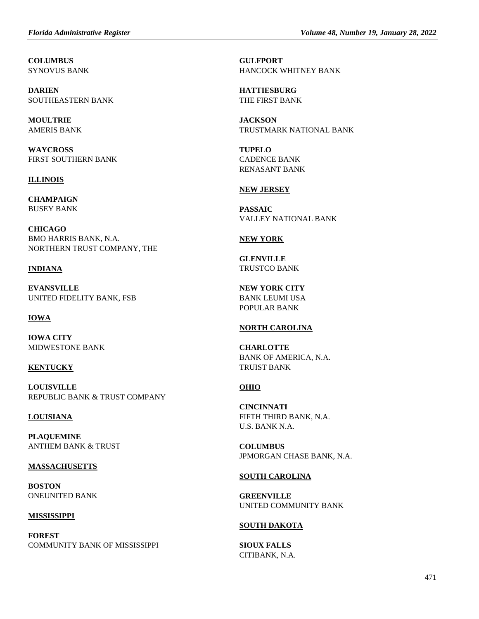**COLUMBUS** SYNOVUS BANK

**DARIEN** SOUTHEASTERN BANK

**MOULTRIE** AMERIS BANK

**WAYCROSS** FIRST SOUTHERN BANK

### **ILLINOIS**

**CHAMPAIGN** BUSEY BANK

**CHICAGO** BMO HARRIS BANK, N.A. NORTHERN TRUST COMPANY, THE

### **INDIANA**

**EVANSVILLE** UNITED FIDELITY BANK, FSB

# **IOWA**

**IOWA CITY** MIDWESTONE BANK

# **KENTUCKY**

**LOUISVILLE** REPUBLIC BANK & TRUST COMPANY

#### **LOUISIANA**

**PLAQUEMINE** ANTHEM BANK & TRUST

#### **MASSACHUSETTS**

**BOSTON** ONEUNITED BANK

**MISSISSIPPI**

**FOREST** COMMUNITY BANK OF MISSISSIPPI **GULFPORT** HANCOCK WHITNEY BANK

**HATTIESBURG** THE FIRST BANK

**JACKSON** TRUSTMARK NATIONAL BANK

**TUPELO** CADENCE BANK RENASANT BANK

### **NEW JERSEY**

**PASSAIC** VALLEY NATIONAL BANK

### **NEW YORK**

**GLENVILLE** TRUSTCO BANK

**NEW YORK CITY** BANK LEUMI USA POPULAR BANK

#### **NORTH CAROLINA**

**CHARLOTTE** BANK OF AMERICA, N.A. TRUIST BANK

# **OHIO**

**CINCINNATI** FIFTH THIRD BANK, N.A. U.S. BANK N.A.

**COLUMBUS** JPMORGAN CHASE BANK, N.A.

#### **SOUTH CAROLINA**

**GREENVILLE** UNITED COMMUNITY BANK

#### **SOUTH DAKOTA**

**SIOUX FALLS** CITIBANK, N.A.